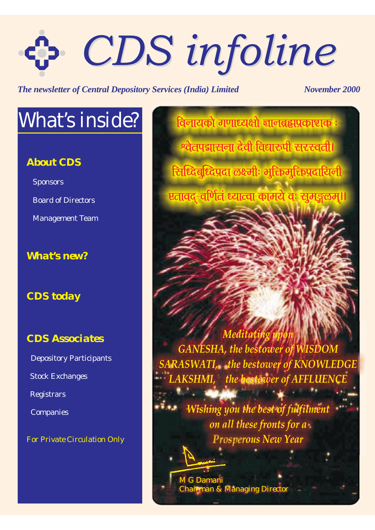# *CDS infoline CDS infoline*

*The newsletter of Central Depository Services (India) Limited November 2000* 

# *What's inside?*

#### *About CDS*

**Sponsors** Board of Directors

Management Team

### *What's new?*

#### *CDS today*

#### *CDS Associates*

Depository Participants Registrars Companies Stock Exchanges

*For Private Circulation Only*

विनायको गणाध्यक्षो ज्ञानब्रह्मप्रकाशक :  $\frac{1}{2}$ खेतपद्मासना देवी विद्यारुपी सरस्वती। र्टिः रिवर्धिद्विप्रदा लक्ष्मीः भूक्तिमुक्तिप्रदायिनी <u>एतावद-वर्णितं ध्यात्वा कामये वः सुमङ्गळम्।।</u>

*Meditating upon GANESHA, the bestower of WISDOM SARASWATI, the bestower of KNOWLEDGE Lhe bestower of AFFLUENCE* 

**PARTIES AND REAL** 

*Wishing you the best of fulfilment on all these fronts for a Prosperous New Year*

*M G Damani Managing Director*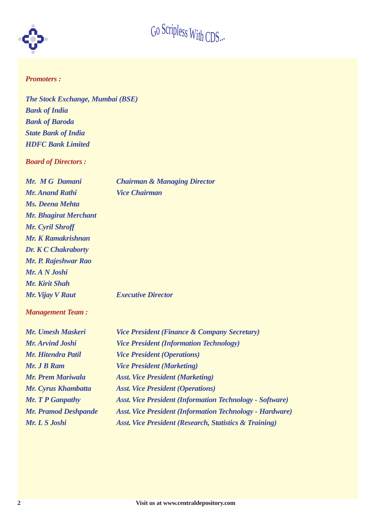

#### *Promoters :*

*The Stock Exchange, Mumbai (BSE) Bank of India Bank of Baroda State Bank of India HDFC Bank Limited*

*Board of Directors :*

*Mr. M G Damani Chairman & Managing Director Mr. Anand Rathi Vice Chairman*

| <b>Mr. Anand Rathi</b>     |
|----------------------------|
| Ms. Deena Mehta            |
| Mr. Bhagirat Merchant      |
| Mr. Cyril Shroff           |
| Mr. K Ramakrishnan         |
| <b>Dr. K C Chakraborty</b> |
| Mr. P. Rajeshwar Rao       |
| Mr. A N Joshi              |
| Mr. Kirit Shah             |
| Mr. Vijay V Raut           |

*<i>Executive Director* 

*Management Team :*

| Mr. Umesh Maskeri           | <b>Vice President (Finance &amp; Company Secretary)</b>           |
|-----------------------------|-------------------------------------------------------------------|
| <b>Mr. Arvind Joshi</b>     | <b>Vice President (Information Technology)</b>                    |
| Mr. Hitendra Patil          | <i>Vice President (Operations)</i>                                |
| <b>Mr. J B Ram</b>          | <b>Vice President (Marketing)</b>                                 |
| Mr. Prem Mariwala           | <b>Asst. Vice President (Marketing)</b>                           |
| Mr. Cyrus Khambatta         | <b>Asst. Vice President (Operations)</b>                          |
| <b>Mr. T P Ganpathy</b>     | <b>Asst. Vice President (Information Technology - Software)</b>   |
| <b>Mr. Pramod Deshpande</b> | <b>Asst. Vice President (Information Technology - Hardware)</b>   |
| Mr. L S Joshi               | <b>Asst. Vice President (Research, Statistics &amp; Training)</b> |
|                             |                                                                   |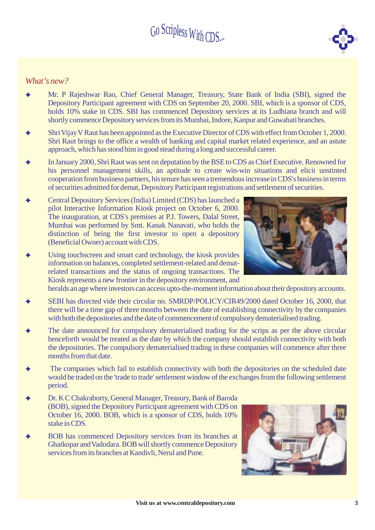#### *What's new?*

- $\blacklozenge$ Mr. P Rajeshwar Rao, Chief General Manager, Treasury, State Bank of India (SBI), signed the Depository Participant agreement with CDS on September 20, 2000. SBI, which is a sponsor of CDS, holds 10% stake in CDS. SBI has commenced Depository services at its Ludhiana branch and will shortly commence Depository services fromits Mumbai, Indore, Kanpur and Guwahati branches.
- $\blacklozenge$ Shri Vijay V Raut has been appointed as the Executive Director of CDS with effect from October 1, 2000. Shri Raut brings to the office a wealth of banking and capital market related experience, and an astute approach, which has stood himin good stead during a long and successful career.
- $\blacklozenge$ In January 2000, Shri Raut was sent on deputation by the BSE to CDS as Chief Executive. Renowned for his personnel management skills, an aptitude to create win-win situations and elicit unstinted cooperation from business partners, his tenure has seen a tremendous increase in CDS's business in terms of securities admitted for demat, Depository Participant registrations and settlement of securities.
- $\blacklozenge$ Central Depository Services (India) Limited (CDS) has launched a pilot Interactive Information Kiosk project on October 6, 2000. The inauguration, at CDS's premises at P.J. Towers, Dalal Street, Mumbai was performed by Smt. Kanak Nanavati, who holds the distinction of being the first investor to open a depository (Beneficial Owner) account with CDS.
- $\blacklozenge$ Using touchscreen and smart card technology, the kiosk provides information on balances, completed settlement-related and dematrelated transactions and the status of ongoing transactions. The Kiosk represents a new frontier in the depository environment, and

heralds an age where investors can access upto-the-moment information about their depository accounts.

- $\blacklozenge$ SEBI has directed vide their circular no. SMRDP/POLICY/CIR49/2000 dated October 16, 2000, that there will be a time gap of three months between the date of establishing connectivity by the companies with both the depositories and the date of commencement of compulsory dematerialised trading.
- $\blacklozenge$ The date announced for compulsory dematerialised trading for the scrips as per the above circular henceforth would be treated as the date by which the company should establish connectivity with both the depositories. The compulsory dematerialised trading in these companies will commence after three months from that date
- $\blacklozenge$ The companies which fail to establish connectivity with both the depositories on the scheduled date would be traded on the 'trade to trade' settlement window of the exchanges from the following settlement period.
- $\blacklozenge$ Dr. K C Chakraborty, General Manager, Treasury, Bank of Baroda (BOB), signed the Depository Participant agreement with CDS on October 16, 2000. BOB, which is a sponsor of CDS, holds 10% stake in CDS.
- $\blacklozenge$ BOB has commenced Depository services from its branches at Ghatkopar and Vadodara. BOB will shortly commence Depository services fromits branches at Kandivli, Nerul and Pune.



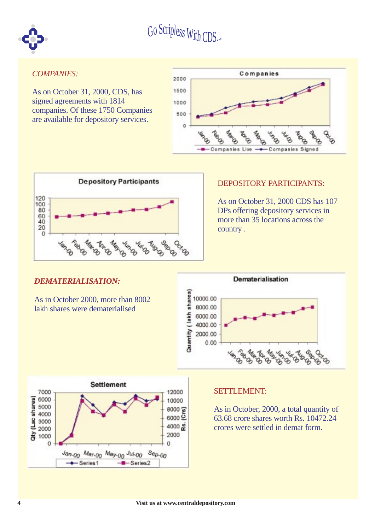

#### *COMPANIES:*

As on October 31, 2000, CDS, has signed agreements with 1814 companies. Of these 1750 Companies are available for depository services.





#### DEPOSITORY PARTICIPANTS:

As on October 31, 2000 CDS has 107 DPs offering depository services in more than 35 locations across the country .

#### *DEMATERIALISATION:*

As in October 2000, more than 8002 lakh shares were dematerialised





#### SETTLEMENT:

As in October, 2000, a total quantity of 63.68 crore shares worth Rs. 10472.24 crores were settled in demat form.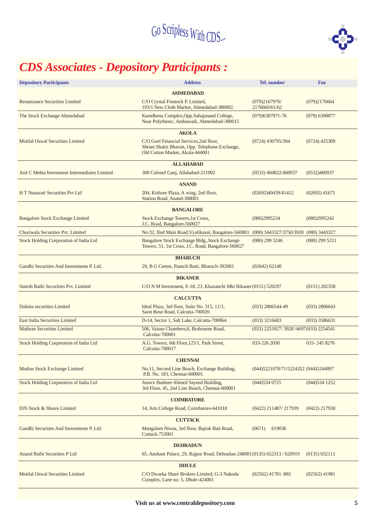

# *CDS Associates - Depository Participants :*

| <b>Depository Participants</b>                                                                                                | <b>Address</b>                                                                                                              | <b>Tel.</b> number                     | <b>Fax</b>       |  |  |  |  |  |  |  |  |
|-------------------------------------------------------------------------------------------------------------------------------|-----------------------------------------------------------------------------------------------------------------------------|----------------------------------------|------------------|--|--|--|--|--|--|--|--|
|                                                                                                                               | <b>AHMEDABAD</b>                                                                                                            |                                        |                  |  |  |  |  |  |  |  |  |
| <b>Renaissance Securities Limited</b>                                                                                         | C/O Crystal Finstock P. Limited,<br>193/1 New Cloth Market, Ahmedabad-380002.                                               | (079)2167976/<br>2176660/61/62         | (079)2176664     |  |  |  |  |  |  |  |  |
| The Stock Exchange Ahmedabad                                                                                                  | Kamdhenu Complex, Opp. Sahajanand College,<br>Near Polythenic, Ambawadi, Ahmedabad-380015                                   | $(079)6307971 - 76$                    | $(079)$ 6308877  |  |  |  |  |  |  |  |  |
|                                                                                                                               | <b>AKOLA</b>                                                                                                                |                                        |                  |  |  |  |  |  |  |  |  |
| Motilal Oswal Securities Limited                                                                                              | C/O Goel Financial Services, 2nd floor,<br>Shram Shakti Bhavan, Opp. Telephone Exchange,<br>Old Cotton Market, Akola-444001 | $(0724)$ 430795/304                    | $(0724)$ 425309  |  |  |  |  |  |  |  |  |
| <b>ALLAHABAD</b>                                                                                                              |                                                                                                                             |                                        |                  |  |  |  |  |  |  |  |  |
| 300 Colonel Ganj, Allahabad-211002<br>Asit C Mehta Investment Intermediates Limited<br>(0532)460937<br>$(0532)$ 460822/460937 |                                                                                                                             |                                        |                  |  |  |  |  |  |  |  |  |
|                                                                                                                               | <b>ANAND</b>                                                                                                                |                                        |                  |  |  |  |  |  |  |  |  |
| H T Nanavati Securities Pvt Ltd                                                                                               | 204, Kishore Plaza, A wing, 2nd floor,<br>Station Road, Anand-388001                                                        | (02692)40439/41412                     | $(02692)$ 41671  |  |  |  |  |  |  |  |  |
|                                                                                                                               | <b>BANGALORE</b>                                                                                                            |                                        |                  |  |  |  |  |  |  |  |  |
| <b>Bangalore Stock Exchange Limited</b>                                                                                       | Stock Exchange Towers, 1st Cross,<br>J.C. Road, Bangalore-560027                                                            | (080)2995234                           | (080)2995242     |  |  |  |  |  |  |  |  |
| Churiwala Securities Pvt. Limited                                                                                             | No:32, IInd Main Road, Vyalikaval, Bangalore-560003                                                                         | (080) 3443327/3750/3930 (080) 3443327  |                  |  |  |  |  |  |  |  |  |
| Stock Holding Corporation of India Ltd                                                                                        | Bangalore Stock Exchange Bldg., Stock Exchange<br>Towers, 51, 1st Cross, J.C. Road, Bangalore-560027                        | $(080)$ 299 5246                       | $(080)$ 299 5211 |  |  |  |  |  |  |  |  |
|                                                                                                                               | <b>BHARUCH</b>                                                                                                              |                                        |                  |  |  |  |  |  |  |  |  |
| Gandhi Securities And Investments P. Ltd.                                                                                     | 29, B G Centre, Paanch Batti, Bharuch-392001                                                                                | (02642) 62140                          |                  |  |  |  |  |  |  |  |  |
|                                                                                                                               | <b>BIKANER</b>                                                                                                              |                                        |                  |  |  |  |  |  |  |  |  |
| <b>Suresh Rathi Securities Pvt. Limited</b>                                                                                   | C/O N M Investment, E-18, 23, Khazanchi Mkt Bikaner (0151) 520297                                                           |                                        | $(0151)$ 202358  |  |  |  |  |  |  |  |  |
|                                                                                                                               | <b>CALCUTTA</b>                                                                                                             |                                        |                  |  |  |  |  |  |  |  |  |
| Dalmia securities Limited                                                                                                     | Ideal Plaza, 3rd floor, Suite No. 315, 11/1,<br>Sarat Bose Road, Calcutta-700020                                            | $(033)$ 2806544-49                     | $(033)$ 2806643  |  |  |  |  |  |  |  |  |
| <b>East India Securities Limited</b>                                                                                          | D-14, Sector 1, Salt Lake, Calcutta-700064                                                                                  | $(033)$ 3216683                        | $(033)$ 3586631  |  |  |  |  |  |  |  |  |
| <b>Mathran Securities Limited</b>                                                                                             | 506, Vaisno Chambers, 6, Brabourne Road,<br>Calcutta-700001                                                                 | (033) 2253927/3928 /4697 (033) 2254541 |                  |  |  |  |  |  |  |  |  |
| Stock Holding Corporation of India Ltd                                                                                        | A.G. Towers, 6th Floor, 125/1, Park Street,<br>Calcutta-700017                                                              | 033-226 2030                           | 033-2458276      |  |  |  |  |  |  |  |  |
|                                                                                                                               | <b>CHENNAI</b>                                                                                                              |                                        |                  |  |  |  |  |  |  |  |  |
| Madras Stock Exchange Limited                                                                                                 | No.11, Second Line Beach, Exchange Building,<br>P.B. No. 183, Chennai-600001                                                | (044) 5221070/71/5224352 (044) 5244897 |                  |  |  |  |  |  |  |  |  |
| Stock Holding Corporation of India Ltd                                                                                        | Justice Basheer Ahmed Sayeed Building,<br>3rd Floor, 45, 2nd Line Beach, Chennai-600001                                     | $(044)$ 534 0725                       | $(044)$ 534 1252 |  |  |  |  |  |  |  |  |
|                                                                                                                               | <b>COIMBATORE</b>                                                                                                           |                                        |                  |  |  |  |  |  |  |  |  |
| DJS Stock & Shares Limited                                                                                                    | 14, Arts College Road, Coimbatore-641018                                                                                    | (0422) 211487/217939                   | $(0422)$ 217930  |  |  |  |  |  |  |  |  |
|                                                                                                                               | <b>CUTTACK</b>                                                                                                              |                                        |                  |  |  |  |  |  |  |  |  |
| Gandhi Securities And Investments P. Ltd.                                                                                     | Mangalam Niwas, 3rd floor, Bajrak Bati Road,<br><b>Cuttack-753001</b>                                                       | 619036<br>(0671)                       |                  |  |  |  |  |  |  |  |  |
|                                                                                                                               | <b>DEHRADUN</b>                                                                                                             |                                        |                  |  |  |  |  |  |  |  |  |
| Anand Rathi Securities P Ltd                                                                                                  | 65, Anekant Palace, 29, Rajpur Road, Dehradun-248001(0135) 652313 / 620919                                                  |                                        | (0135) 652111    |  |  |  |  |  |  |  |  |
|                                                                                                                               | <b>DHULE</b>                                                                                                                |                                        |                  |  |  |  |  |  |  |  |  |
| <b>Motilal Oswal Securities Limited</b>                                                                                       | C/O Dwarka Share Brokers Limited, G-3 Nakoda<br>Complex, Lane no: 5, Dhule-424001                                           | $(02562)$ 41781/881                    | (02562) 41981    |  |  |  |  |  |  |  |  |
|                                                                                                                               |                                                                                                                             |                                        |                  |  |  |  |  |  |  |  |  |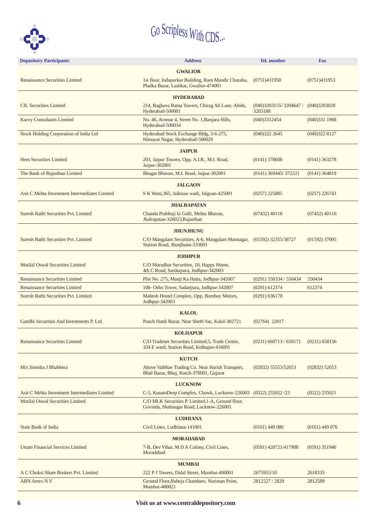

| <b>Depository Participants</b>                | <b>Address</b>                                                                                                    | <b>Tel.</b> number                                | <b>Fax</b>       |  |  |  |  |  |  |  |
|-----------------------------------------------|-------------------------------------------------------------------------------------------------------------------|---------------------------------------------------|------------------|--|--|--|--|--|--|--|
|                                               | <b>GWALIOR</b>                                                                                                    |                                                   |                  |  |  |  |  |  |  |  |
| Renaissance Securities Limited                | 1st floor, Indapurkar Building, Ram Mandir Churaha,<br>Phalka Bazar, Lashkar, Gwalior-474001                      | (0751)431950                                      | (0751)431953     |  |  |  |  |  |  |  |
|                                               |                                                                                                                   |                                                   |                  |  |  |  |  |  |  |  |
|                                               | <b>HYDERABAD</b>                                                                                                  |                                                   |                  |  |  |  |  |  |  |  |
| <b>CIL Securities Limited</b>                 | 214, Raghava Ratna Towers, Chirag Ali Lane, Abids,<br>Hyderabad-500001                                            | $(040)3203155/3204647/$ $(040)3203028$<br>3203188 |                  |  |  |  |  |  |  |  |
| <b>Karvy Consultants Limited</b>              | No. 46, Avenue 4, Street No. 1, Banjara Hills,<br>Hyderabad-500034                                                | (040)3312454                                      | (040)3311968     |  |  |  |  |  |  |  |
| Stock Holding Corporation of India Ltd        | Hyderabad Stock Exchange Bldg, 3-6-275,<br>Himayat Nagar, Hyderabad-500029                                        | (040)3222645                                      | (040)3228127     |  |  |  |  |  |  |  |
|                                               | <b>JAIPUR</b>                                                                                                     |                                                   |                  |  |  |  |  |  |  |  |
| <b>Hem Securities Limited</b>                 | 203, Jaipur Towers, Opp. A.I.R., M.I. Road,<br>$(0141)$ 378608<br>$(0141)$ 363278<br>Jaipur-302001                |                                                   |                  |  |  |  |  |  |  |  |
| The Bank of Rajasthan Limited                 | Bhagat Bhavan, M.I. Road, Jaipur-302001                                                                           | $(0141)$ 369445/372221                            | $(0141)$ 364819  |  |  |  |  |  |  |  |
|                                               | <b>JALGAON</b>                                                                                                    |                                                   |                  |  |  |  |  |  |  |  |
| Asit C Mehta Investment Intermediates Limited | S K Wani, 365, Jaikisan wadi, Jalgoan-425001                                                                      | $(0257)$ 225885                                   | $(0257)$ 226743  |  |  |  |  |  |  |  |
|                                               | <b>JHALRAPATAN</b>                                                                                                |                                                   |                  |  |  |  |  |  |  |  |
| Suresh Rathi Securities Pvt. Limited          | Chanda Prabhuji ki Galli, Mehta Bhavan,<br>Jhalrapatan-326023, Rajasthan                                          | $(07432)$ 40116                                   | $(07432)$ 40116  |  |  |  |  |  |  |  |
|                                               | <b>JHUNJHUNU</b>                                                                                                  |                                                   |                  |  |  |  |  |  |  |  |
| Suresh Rathi Securities Pvt. Limited          | C/O Mangalam Securities, A-6, Mangalam Mannagar, (01592) 32355/38727<br>Station Road, Jhunjhunu-333001            |                                                   | $(01592)$ 37005  |  |  |  |  |  |  |  |
|                                               | <b>JODHPUR</b>                                                                                                    |                                                   |                  |  |  |  |  |  |  |  |
| <b>Motilal Oswal Securities Limited</b>       | C/O Marudhar Securities, 10, Happy Home,<br>4th C Road, Sardarpura, Jodhpur-342003                                |                                                   |                  |  |  |  |  |  |  |  |
| <b>Renaissance Securities Limited</b>         | Plot No. 275, Manji Ka Hatta, Jodhpur-342007                                                                      | $(0291)$ 550334 / 550434                          | 550434           |  |  |  |  |  |  |  |
| <b>Renaissance Securities Limited</b>         | 108- Osho Tower, Sadarpura, Jodhpur-342007                                                                        | $(0291)$ 612374                                   | 612374           |  |  |  |  |  |  |  |
| <b>Suresh Rathi Securities Pvt. Limited</b>   | Mahesh Hostel Complex, Opp. Bombay Motors,<br>Jodhpur-342003                                                      | (0291) 636170                                     |                  |  |  |  |  |  |  |  |
|                                               | <b>KALOL</b>                                                                                                      |                                                   |                  |  |  |  |  |  |  |  |
| Gandhi Securities And Investments P. Ltd.     | Panch Hatdi Bazar, Near Sheth Vas, Kalol-382721                                                                   | $(02764)$ 22817                                   |                  |  |  |  |  |  |  |  |
|                                               |                                                                                                                   |                                                   |                  |  |  |  |  |  |  |  |
| Renaissance Securities Limited                | <b>KOLHAPUR</b><br>C/O Tradenet Securities Limited, 5, Trade Centre,<br>334 E ward, Station Road, Kolhapur-416001 | $(0231)$ 660713 / 650171                          | (0231) 658156    |  |  |  |  |  |  |  |
|                                               | <b>KUTCH</b>                                                                                                      |                                                   |                  |  |  |  |  |  |  |  |
| M/s Jitendra J Bhabhera                       | Above Vaibhav Trading Co. Near Harish Transport,<br>Bhid Bazar, Bhuj, Kutch-370001, Gujarat                       | $(02832)$ 55553/52653                             | $(02832)$ 52653  |  |  |  |  |  |  |  |
|                                               | <b>LUCKNOW</b>                                                                                                    |                                                   |                  |  |  |  |  |  |  |  |
| Asit C Mehta Investment Intermediates Limited | C-5, KusumDeep Complex, Chowk, Lucknow-226003 (0522) 255022 /23                                                   |                                                   | $(0522)$ 255021  |  |  |  |  |  |  |  |
| <b>Motilal Oswal Securities Limited</b>       | C/O MLK Securities P. Limited, 1-A, Ground floor,<br>Govinda, Shahnagar Road, Lucknow-226001                      |                                                   |                  |  |  |  |  |  |  |  |
|                                               | <b>LUDHIANA</b>                                                                                                   |                                                   |                  |  |  |  |  |  |  |  |
| <b>State Bank of India</b>                    | Civil Lines, Ludhiana-141001                                                                                      | $(0161)$ 449 080                                  | $(0161)$ 449 076 |  |  |  |  |  |  |  |
|                                               | <b>MORADABAD</b>                                                                                                  |                                                   |                  |  |  |  |  |  |  |  |
| <b>Uttam Financial Services Limited</b>       | 7-B, Dev Vihar, M D A Colony, Civil Lines,<br>Moradabad                                                           | $(0591)$ 428721/417908                            | $(0591)$ 351940  |  |  |  |  |  |  |  |
|                                               | <b>MUMBAI</b>                                                                                                     |                                                   |                  |  |  |  |  |  |  |  |
| A C Choksi Share Brokers Pvt. Limited         | 222 P J Towers, Dalal Street, Mumbai-400001                                                                       | 2675955/10                                        | 2618333          |  |  |  |  |  |  |  |
| <b>ABN Amro NV</b>                            | Ground Floor, Raheja Chambers, Nariman Point,<br>Mumbai-400021                                                    | 2812527 / 2829                                    | 2812589          |  |  |  |  |  |  |  |
|                                               |                                                                                                                   |                                                   |                  |  |  |  |  |  |  |  |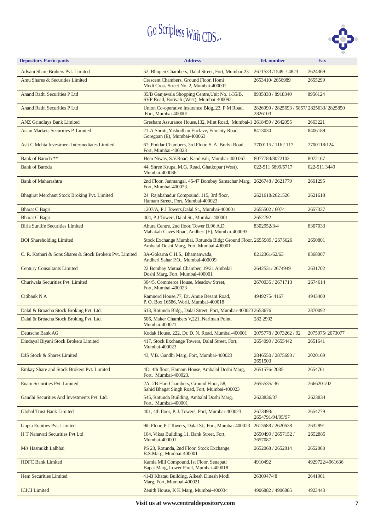

| <b>Depository Participants</b>                           | <b>Address</b>                                                                                                  | <b>Tel.</b> number                                    | <b>Fax</b>      |
|----------------------------------------------------------|-----------------------------------------------------------------------------------------------------------------|-------------------------------------------------------|-----------------|
| Advani Share Brokers Pvt. Limited                        | 52, Bhupen Chambers, Dalal Street, Fort, Mumbai-23                                                              | 2671533/1549 / 4823                                   | 2624369         |
| Amu Shares & Securities Limited                          | Crescent Chambers, Ground Floor, Homi<br>Modi Cross Street No. 2, Mumbai-400001                                 | 2653410/2656989                                       | 2655299         |
| Anand Rathi Securities P Ltd                             | 35/B Ganjawala Shopping Centre, Unit No. 1/35/B,<br>SVP Road, Borivali (West), Mumbai-400092.                   | 8935838 / 8918340                                     | 8956124         |
| Anand Rathi Securities P Ltd                             | Union Co-operative Insurance Bldg., 23, P M Road,<br>Fort, Mumbai-400001                                        | 2826999 / 2825693 / 5857/ 2825633/ 2825850<br>2826103 |                 |
| <b>ANZ Grindlays Bank Limited</b>                        | Gresham Assurance House, 132, Mint Road, Mumbai-1 2618459 / 2642055                                             |                                                       | 2663221         |
| Asian Markets Securities P. Limited                      | 21-A Shruti, Yashodhan Enclave, Filmcity Road,<br>Goregoan (E), Mumbai-400063                                   | 8413030                                               | 8406189         |
| Asit C Mehta Investment Intermediates Limited            | 67, Poddar Chambers, 3rd Floor, S. A. Brelvi Road,<br>Fort, Mumbai-400023                                       | 2700115 / 116 / 117                                   | 2700118/124     |
| Bank of Baroda **                                        | Hem Niwas, S.V.Road, Kandivali, Mumbai-400 067                                                                  | 8077784/8072102                                       | 8072167         |
| <b>Bank of Baroda</b>                                    | 44, Shree Krupa, M.G. Road, Ghatkopar (West),<br>Mumbai-400086                                                  | 022-511 6899/6717                                     | 022-511 3449    |
| <b>Bank of Maharashtra</b>                               | 2nd Floor, Janmangal, 45-47 Bombay Samachar Marg, 2626748 / 2621779<br>Fort, Mumbai-400023.                     |                                                       | 2661295         |
| Bhagirat Merchant Stock Broking Pvt. Limited             | 24 Rajabahadur Compound, 115, 3rd floor,<br>Hamam Street, Fort, Mumbai-400023                                   | 2621618/2621526                                       | 2621618         |
| <b>Bharat C Bagri</b>                                    | 1207/A, P J Towers, Dalal St., Mumbai-400001                                                                    | 2655502 / 6074                                        | 2657337         |
| <b>Bharat C Bagri</b>                                    | 404. P J Towers. Dalal St., Mumbai-400001                                                                       | 2652792                                               |                 |
| <b>Birla Sunlife Securities Limited</b>                  | Ahura Centre, 2nd floor, Tower B,96 A.D.<br>Mahakali Caves Road, Andheri (E), Mumbai-400093                     | 8302952/3/4                                           | 8307033         |
| <b>BOI</b> Shareholding Limited                          | Stock Exchange Mumbai, Rotunda Bldg; Ground Floor, 2655989 / 2675626<br>Ambalal Doshi Marg, Fort, Mumbai-400001 |                                                       | 2650801         |
| C. R. Kothari & Sons Shares & Stock Brokers Pvt. Limited | 3A-Gokarna C.H.S., Bhamanwada,<br>Andheri Sahar P.O., Mumbai-400099                                             | 8212361/62/63                                         | 8368007         |
| <b>Century Consultants Limited</b>                       | 22 Bombay Mutual Chamber, 19/21 Ambalal<br>Doshi Marg, Fort, Mumbai-400001                                      | 2642531/2674949                                       | 2631702         |
| Churiwala Securities Pvt. Limited                        | 304/5, Commerce House, Meadow Street,<br>Fort, Mumbai-400023                                                    | 2670035 / 2671713                                     | 2674614         |
| Citibank N A                                             | Ramnord House, 77, Dr. Annie Besant Road,<br>P. O. Box 16586, Worli, Mumbai-400018                              | 4949275/4167                                          | 4943400         |
| Dalal & Broacha Stock Broking Pvt. Ltd.                  | 613, Rotunda Bldg., Dalal Street, Fort, Mumbai-400023 2653676                                                   |                                                       | 2870092         |
| Dalal & Broacha Stock Broking Pvt. Ltd.                  | 506, Maker Chambers V,221, Nariman Point,<br>Mumbai-400021                                                      | 282 2992                                              |                 |
| Deutsche Bank AG                                         | Kodak House, 222, Dr. D. N. Road, Mumbai-400001                                                                 | 2075778 / 2073262 / 92                                | 2075975/2073077 |
| Dindayal Biyani Stock Brokers Limited                    | 417, Stock Exchange Towers, Dalal Street, Fort,<br>Mumbai-400023                                                | 2654099 / 2655442                                     | 2651641         |
| DJS Stock & Shares Limited                               | 43, V.B. Gandhi Marg, Fort, Mumbai-400023                                                                       | 2846550 / 2875693 /<br>2651503                        | 2020169         |
| Emkay Share and Stock Brokers Pvt. Limited               | 4D, 4th floor, Hamam House, Ambalal Doshi Marg,<br>Fort, Mumbai-400023.                                         | 2651576/2085                                          | 2654761         |
| Enam Securities Pvt. Limited                             | 2A -2B Hari Chambers, Ground Floor, 58,<br>Sahid Bhagat Singh Road, Fort, Mumbai-400023                         | 2655535/36                                            | 2666201/02      |
| Gandhi Securities And Investments Pvt. Ltd.              | 545, Rotunda Building, Ambalal Doshi Marg,<br>Fort, Mumbai-400001                                               | 2623836/37                                            | 2623834         |
| <b>Global Trust Bank Limited</b>                         | 401, 4th floor, P. J. Towers, Fort, Mumbai-400023.                                                              | 2673493/<br>2654791/94/95/97                          | 2654779         |
| Gupta Equities Pvt. Limited                              | 9th Floor, P J Towers, Dalal St., Fort, Mumbai-400023                                                           | 2613688 / 2620638                                     | 2632891         |
| H T Nanavati Securities Pvt Ltd                          | 104, Vikas Building, 11, Bank Street, Fort,<br>Mumbai-400001                                                    | 2650499 / 2657152 /<br>2657087                        | 2652885         |
| M/s Hasmukh Lalbhai                                      | PS 23, Rotunda, 2nd Floor, Stock Exchange,<br>B.S.Marg, Mumbai-400001                                           | 2652068 / 2652814                                     | 2652068         |
| <b>HDFC Bank Limited</b>                                 | Kamla Mill Compound, 1st Floor, Senapati<br>Bapat Marg, Lower Parel, Mumbai-400018                              | 4910492                                               | 4929722/4961636 |
| Hem Securities Limited                                   | 41-B Khatau Building, Alkesh Dinesh Modi<br>Marg, Fort, Mumbai-400021                                           | 2630947/48                                            | 2641961         |
| <b>ICICI</b> Limited                                     | Zenith House, K K Marg, Mumbai-400034                                                                           | 4906882 / 4906885                                     | 4923443         |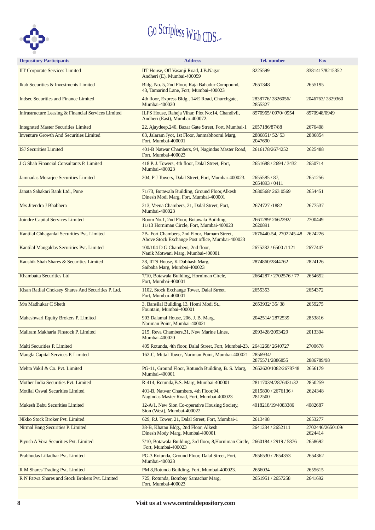

| <b>Depository Participants</b>                      | <b>Address</b>                                                                                       | <b>Tel.</b> number             | <b>Fax</b>                  |
|-----------------------------------------------------|------------------------------------------------------------------------------------------------------|--------------------------------|-----------------------------|
| <b>IIT Corporate Services Limited</b>               | IIT House, Off Vasanji Road, J.B.Nagar<br>Andheri (E), Mumbai-400059                                 | 8225599                        | 8381417/8215352             |
| Ikab Securities & Investments Limited               | Bldg. No. 5, 2nd Floor, Raja Bahadur Compound,<br>43, Tamarind Lane, Fort, Mumbai-400023             | 2651348                        | 2655195                     |
| <b>Indsec Securities and Finance Limited</b>        | 4th floor, Express Bldg., 14/E Road, Churchgate,<br>Mumbai-400020                                    | 2838776/2826056/<br>2855327    | 2046763/2829360             |
| Infrastructure Leasing & Financial Services Limited | ILFS House, Raheja Vihar, Plot No:14, Chandivli,<br>Andheri (East), Mumbai-400072.                   | 8570965/0970/0954              | 8570948/0949                |
| <b>Integrated Master Securities Limited</b>         | 22, Ajaydeep, 240, Bazar Gate Street, Fort, Mumbai-1                                                 | 2657186/87/88                  | 2676408                     |
| <b>Inventure Growth And Securities Limited</b>      | 63, Jalaram Jyot, 1st Floor, Janmabhoomi Marg,<br>Fort, Mumbai-400001                                | 2886851/52/53<br>2047690       | 2886854                     |
| <b>ISJ</b> Securities Limited                       | 401-B Natwar Chambers, 94, Nagindas Master Road,<br>Fort, Mumbai-400023                              | 2616178/2674252                | 2625488                     |
| J G Shah Financial Consultants P. Limited           | 418 P. J. Towers, 4th floor, Dalal Street, Fort,<br>Mumbai-400023                                    | 2651688 / 2694 / 3432          | 2650714                     |
| Jamnadas Morarjee Securities Limited                | 204, P J Towers, Dalal Street, Fort, Mumbai-400023.                                                  | 2655585/87,<br>2654893 / 0411  | 2651256                     |
| Janata Sahakari Bank Ltd., Pune                     | 71/73, Botawala Building, Ground Floor, Alkesh<br>Dinesh Modi Marg, Fort, Mumbai-400001              | 2630568/2630569                | 2654451                     |
| M/s Jitendra J Bhabhera                             | 213, Veena Chambers, 21, Dalal Street, Fort,<br>Mumbai-400023                                        | 2674727/1882                   | 2677537                     |
| Joindre Capital Services Limited                    | Room No.1, 2nd Floor, Botawala Building,<br>11/13 Horniman Circle, Fort, Mumbai-400023               | 2661289/2662292/<br>2620891    | 2700449                     |
| Kantilal Chhaganlal Securities Pvt. Limited         | 2B- Fort Chambers, 2nd Floor, Hamam Street,<br>Above Stock Exchange Post office, Mumbai-400023       | 2676440-54, 2702245-48         | 2624226                     |
| Kantilal Mangaldas Securities Pvt. Limited          | 100/104 D G Chambers, 2nd floor,<br>Nanik Motwani Marg, Mumbai-400001                                | 2675282 / 6500 /1121           | 2677447                     |
| Kaushik Shah Shares & Securities Limited            | 28, IITS House, K Dubhash Marg,<br>Saibaba Marg, Mumbai-400023                                       | 2874860/2844762                | 2824126                     |
| Khambatta Securities Ltd                            | 7/10, Botawala Building, Horniman Circle,<br>Fort, Mumbai-400001                                     | 2664287 / 2702576 / 77         | 2654652                     |
| Kisan Ratilal Choksey Shares And Securities P. Ltd. | 1102, Stock Exchange Tower, Dalal Street,<br>Fort, Mumbai-400001                                     | 2655353                        | 2654372                     |
| M/s Madhukar C Sheth                                | 3, Bansilal Building, 13, Homi Modi St.,<br>Fountain, Mumbai-400001                                  | 2653932/35/38                  | 2659275                     |
| Maheshwari Equity Brokers P. Limited                | 903 Dalamal House, 206, J. B. Marg,<br>Nariman Point, Mumbai-400021                                  | 2042514/2872539                | 2853816                     |
| Maliram Makharia Finstock P. Limited                | 215, Reva Chambers, 31, New Marine Lines,<br>Mumbai-400020                                           | 2093428/2093429                | 2013304                     |
| Malti Securities P. Limited                         | 405 Rotunda, 4th floor, Dalal Street, Fort, Mumbai-23. 2641268/2640727                               |                                | 2700678                     |
| Mangla Capital Services P. Limited                  | 162-C, Mittal Tower, Nariman Point, Mumbai-400021                                                    | 2856934/<br>2875571/2886855    | 2886789/98                  |
| Mehta Vakil & Co. Pvt. Limited                      | PG-11, Ground Floor, Rotunda Building, B. S. Marg,<br>Mumbai-400001                                  | 2652620/1082/2678748           | 2656179                     |
| Mother India Securities Pvt. Limited                | R-414, Rotunda, B.S. Marg, Mumbai-400001                                                             | 2811703/4/2876431/32           | 2850259                     |
| <b>Motilal Oswal Securities Limited</b>             | 401-B, Natwar Chambers, 4th Floor, 94,<br>Nagindas Master Road, Fort, Mumbai-400023                  | 2615800 / 2676136 /<br>2812500 | 2624348                     |
| <b>Mukesh Babu Securities Limited</b>               | 12-A/1, New Sion Co-operative Housing Society,<br>Sion (West), Mumbai-400022                         | 4018218/19/4083386             | 4082687                     |
| Nikko Stock Broker Pvt. Limited                     | 629, P.J. Tower, 21, Dalal Street, Fort, Mumbai-1                                                    | 2613498                        | 2653277                     |
| Nirmal Bang Securities P. Limited                   | 38-B, Khatau Bldg., 2nd Floor, Alkesh<br>Dinesh Mody Marg, Mumbai-400001                             | 2641234 / 2652111              | 2702446/2650109/<br>2624414 |
| Piyush A Vora Securities Pvt. Limited               | 7/10, Botawala Building, 3rd floor, 8, Horniman Circle, 2660184 / 2919 / 5876<br>Fort, Mumbai-400023 |                                | 2658692                     |
| Prabhudas Lilladhar Pvt. Limited                    | PG-3 Rotunda, Ground Floor, Dalal Street, Fort,<br>Mumbai-400023                                     | 2656530 / 2654353              | 2654362                     |
| R M Shares Trading Pvt. Limited                     | PM 8, Rotunda Building, Fort, Mumbai-400023.                                                         | 2656034                        | 2655615                     |
| R N Patwa Shares and Stock Brokers Pvt. Limited     | 725, Rotunda, Bombay Samachar Marg,<br>Fort, Mumbai-400023                                           | 2651951 / 2657258              | 2641692                     |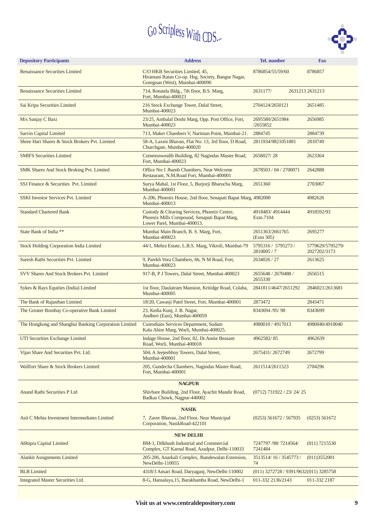

| <b>Depository Participants</b>                        | <b>Address</b>                                                                                                              | Tel. number                                 | <b>Fax</b>                       |
|-------------------------------------------------------|-----------------------------------------------------------------------------------------------------------------------------|---------------------------------------------|----------------------------------|
| <b>Renaissance Securities Limited</b>                 | C/O HKB Securities Limited, 45,<br>Hiramani Ratan Co-op. Hsg. Society, Bangur Nagar,<br>Goregoan (West), Mumbai-400090      | 8786854/55/59/60                            | 8786857                          |
| <b>Renaissance Securities Limited</b>                 | 714, Rotunda Bldg., 7th floor, B.S. Marg,<br>Fort, Mumbai-400023                                                            | 2631177/                                    | 2631213 2631213                  |
| Sai Kripa Securities Limited                          | 216 Stock Exchange Tower, Dalal Street,<br>Mumbai-400023                                                                    | 2704124/2650121                             | 2651485                          |
| M/s Sanjay C Baxi                                     | 23/25, Ambalal Doshi Marg, Opp. Post Office, Fort,<br>Mumbai-400023                                                         | 2695580/2651984<br>/2655852                 | 2656985                          |
| <b>Sarvin Capital Limited</b>                         | 713, Maker Chambers V, Nariman Point, Mumbai-21.                                                                            | 2884745                                     | 2884739                          |
| Shree Hari Shares & Stock Brokers Pvt. Limited        | 58-A, Laxmi Bhavan, Flat No: 13, 3rd floor, D Road,<br>Churchgate, Mumbai-400020                                            | 2811934/9821051881                          | 2810749                          |
| <b>SMIFS Securities Limited</b>                       | Commonwealth Building, 82 Nagindas Master Road,<br>Fort, Mumbai-400023                                                      | 2658027/28                                  | 2623364                          |
| SMK Shares And Stock Broking Pvt. Limited             | Office No:1 Jhamb Chambers, Near Welcome<br>Restaurant, N.M.Road Fort, Mumbai-400001                                        | 2678503 / 04 / 2700071                      | 2642888                          |
| SSJ Finance & Securities Pvt. Limited                 | Surya Mahal, 1st Floor, 5, Burjorji Bharucha Marg,<br>Mumbai-400001                                                         | 2651360                                     | 2703067                          |
| <b>SSKI Investor Services Pvt. Limited</b>            | A-206, Phoenix House, 2nd floor, Senapati Bapat Marg, 4982000<br>Mumbai-400013                                              |                                             | 4982626                          |
| <b>Standard Chartered Bank</b>                        | Custody & Clearing Services, Phoenix Centre,<br>Phoenix Mills Compound, Senapati Bapat Marg,<br>Lower Parel, Mumbai-400013. | 4918483/4914444<br>Extn.7104                | 4918592/93                       |
| State Bank of India **                                | Mumbai Main Branch, B. S. Marg, Fort,<br>Mumbai-400023                                                                      | 2651363/2661765<br>(Extn 305)               | 2695277                          |
| <b>Stock Holding Corporation India Limited</b>        | 44/1, Mehra Estate, L.B.S. Marg, Vikroli, Mumbai-79                                                                         | 5795316 / 5795273 /<br>2810005/7            | 5779629/5795279/<br>2027202/3173 |
| Suresh Rathi Securities Pvt. Limited                  | 9, Parekh Vora Chambers, 66, N M Road, Fort,<br>Mumbai-400023                                                               | 2634026 / 27                                | 2613625                          |
| SVV Shares And Stock Brokers Pvt. Limited             | 917-B, P J Towers, Dalal Street, Mumbai-400023                                                                              | 2655648 / 2670488 /<br>2655330              | 2656515                          |
| Sykes & Rays Equities (India) Limited                 | 1st floor, Daulatram Mansion, Kritidge Road, Colaba,<br>Mumbai-400005                                                       | 2841811/4647/2651292                        | 2846021/2613681                  |
| The Bank of Rajasthan Limited                         | 18/20, Cawasji Patel Street, Fort, Mumbai-400001                                                                            | 2873472                                     | 2843471                          |
| The Greater Bombay Co-operative Bank Limited          | 23, Kedia Kunj, J. B. Nagar,<br>Andheri (East), Mumbai-400059                                                               | 8343694 /95/98                              | 8343699                          |
| The Hongkong and Shanghai Banking Corporation Limited | Custodians Services Department, Sudam<br>Kalu Ahire Marg, Worli, Mumbai-400025.                                             | 4980010/4917013                             | 4980040/4910040                  |
| UTI Securities Exchange Limited                       | Indage House, 2nd floor, 82, Dr.Annie Beasant<br>Road, Worli, Mumbai-400018                                                 | 4962582/85                                  | 4962639                          |
| Vijan Share And Securities Pvt. Ltd.                  | 504, A Jeejeebhoy Towers, Dalal Street,<br>Mumbai-400001                                                                    | 2675431/2672749                             | 2672799                          |
| Wallfort Share & Stock Brokers Limited                | 205, Gundecha Chambers, Nagindas Master Road,<br>Fort, Mumbai-400001                                                        | 2611514/2611523                             | 2704296                          |
|                                                       | <b>NAGPUR</b>                                                                                                               |                                             |                                  |
| Anand Rathi Securities P Ltd                          | Shivhare Building, 2nd Floor, Ayachit Mandir Road,<br>Badkas Chowk, Nagpur-440002                                           | (0712) 731922 / 23 / 24 / 25                |                                  |
|                                                       | <b>NASIK</b>                                                                                                                |                                             |                                  |
| Asit C Mehta Investment Intermediates Limited         | 7, Zaver Bhavan, 2nd Floor, Near Municipal<br>Corporation, NasikRoad-422101                                                 | $(0253)$ 561672 / 567935                    | (0253) 561672                    |
|                                                       | <b>NEW DELHI</b>                                                                                                            |                                             |                                  |
| Abhipra Capital Limited                               | BM-1, Dilkhush Industrial and Commercial<br>Complex, GT Karnal Road, Azadpur, Delhi-110033                                  | 7247797 /98/ 7214564/<br>7241484            | $(011)$ 7215530                  |
| <b>Alankit Assignments Limited</b>                    | 205-206, Anarkali Complex, Jhandewalan Extension,<br>NewDelhi-110055                                                        | 3513514/16/3545773/<br>74                   | (011)3552001                     |
| <b>BLB</b> Limited                                    | 4318/3 Ansari Road, Daryaganj, NewDelhi-110002                                                                              | $(011)$ 3272728 / 9391/9632 $(011)$ 3285758 |                                  |
| <b>Integrated Master Securities Ltd.</b>              | 8-G, Hansalaya, 15, Barakhamba Road, NewDelhi-1                                                                             | 011-332 2136/2143                           | 011-332 2187                     |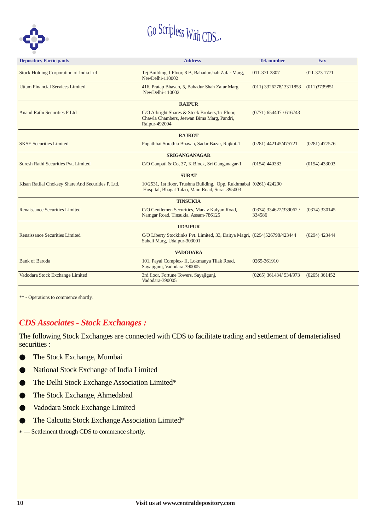

| <b>Depository Participants</b>                                                                                                                                             | <b>Address</b>                                                                                                        | <b>Tel.</b> number                 | <b>Fax</b>      |  |  |  |  |  |
|----------------------------------------------------------------------------------------------------------------------------------------------------------------------------|-----------------------------------------------------------------------------------------------------------------------|------------------------------------|-----------------|--|--|--|--|--|
| Stock Holding Corporation of India Ltd                                                                                                                                     | Tej Building, I Floor, 8 B, Bahadurshah Zafar Marg,<br>NewDelhi-110002                                                | 011-371 2807                       | 011-373 1771    |  |  |  |  |  |
| <b>Uttam Financial Services Limited</b>                                                                                                                                    | 416, Pratap Bhavan, 5, Bahadur Shah Zafar Marg,<br>NewDelhi-110002                                                    | $(011)$ 3326278/3311853            | (011)3739851    |  |  |  |  |  |
|                                                                                                                                                                            | <b>RAIPUR</b>                                                                                                         |                                    |                 |  |  |  |  |  |
| Anand Rathi Securities P Ltd<br>C/O Albright Shares & Stock Brokers, 1st Floor,<br>$(0771)$ 654407 / 616743<br>Chawla Chambers, Jeewan Bima Marg, Pandri,<br>Raipur-492004 |                                                                                                                       |                                    |                 |  |  |  |  |  |
|                                                                                                                                                                            | <b>RAJKOT</b>                                                                                                         |                                    |                 |  |  |  |  |  |
| <b>SKSE Securities Limited</b>                                                                                                                                             | Popatbhai Sorathia Bhavan, Sadar Bazar, Rajkot-1                                                                      | (0281) 442145/475721               | $(0281)$ 477576 |  |  |  |  |  |
|                                                                                                                                                                            | <b>SRIGANGANAGAR</b>                                                                                                  |                                    |                 |  |  |  |  |  |
| Suresh Rathi Securities Pvt. Limited                                                                                                                                       | C/O Ganpati & Co, 37, K Block, Sri Ganganagar-1                                                                       | $(0154)$ 440383                    | $(0154)$ 433003 |  |  |  |  |  |
|                                                                                                                                                                            | <b>SURAT</b>                                                                                                          |                                    |                 |  |  |  |  |  |
| Kisan Ratilal Choksey Share And Securities P. Ltd.                                                                                                                         | 10/2531, 1st floor, Trushna Building, Opp. Rukhmabai (0261) 424290<br>Hospital, Bhagat Talao, Main Road, Surat-395003 |                                    |                 |  |  |  |  |  |
|                                                                                                                                                                            | <b>TINSUKIA</b>                                                                                                       |                                    |                 |  |  |  |  |  |
| Renaissance Securities Limited                                                                                                                                             | C/O Gentlemen Securities, Manav Kalyan Road,<br>Namgar Road, Tinsukia, Assam-786125                                   | $(0374)$ 334622/339062 /<br>334586 | $(0374)$ 330145 |  |  |  |  |  |
|                                                                                                                                                                            | <b>UDAIPUR</b>                                                                                                        |                                    |                 |  |  |  |  |  |
| Renaissance Securities Limited                                                                                                                                             | C/O Liberty Stocklinks Pvt. Limited, 33, Daitya Magri, (0294)526798/423444<br>Saheli Marg, Udaipur-303001             |                                    | $(0294)$ 423444 |  |  |  |  |  |
|                                                                                                                                                                            | <b>VADODARA</b>                                                                                                       |                                    |                 |  |  |  |  |  |
| <b>Bank of Baroda</b>                                                                                                                                                      | 101, Payal Complex- II, Lokmanya Tilak Road,<br>Sayajigunj, Vadodara-390005                                           | 0265-361910                        |                 |  |  |  |  |  |
| Vadodara Stock Exchange Limited                                                                                                                                            | 3rd floor, Fortune Towers, Sayajigunj,<br>Vadodara-390005                                                             | (0265) 361434/ 534/973             | $(0265)$ 361452 |  |  |  |  |  |

\*\* - Operations to commence shortly.

#### *CDS Associates - Stock Exchanges :*

The following Stock Exchanges are connected with CDS to facilitate trading and settlement of dematerialised securities :

- The Stock Exchange, Mumbai  $\bullet$
- National Stock Exchange of India Limited  $\bullet$
- The Delhi Stock Exchange Association Limited\*  $\bullet$
- The Stock Exchange, Ahmedabad  $\bullet$
- Vadodara Stock Exchange Limited ●
- The Calcutta Stock Exchange Association Limited\* ●
- \* Settlement through CDS to commence shortly.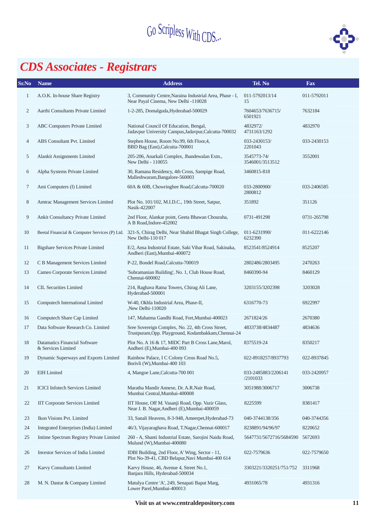

# *CDS Associates - Registrars*

| Sr.No        | <b>Name</b>                                                | <b>Address</b>                                                                                                            | Tel. No                         | <b>Fax</b>  |
|--------------|------------------------------------------------------------|---------------------------------------------------------------------------------------------------------------------------|---------------------------------|-------------|
| $\mathbf{1}$ | A.O.K. In-house Share Registry                             | 3, Community Centre, Naraina Industrial Area, Phase - I,<br>Near Payal Cinema, New Delhi -110028                          | 011-5792013/14<br>15            | 011-5792011 |
| $\mathbf{2}$ | Aarthi Consultants Private Limited                         | 1-2-285, Domalguda, Hyderabad-500029                                                                                      | 7604653/7636715/<br>6501921     | 7632184     |
| 3            | ABC Computers Private Limited                              | National Council Of Education, Bengal,<br>Jadavpur University Campus, Jadavpur, Calcutta-700032                           | 4832972/<br>4731163/1292        | 4832970     |
| 4            | ABS Consultant Pvt. Limited                                | Stephen House, Room No.99, 6th Floor, 4,<br>BBD Bag (East), Calcutta-700001                                               | 033-2430153/<br>2201043         | 033-2430153 |
| 5            | Alankit Assignments Limited                                | 205-206, Anarkali Complex, Jhandewalan Extn.,<br>New Delhi - 110055                                                       | 3545773-74/<br>3546001/3513512  | 3552001     |
| 6            | Alpha Systems Private Limited                              | 30, Ramana Residency, 4th Cross, Sampige Road,<br>Malleshwaram, Bangalore-560003                                          | 3460815-818                     |             |
| $\tau$       | Ami Computers (I) Limited                                  | 60A & 60B, Chowringhee Road, Calcutta-700020                                                                              | 033-2800900/<br>2800812         | 033-2406585 |
| 8            | Amtrac Management Services Limited                         | Plot No. 101/102, M.I.D.C., 19th Street, Satpur,<br>Nasik-422007                                                          | 351892                          | 351126      |
| 9            | Ankit Consultancy Private Limited                          | 2nd Floor, Alankar point, Geeta Bhawan Chouraha,<br>A B Road, Indore-452002                                               | 0731-491298                     | 0731-265798 |
| 10           |                                                            | Beetal Financial & Computer Services (P) Ltd. 321-S, Chirag Delhi, Near Shahid Bhagat Singh College,<br>New Delhi-110 017 | 011-6231990/<br>6232390         | 011-6222146 |
| 11           | <b>Bigshare Services Private Limited</b>                   | E/2, Ansa Industrial Estate, Saki Vihar Road, Sakinaka,<br>Andheri (East), Mumbai-400072                                  | 8523541/8524914                 | 8525207     |
| 12           | C B Management Services Limited                            | P-22, Bondel Road, Calcutta-700019                                                                                        | 2802486/2803495                 | 2470263     |
| 13           | Cameo Corporate Services Limited                           | 'Subramanian Building', No. 1, Club House Road,<br>Chennai-600002                                                         | 8460390-94                      | 8460129     |
| 14           | <b>CIL Securities Limited</b>                              | 214, Raghava Ratna Towers, Chirag Ali Lane,<br>Hyderabad-500001                                                           | 3203155/3202398                 | 3203028     |
| 15           | Computech International Limited                            | W-40, Okhla Industrial Area, Phase-II,<br>New Delhi-110020                                                                | 6316770-73                      | 6922997     |
| 16           | Computech Share Cap Limited                                | 147, Mahatma Gandhi Road, Fort, Mumbai-400023                                                                             | 2671824/26                      | 2670380     |
| 17           | Data Software Research Co. Limited                         | Sree Sovereign Complex, No. 22, 4th Cross Street,<br>Trustpuram, Opp. Playground, Kodambakkam, Chennai-24                 | 4833738/4834487                 | 4834636     |
| 18           | <b>Datamatics Financial Software</b><br>& Services Limited | Plot No. A 16 & 17, MIDC Part B Cross Lane, Marol,<br>Andheri (E), Mumbai-400 093                                         | 8375519-24                      | 8350217     |
| 19           | Dynamic Superways and Exports Limited                      | Rainbow Palace, I C Colony Cross Road No.5,<br>Borivli (W), Mumbai-400 103                                                | 022-8918257/8937793             | 022-8937845 |
| 20           | <b>EIH</b> Limited                                         | 4, Mangoe Lane, Calcutta-700 001                                                                                          | 033-2485883/2206141<br>/2101033 | 033-2420957 |
| 21           | <b>ICICI</b> Infotech Services Limited                     | Maratha Mandir Annexe, Dr. A.R.Nair Road,<br>Mumbai Central, Mumbai-400008                                                | 3051988/3006717                 | 3006738     |
| 22           | <b>IIT Corporate Services Limited</b>                      | IIT House, Off M. Vasanji Road, Opp. Vazir Glass,<br>Near J. B. Nagar, Andheri (E), Mumbai-400059                         | 8225599                         | 8381417     |
| 23           | Ikon Visions Pvt. Limited                                  | 33, Sanali Heavens, 8-3-948, Ameerpet, Hyderabad-73                                                                       | 040-3744138/356                 | 040-3744356 |
| 24           | Integrated Enterprises (India) Limited                     | 46/3, Vijayaraghava Road, T.Nagar, Chennai-600017                                                                         | 8238891/94/96/97                | 8220652     |
| 25           | Intime Spectrum Registry Private Limited                   | 260 - A, Shanti Industrial Estate, Sarojini Naidu Road,<br>Mulund (W), Mumbai-400080                                      | 5647731/5672716/5684590         | 5672693     |
| 26           | Investor Services of India Limited                         | IDBI Building, 2nd Floor, A' Wing, Sector - 11,<br>Plot No-39-41, CBD Belapur, Navi Mumbai-400 614                        | 022-7579636                     | 022-7579650 |
| 27           | Karvy Consultants Limited                                  | Karvy House, 46, Avenue 4, Street No.1,<br>Banjara Hills, Hyderabad-500034                                                | 3303221/3320251/751/752         | 3311968     |
| 28           | M. N. Dastur & Company Limited                             | Matulya Centre 'A', 249, Senapati Bapat Marg,<br>Lower Parel, Mumbai-400013                                               | 4931065/78                      | 4931316     |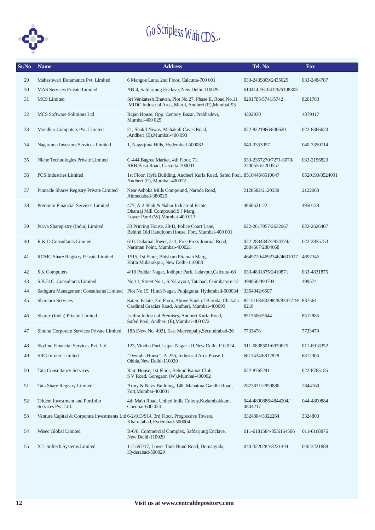

| Sr.No | <b>Name</b>                                            | <b>Address</b>                                                                                                           | Tel. No                                   | <b>Fax</b>      |
|-------|--------------------------------------------------------|--------------------------------------------------------------------------------------------------------------------------|-------------------------------------------|-----------------|
| 29    | Maheshwari Datamatics Pvt. Limited                     | 6 Mangoe Lane, 2nd Floor, Calcutta-700 001                                                                               | 033-2435809/2435029                       | 033-2484787     |
| 30    | <b>MAS Services Private Limited</b>                    | AB-4, Safdarjung Enclave, New Delhi-110029                                                                               | 6104142/6104326/6108303                   |                 |
| 31    | <b>MCS</b> Limited                                     | Sri Venkatesh Bhavan, Plot No.27, Phase II, Road No.11<br>,MIDC Industrial Area, Marol, Andheri (E),Mumbai-93            | 8201785/5741/5742                         | 8201783         |
| 32    | <b>MCS</b> Software Solutions Ltd                      | Rajan House, Opp. Century Bazar, Prabhadevi,<br>Mumbai-400 025                                                           | 4302930                                   | 4379417         |
| 33    | Mondkar Computers Pvt. Limited                         | 21, Shakil Niwas, Mahakali Caves Road,<br>,Andheri (E),Mumbai-400 093                                                    | 022-8221966/836620                        | 022-8366620     |
| 34    | Nagarjuna Investors Services Limited                   | 1, Nagarjuna Hills, Hyderabad-500082                                                                                     | 040-3353057                               | 040-3350714     |
| 35    | Niche Technologies Private Limited                     | C-444 Bagree Market, 4th Floor, 71,<br>BRB Basu Road, Calcutta-700001                                                    | 033-2357270/7271/3070/<br>2200556/2200557 | 033-2156823     |
| 36    | <b>PCS</b> Industries Limited                          | 1st Floor, Hyfa Building, Andheri Kurla Road, Safed Pool, 8510446/8510647<br>Andheri (E), Mumbai-400072                  |                                           | 8520193/8524091 |
| 37    | Pinnacle Shares Registry Private Limited               | Near Ashoka Mills Compound, Naroda Road,<br>Ahmedabad-380025                                                             | 2120582/2120338                           | 2122963         |
| 38    | Premium Financial Services Limited                     | 477, A-2 Shah & Nahar Industrial Estate,<br>Dhanraj Mill Compound, S J Marg,<br>Lower Parel (W), Mumbai-400 013          | 4960621-22                                | 4950128         |
| 39    | Purva Sharegistry (India) Limited                      | 33 Printing House, 28-D, Police Court Lane,<br>Behind Old Handloom House, Fort, Mumbai-400 001                           | 022-2617957/2632967                       | 022-2626407     |
| 40    | R & D Consultants Limited                              | 610, Dalamal Tower, 211, Free Press Journal Road,<br>Nariman Point, Mumbai-400021                                        | 022-2834347/2834374/<br>2884667/2884668   | 022-2855753     |
| 41    | RCMC Share Registry Private Limited                    | 1515, 1st Floor, Bhisham Pitamah Marg,<br>Kotla Mubarakpur, New Delhi-110003                                             | 4649720/4692346/4601017 4692345           |                 |
| 42    | S K Computers                                          | 4/18 Poddar Nagar, Jodhpur Park, Jadavpur, Calcutta-68                                                                   | 033-4831875/2410871                       | 033-4831875     |
| 43    | S.K.D.C. Consultants Limited                           | No.11, Street No.1, S.N.Layout, Tatabad, Coimbatore-12                                                                   | 499856/494704                             | 499574          |
| 44    | Sathguru Management Consultants Limited                | Plot No.15, Hindi Nagar, Punjagutta, Hyderabad-500034                                                                    | 3354042/6507                              |                 |
| 45    | Sharepro Services                                      | Satam Estate, 3rd Floor, Above Bank of Baroda, Chakala<br>Cardinal Gracias Road, Andheri, Mumbai-400099                  | 8215168/8329828/8347719/837564<br>8218    |                 |
| 46    | Sharex (India) Private Limited                         | Luthra Industrial Premises, Andheri Kurla Road,<br>Safed Pool, Andheri (E), Mumbai-400 072                               | 8515606/5644                              | 8512885         |
| 47    | Sindhu Corporate Services Private Limited              | 18A[New No. 492], East Marredpally, Secundrabad-26                                                                       | 7733478                                   | 7733479         |
| 48    | Skyline Financial Services Pvt. Ltd.                   | 123, Vinoba Puri, Lajpat Nagar - II, New Delhi-110 024                                                                   | 011-6838501/6920625                       | 011-6918352     |
| 49    | SRG Infotec Limited                                    | "Devraha House", A-256, Industrial Area, Phase-I,<br>Okhla, New Delhi-110020                                             | 6812434/6812828                           | 6812366         |
| 50    | <b>Tata Consultancy Services</b>                       | Ram House, 1st Floor, Behind Kamat Club,<br>S V Road, Goregaon (W), Mumbai-400062                                        | 022-8765241                               | 022-8765185     |
| 51    | Tata Share Registry Limited                            | Army & Navy Building, 148, Mahatma Gandhi Road,<br>Fort, Mumbai-400001                                                   | 2873831/2850886                           | 2844160         |
| 52    | Trident Investment and Portfolio<br>Services Pvt. Ltd. | 4th Main Road, United India Colony, Kodambakkam,<br>Chennai-600 024                                                      | 044-4800886/4844204/<br>4844217           | 044-4800884     |
| 53    |                                                        | Venture Capital & Corporate Investments Ltd 6-2-913/914, 3rd Floor, Progressive Towers,<br>Khairatabad, Hyderabad-500004 | 3324804/3322264                           | 3324803         |
| 54    | Wisec Global Limited                                   | B-6/6, Commercial Complex, Safdarjung Enclave,<br>New Delhi-110029                                                       | 011-6181584-85/6164506                    | 011-6168876     |
| 55    | X L Softech Systems Limited                            | 1-2-597/17, Lower Tank Bund Road, Domalguda,<br>Hyderabad-500029                                                         | 040-3220284/3221444                       | 040-3221888     |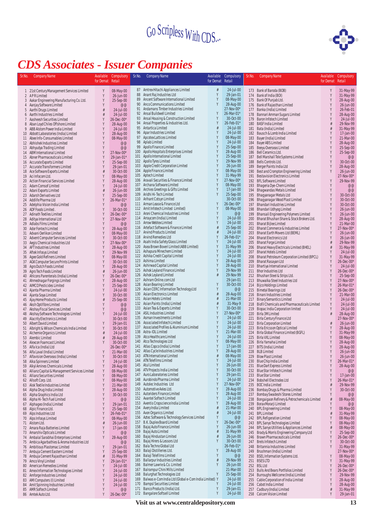

## *CDS Associates - Issuer Companies*

| Sr.No.          | <b>Company Name</b>                                                                | Available<br>for Demat | Compulsory<br>Retail     | Sr.No.     | <b>Company Name</b>                                                                       | Available<br>for Demat | Compulsory<br>Retail    | Sr.No.     | <b>Company Name</b>                                                             | Available<br>for Demat | Compulsory<br>Retail          |
|-----------------|------------------------------------------------------------------------------------|------------------------|--------------------------|------------|-------------------------------------------------------------------------------------------|------------------------|-------------------------|------------|---------------------------------------------------------------------------------|------------------------|-------------------------------|
|                 | 1 21st Century Management Services Limited                                         | Y                      | 08-May-00                |            | 87 Amtrex Hitachi Appliances Limited                                                      | #                      | 24-Jul-00               |            | 173 Bank of Baroda (BOB)                                                        | Y                      | 31-May-99                     |
| 2               | APRLimited                                                                         | Y                      | 26-Jun-00                | 88<br>89   | Anant Raj Industries Ltd                                                                  | Y<br>Y                 | 29-Jan-01               | 174        | Bank of India (BOI)                                                             | Y                      | 31-May-99                     |
| 4               | 3 Aakar Engineering Manufacturing Co. Ltd.<br>Aanjay Software Limited              | Y<br>Y                 | 25-Sep-00<br>@@          | 90         | Ancent Software International Limited<br>Anco Communications Limited                      | Y                      | 08-May-00<br>28-Aug-00  |            | 175 Bank Of Punjab Ltd.<br>176 Bank of Rajasthan Limited                        |                        | 28-Aug-00<br>26-Jun-00        |
| 5               | Aarthi Drugs Limited                                                               | #                      | 24-Jul-00                |            | 91 Andamans Timber Industries Limited                                                     |                        | 27-Nov-00*              | 177        | Banka (India) Limited                                                           |                        | 26-Feb-01                     |
| $\overline{7}$  | 6 Aarthi Industries Limited<br>Aasheesh Securities Limited                         | $\frac{1}{t!}$<br>Y    | 24-Jul-00<br>26-Dec-00*  | 93         | 92 Ansal Buildwell Limited<br>Ansal Housing & Construction Limited                        |                        | 26-Mar-01*<br>30-Oct-00 | 178<br>179 | Bannari Amman Sugars Limited<br><b>Baron Infotech Limited</b>                   |                        | 28-Aug-00<br>24-Jul-00        |
| 8               | Aban Loyd Chiles Offshore Limited                                                  | Y                      | 28-Aug-00                |            | 94 Ansal Properties & Industries Ltd.                                                     |                        | 26-Feb-01*              | 180        | <b>BASF India Limited</b>                                                       |                        | 29-Nov-99                     |
| 9               | ABB Alstom Power India Limited                                                     |                        | 24-Jul-00                |            | 95 Antartica Limited                                                                      | #                      | 24-Jul-00               | 181        | Bata (India) Limited                                                            |                        | 31-May-99                     |
| 11              | 10 Abbott Laboratories (India) Limited<br>Abee Info-Consumables Limited            |                        | 28-Aug-00<br>08-May-00   | 97         | 96 Apar Industries Limited<br>Apcotex Lattices Limited                                    | Y                      | 24-Jul-00<br>08-May-00  | 182<br>183 | Bausch & Lomb India Limited<br>Bayer (India) Limited                            |                        | 17-Jan-00<br>21-Mar-00        |
|                 | 12 Abhishek Industries Limited                                                     |                        | @@                       | 98         | Aplab Limited                                                                             |                        | 24-Jul-00               |            | 184 Bayer ABS Limited                                                           |                        | 28-Aug-00                     |
| 13              | Abhyudya Trading Limited                                                           |                        | @@                       | 99<br>100  | Apollo Finance Limited<br>Apollo Hospitals Enterprises Limited                            | Y                      | 25-Sep-00<br>28-Aug-00  | 185        | Beeyu Overseas Limited                                                          |                        | 25-Sep-00                     |
| 14              | ABM International Limited<br>15 Abner Pharmaceuticals Limited                      |                        | 27-Nov-00*<br>29-Jan-01* | 101        | Apollo International Limited                                                              |                        | 25-Sep-00               | 186<br>187 | Bell Ceramics Ltd.<br>Bell Marshall Tele Systems Limited                        |                        | 25-Sep-00<br>@@               |
|                 | 16 Accurate Exports Limited                                                        |                        | 25-Sep-00                | 102        | Apollo Tyres Limited                                                                      |                        | 29-Nov-99               | 188        | Bells Controls Ltd.                                                             |                        | 30-Oct-00                     |
| 17<br>18        | Accurate Transformers Limited<br>Ace Software Exports Limited                      |                        | 29-Jan-01<br>30-Oct-00   | 103        | Apple Credit Corporation Limited<br>104 Apple Finance Limited                             |                        | 26-Jun-00<br>08-May-00  | 189<br>190 | Berger Paints India Ltd<br>Best and Crompton Engineering Limited                | Y                      | 28-Aug-00<br>26-Jun-00        |
| 19              | Aci Infocom Ltd.                                                                   |                        | 08-May-00                | 105        | Aptech Limited                                                                            |                        | 31-May-99               | 191        | <b>Bestavision Electronics Limited</b>                                          |                        | 27-Nov-00*                    |
| 20              | Action Financial Services Limited                                                  |                        | 28-Aug-00                | 106        | Aravali Securities & Finance Limited<br>107 Archana Software Limited                      |                        | 27-Nov-00*<br>08-May-00 |            | 192 BFL Software Limited                                                        | Y<br>Y                 | 29-Nov-99                     |
| 21              | Adam Comsof Limited<br>22 Adani Exports Limited                                    |                        | 24-Jul-00<br>26-Jun-00   | 108        | Archies Greetings & Gifts Limited                                                         |                        | 17-Jan-00               | 193<br>194 | Bhageria Dye-Chem Limited<br><b>Bhagwandas Metals Limited</b>                   | Y                      | @@<br>@@                      |
| 23              | Adarsh Derivatives Ltd                                                             |                        | 25-Sep-00                | 109        | Aridhi Hi-Tech Limited                                                                    | Y                      | 25-Sep-00               | 195        | Bhagyanagar Metals Ltd                                                          | Y                      | 30-Oct-00                     |
| 24<br>25        | Addlife Pharma Ltd<br>Adelphia Vision India Limited                                | Y                      | 26-Mar-01*<br>@@         |            | 110 Arihant Cotsyn Limited<br>111 Arman Lease & Finance Ltd                               | Y                      | 30-Oct-00<br>26-Dec-00* | 196<br>197 | Bhagyanagar Wood Plast Limited<br><b>Bhandari Industries Limited</b>            | Y<br>Y                 | 30-Oct-00<br>30-Oct-00        |
|                 | 26 ADF Foods Limited                                                               |                        | 30-Oct-00                |            | 112 Arnit Infotech Limited Limited)                                                       | Y                      | 08-May-00               | 198        | Bhandari Udhyog Limited                                                         | Y                      | 26-Jun-00                     |
|                 | 27 Adinath Textiles Limited                                                        | Y                      | $26 - Dec -00*$          |            | 113 Aroni Chemical Industries Limited<br>114 Arraycom (India) Limited                     | Y<br>γ                 | @@<br>24-Jul-00         | 199        | Bhansali Engineering Polymers Limited                                           | Y                      | 26-Jun-00                     |
| 28<br>29        | Aditya International Ltd<br>Adlabs Films Limited                                   | γ<br>γ                 | 27-Nov-00*<br>@@         |            | 115 Arrow Webtex Limited                                                                  | Y                      | 24-Jul-00               | 200<br>201 | Bharat Bhushan Share & Stock Brokers Ltd.<br><b>Bharat Bijlee Limited</b>       | Y<br>Y                 | 28-Aug-00<br>21-Mar-00        |
| 30 <sup>°</sup> | Ador Fontech Limited                                                               |                        | 28-Aug-00                |            | 116 Artefact Software & Finance Limited                                                   | #                      | 25-Sep-00               | 202        | Bharat Commerce & Industries Limited                                            |                        | 27-Nov-00*                    |
| 32              | 31 Advani Oerlikon Limited<br>Advent Computer Services Limited                     | Y<br>Y                 | 08-May-00<br>30-Oct-00   |            | 117 Arvind Products Limited<br>118 Arvind Remedies Ltd                                    |                        | 24-Jul-00<br>26-Feb-01* | 203<br>204 | Bharat Earth Movers Ltd (BEML)<br><b>Bharat Electronics Ltd</b>                 | Y                      | 26-Jun-00<br>26-Jun-00        |
| 33              | Aegis Chemical Industries Ltd                                                      | Y                      | 27-Nov-00*               |            | 119 Asahi India Safety Glass Limited                                                      | Y                      | 24-Jul-00               | 205        | <b>Bharat Forge Limited</b>                                                     |                        | 29-Nov-99                     |
|                 | 34 AFT Industries Limited                                                          | Y                      | 28-Aug-00                | 120        | Asea Brown Boveri Limited (ABB Limited)<br>121 Ashapura Minechem Limited                  | Y<br>Y                 | 31-May-99<br>24-Jul-00  | 206        | Bharat Heavy Electricals Limited (BHEL)                                         |                        | 31-May-99                     |
| 36              | 35 Aftek Infosys Limited<br>Agee Gold Refiners Limited                             | Y<br>γ                 | 29-Nov-99<br>08-May-00   |            | 122 Ashika Credit Capital Limited                                                         | Y                      | 24-Jul-00               | 207<br>208 | <b>Bharat Hotels Limited</b><br>Bharat Petroleum Corporation Limited (BPCL)     | Y                      | 24-Jul-00<br>31-May-99        |
| 37              | AGK Computer Secure Prints Limited                                                 | Y                      | 30-Oct-00                |            | 123 Ashima Limited                                                                        | Y                      | 28-Aug-00               | 209        | Bharat Rasayan Ltd                                                              | Y                      | 26-Dec-00*                    |
| 38              | Agro Dutch Foods Limited                                                           | #                      | 28-Aug-00                | 125        | 124 Ashirwad Capital Limited<br>Ashok Leyland Finance Limited                             |                        | 28-Aug-00<br>29-Nov-99  | 210<br>211 | Bhartiya International Limited                                                  |                        | 24-Jul-00<br>26-Dec-00*       |
| 40              | 39 Agro Tech Foods Limited<br>Ahlcons Parenterals (India) Limited                  | Y                      | 26-Jun-00<br>26-Dec-00*  |            | 126 Ashok Leyland Limited                                                                 |                        | 29-Nov-99               | 212        | <b>Bhor Industries Ltd</b><br>Bhushan Steel & Strips Ltd.                       |                        | 25-Sep-00                     |
|                 | 41 Ahmednagar Forgings Limited                                                     | Y                      | 28-Aug-00                |            | 127 Ashram Online.com Ltd                                                                 |                        | 29-Jan-01               | 213        | Bhuwalka Steel Industries Ltd                                                   | Y                      | 27-Nov-00*                    |
|                 | 42 AIMCO Pesticides Limited<br>43 Ajanta Pharma Limited                            |                        | 25-Sep-00<br>24-Jul-00   | 128<br>129 | Asian Bearing Limited<br>Asian CERC Information Technology Ltd                            | γ                      | 30-Oct-00<br>@@         | 214        | <b>Bijco Holdings Limited</b><br>215 Bimetal Bearings Ltd                       | Y<br>Y                 | 26-Mar-01*<br>$26 - Dec -00*$ |
|                 | 44 Ajanta Soya Limited                                                             |                        | 30-Oct-00                |            | 130 Asian Electronics Limited                                                             |                        | 28-Aug-00               | 216        | <b>Binani Industries Limited</b>                                                | Y                      | 21-Mar-00                     |
|                 | 45 Ajay Home Products Limited                                                      | $\frac{1}{t!}$         | 25-Sep-00<br>@@          | 132        | 131 Asian Hotels Limited<br>Asian Paints (India) Limited                                  | #                      | 21-Mar-00<br>31-May-9   | 217<br>218 | <b>Binary Semantics Limited</b><br>Biofil Chemicals and Pharmaceuticals Limited | Y<br>Y                 | 24-Jul-00<br>24-Jul-00        |
| 46<br>47        | Aksh Optifibre Limited<br>Akshay Fiscal Services Limited                           |                        | @@                       | 133        | Asian Tea & Exports Limited                                                               |                        | 30-Oct-00               | 219        | Biopac India Corporation limited                                                |                        | 24-Jul-00                     |
| 48              | Akshay Software Technologies Limited                                               |                        | 24-Jul-00                |            | 134 ASIL Industries Limited<br>135 Asman Investments Limited                              | Y                      | 27-Nov-00*<br>24-Jul-00 | 220        | Birla 3M Limited                                                                |                        | 28-Aug-00                     |
| 49<br>50        | Alacrity Electronics Limited<br>Albert David Limited                               |                        | 30-Oct-00<br>29-Jan-01   | 136        | Associated Infotech Limited                                                               | Y                      | 24-Jul-00               | 221<br>222 | Birla Century Finance Ltd<br><b>Birla Corporation Limited</b>                   |                        | 27-Nov-00*<br>26-Jun-00       |
|                 | 51 Albright & Wilson Chemicals India Limited                                       | Y                      | 30-Oct-00                | 137        | Associated Profiles & Aluminium Limited                                                   | Y                      | $24$ -Jul-00            | 223        | Birla Ericsson Optical Limited                                                  |                        | 28-Aug-00                     |
|                 | 52 Alchemie Organics Limited<br>53 Alembic Limited                                 | #                      | 24-Jul-00<br>28-Aug-00   | 139        | 138 Astra-IDL Limited<br>Atco Healthcare Limited                                          | Y                      | 21-Mar-00<br>24-Jul-00  |            | 224 Birla Global Finance Limited (BGFL)<br>225 Birla VXL Limited                | Y                      | 31-May-99<br>08-May-00        |
| 54              | Alexcon Foamcast Limited                                                           |                        | 30-Oct-00                | 140        | Atco Technologies Ltd                                                                     |                        | 08-May-00               | 226        | Birla Yamaha Limited                                                            |                        | 28-Aug-00                     |
| 55              | Alfa Ica (India) Ltd                                                               |                        | 26-Dec-00*               | 141        | Atlas Copco (India) Limited<br>142 Atlas Cycle Industries Limited                         |                        | 17-Jan-00<br>28-Aug-00  |            | 227 BITS (India) Limited                                                        | Y                      | 28-Aug-00                     |
| 5/              | 56 Alfa Laval (India) Limited<br>Alfavision Overseas (India) Limited               |                        | 21-Mar-00<br>30-0ct-00   |            | 143 ATN International Limited                                                             |                        | 08-May-00               | 228        | <b>BLB Limited</b><br>229 Blow Plast Limited                                    |                        | 26-Jun-00<br>26-Jun-00        |
|                 | 58 Alka Spinners Limited                                                           | Y                      | 24-Jul-00                |            | 144 ATN Telefilms Limited                                                                 | Y<br>γ                 | 24-Jul-00               | 230        | Blue Chip India Limited                                                         | Y                      | 26-Mar-01*                    |
| 60              | 59 Alkyl Amines Chemicals Limited<br>Allianz Capital & Management Services Limited | Y<br>Y                 | 28-Aug-00<br>08-May-00   |            | 145 Atul Limited<br>146 ATV Projects India Limited                                        | Y                      | 26-Jun-00<br>30-Oct-00  | 232        | 231 Blue Dart Express Limited<br>Blue Star Infotech Limited                     | Y                      | 28-Aug-00<br>@@               |
|                 | 61 Allianz Securities Limited                                                      | Y                      | 08-May-00                | 147        | Auro Laboratories Limited                                                                 | Y                      | 29-Jan-01               | 233        | <b>Blue Star Limited</b>                                                        |                        | 17-Jan-00                     |
|                 | 62 Allsoft Corp. Ltd.                                                              | Y<br>Y                 | 08-May-00                | 148<br>149 | Aurobindo Pharma Limited<br>Autolec Industries Ltd                                        | Y<br>Y                 | 24-Jul-00<br>27-Nov-00* | 234<br>235 | <b>Bobshell Electrodes Ltd</b><br><b>BOC</b> India Limited                      |                        | 26-Mar-01*<br>29-Nov-99       |
| 63<br>64        | Alok Textile Industries Limited<br>Alpha Drug India Limited                        | Y                      | 21-Mar-00<br>28-Aug-00   | 150        | Automotive Axles Ltd.                                                                     | Y                      | 28-Aug-00               | 236        | Bombay Drugs & Pharma Limited                                                   | Y                      | 30-Oct-00                     |
|                 | 65 Alpha Graphics India Ltd                                                        |                        | 30-Oct-00                |            | 151 Autoriders Finance Limited                                                            | Y                      | 28-Aug-00               | 237        | Bombay Swadeshi Stores Limited                                                  |                        | @@                            |
| 67              | 66 Alpha Hi-Tech Fuel Limited<br>Alphageo (India) Limited                          | Y<br>Y                 | @@<br>29-Jan-01          |            | 152 Avantel Softech Limited<br>153 Aventis Cropscience India Limited                      | γ                      | 24-Jul-00<br>28-Aug-00  | 238<br>239 | Bongaigaon Refinery & Petrochemicals Limited<br>Borax Morarji Limited           |                        | 08-May-00<br>@@               |
|                 | 68 Alpic Finance Ltd.                                                              | Y                      | 25-Sep-00                |            | 154 Avery India Limited                                                                   |                        | 21-Mar-00               | 240        | <b>BPL Engineering Limited</b>                                                  |                        | 08-May-00                     |
|                 | 69 Alps Industries Ltd<br>70 Alps Infosys Limited                                  | Y                      | 26-Feb-01*<br>08-May-00  | 156        | 155 Avon Organics Limited<br>Aztec Software & Technology Services Limited                 | #<br>Y                 | 24-Jul-00<br>@@         | 241<br>242 | <b>BPL Limited</b><br><b>BPL Refigeration Limited</b>                           |                        | 31-May-99<br>08-May-00        |
| 71              | Alstom Ltd.                                                                        | #                      | 26-Jun-00                |            | 157 B.K. Duplex Board Limited                                                             | Y                      | 26-Dec-00*              | 243        | BPL Sanyo Technologies Limited                                                  | Y                      | 08-May-00                     |
|                 | 72 Amara Raja Batteries Limited                                                    | Y                      | 17-Jan-00                | 158        | Bajaj Auto Finance Limited<br>159 Bajaj Auto Limited                                      | Y                      | 26-Jun-00<br>31-May-99  | 244        | BPL Sanyo Utilities & Appliances Limited                                        |                        | 08-May-00                     |
|                 | 73 Amarshiv Opticals Limited<br>74 Ambalal Sarabhai Enterprises Limited            | Y<br>Y                 | @@<br>28-Aug-00          | 160        | Bajaj Hindustan Limited                                                                   |                        | 26-Jun-00               | 245<br>246 | Brady & Morris Engineering Company Ltd<br>Brawn Pharmaceuticals Limited         | Y                      | 25-Sep-00<br>26-Dec-00*       |
| 75              | Ambica Agarbathies & Aroma Industries Ltd                                          |                        | @@                       | 161        | Bajaj Hirers & Lessors Ltd                                                                | Y                      | 30-Oct-00               | 247        | Brels Infotech Limited                                                          | Y                      | 30-Oct-00                     |
| 77              | 76 Ambitious Plastomac Limited<br>Ambuja Cement Eastern Limited                    | Y<br>Y                 | 29-Jan-01<br>25-Sep-00   |            | 162 Bala Techno Global Ltd<br>163 Balaji Distilleries Ltd.                                |                        | 26-Feb-01*<br>28-Aug-00 | 248<br>249 | Britannia Industries Limited<br>Brushman (India) Limited                        | Y                      | 31-May-99<br>27-Nov-00*       |
|                 | 78 Ambuja Cement Rajasthan Limited                                                 | #                      | 31-May-99                | 164        | Balaji Telefilms Limited                                                                  | γ                      | @@                      | 250        | <b>BSEL Information Systems Ltd.</b>                                            | Y                      | 08-May-00                     |
| 79              | Amco Vinyl Limited                                                                 | Y                      | 29-Jan-01*               |            | 165 Ballarpur Industries Limited<br>166 Balmer Lawrie & Co. Limited                       | #<br>Y                 | 29-Nov-99<br>26-Jun-00  | 251        | <b>BSES LTD</b><br><b>BSL Ltd</b>                                               | Y<br>Y                 | 31-May-99                     |
| 80<br>81        | American Remedies Limited<br>Amex Information Technologies Limited                 |                        | 24-Jul-00<br>24-Jul-00   | 167        | Balrampur Chini Mills Limited                                                             |                        | 21-Mar-00               | 252<br>253 | <b>Bulls And Bears Portfolios Limited</b>                                       | Y                      | 26-Dec-00*<br>$26 - Dec -00*$ |
| 82              | Amforge Industries Limited                                                         |                        | 24-Jul-00                | 168        | Balurghat Technologies Ltd                                                                | Y                      | 25-Sep-00               | 254        | Burroughs Wellcome (India) Limited                                              | Y                      | 29-Nov-99                     |
| 83<br>84        | AMI Computers (I) Limited<br>Amit Spinning Indsutries Limited                      | Y<br>Y                 | 24-Jul-00<br>24-Jul-00   | 169<br>170 | Balwas e-Com India Ltd (Global e-Com India Limited) Y<br><b>BampsI Securities Limited</b> |                        | 24-Jul-00<br>24-Jul-00  | 255<br>256 | Cable Corporation of India Limited<br>Cabot India Limited                       | Y                      | 28-Aug-00<br>28-Aug-00        |
| 85              | AMR Softech Limited                                                                |                        | @@                       | 171        | Banco Products (India) Ltd.                                                               | Y                      | 29-Jan-01               | 257        | Cadbury (India) Limited                                                         |                        | 31-May-99                     |
|                 | 86 Amtek Auto Ltd.                                                                 |                        | 26-Dec-00*               |            | 172 Bangalore Softsell Limited                                                            | Y                      | 24-Jul-00               |            | 258 Calcom Vision Limited                                                       |                        | 29-Jan-01                     |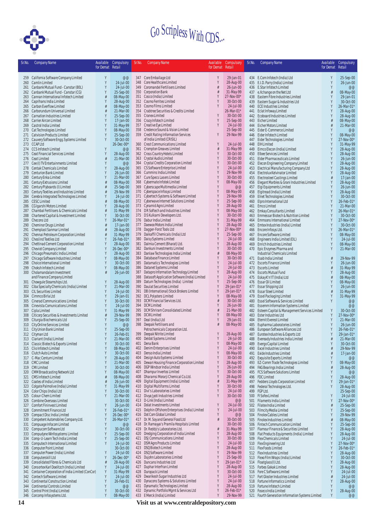

| Sr.No.     | <b>Company Name</b>                                                                         | Available | Compulsory                | Sr.No.     | <b>Company Name</b>                                                               | Available | Compulsory               | Sr.No.     | <b>Company Name</b>                                                        | Available           | Compulsory              |
|------------|---------------------------------------------------------------------------------------------|-----------|---------------------------|------------|-----------------------------------------------------------------------------------|-----------|--------------------------|------------|----------------------------------------------------------------------------|---------------------|-------------------------|
|            |                                                                                             | for Demat | Retail                    |            |                                                                                   | for Demat | Retail                   |            |                                                                            | for Demat Retail    |                         |
|            | 259 California Software Company Limited                                                     | Y         | @@                        |            | 347 Core Emballage Ltd                                                            |           | 29-Jan-01                |            | 434 E.Com Infotech (India) Ltd                                             | Y                   | 25-Sep-00               |
|            | 260 Camlin Limited                                                                          | Y         | 24-Jul-00                 | 348        | Core Healthcare Limited                                                           |           | 28-Aug-00                |            | 435 E.I.D. Parry (India) Limited                                           | Y                   | 26-Jun-00               |
| 261        | Canbank Mutual Fund - Canstar (80L)                                                         | Y         | 24-Jul-00                 |            | 349 Coromandel Fertilisers Limited                                                |           | 26-Jun-00                |            | 436 E.Star Infotech Limited                                                | γ                   | @@                      |
|            | 262 Canbank Mutual Fund - Canstar (CG)                                                      | Y         | 25-Sep-00                 |            | 350 Corporation Bank                                                              | #         | 31-May-99                |            | 437 e.Xchange on the Net Ltd                                               |                     | 08-May-00               |
| 263        | Cannan International Infotech Limited                                                       | γ         | 08-May-00                 | 352        | 351 Cosco (India) Limited<br>Cosmo Ferrites Limited                               |           | 27-Nov-00*<br>30-Oct-00  |            | 438 Eastern Fibre Industries Limited                                       | Y                   | 29-Jan-01               |
| 264<br>265 | Caprihans India Limited<br>Carbon Everflow Limited                                          |           | 28-Aug-00<br>08-May-00    |            | 353 Cosmo Films Limited                                                           |           | 24-Jul-00                |            | 439 Eastern Sugar & Industries Ltd<br>440 ECE Industries Limited           | Y                   | 30-Oct-00<br>26-Mar-01* |
|            | 266 Carborundum Universal Limited                                                           | #         | 21-Mar-00                 |            | 354 Crabtree Securities & Credits Limited                                         |           | 26-Mar-01*               | 441        | Eclat Infoway Limited                                                      |                     | 28-Aug-00               |
| 267        | Carnation Industries Limited                                                                |           | 25-Sep-00                 | 355        | Cranex Limited                                                                    |           | 30-Oct-00                |            | 442 Ecoboard Industries Limited                                            |                     | 28-Aug-00               |
|            | 268 Carrier Aircon Limited                                                                  |           | 17-Jan-00                 |            | 356 Crazy Infotech Limited                                                        | Y         | 25-Sep-00                |            | 443 Eicher Limited                                                         |                     | 08-May-00               |
|            | 269 Castrol India Limited                                                                   |           | 31-May-99                 |            | 357 Creative Eye Limited                                                          |           | 24-Jul-00                |            | 444 Eicher Motors Limited                                                  |                     | 21-Mar-00               |
| 271        | 270 Cat Technologies Limited<br><b>Catvision Products Limited</b>                           | Y         | 08-May-00<br>25-Sep-00    |            | 358 Credence Sound & Vision Limited<br>359 Credit Rating Information Services     | Y         | 25-Sep-00<br>29-Nov-99   |            | 445 Eider E-Commerce Limited<br>446 Eider Infotech Limited                 |                     | @@<br>08-May-00         |
|            | 272 Cauvery Software Engg. Systems Limited                                                  | Y         | 30-Oct-00                 |            | of India Limited (CRISIL)                                                         |           |                          | 447        | Eider Technologies Limited                                                 |                     | 27-Nov-00*              |
|            | 273 CCAP Ltd                                                                                |           | 26-Dec-00*                |            | 360 Crest Communications Limited                                                  | Y         | 24-Jul-00                |            | 448 EIH Limited                                                            |                     | 31-May-99               |
|            | 274 CCS Infotech Limited                                                                    |           | @@                        |            | 361 Crompton Greaves Limited                                                      | #         | 31-May-99                |            | 449 Eimco Elecon (India) Limited                                           |                     | 28-Aug-00               |
|            | 275 Ceat Financial Services Limited                                                         |           | 28-Aug-00                 |            | 362 Cross Country Hotels Limited                                                  | Y         | 30-Oct-00                |            | 450 Elbee Services Limited                                                 |                     | 28-Aug-00               |
|            | 276 Ceat Limited                                                                            | #<br>Y    | 21-Mar-00                 |            | 363 Crystal Audio Limited                                                         | Y<br>Y    | 30-Oct-00                |            | 451 Elder Pharmaceuticals Limited                                          | Y                   | 26-Jun-00               |
| 277        | Cee (I) TV Entertainments Limited<br>278 Centak Chemicals Limited                           |           | @@<br>28-Aug-00           |            | 364 Crystal Credits Corporation Limited<br>365 CS Software Enterprise Limited     | Y         | 30-Oct-00<br>24-Jul-00   | 452<br>453 | Elecon Engineering Company Limited<br>Electrical Manufacturing Company Ltd |                     | 28-Aug-00<br>28-Aug-00  |
| 279        | <b>Centurion Bank Limited</b>                                                               |           | 26-Jun-00                 | 366        | Cummins India Limited                                                             | Y         | 29-Nov-99                |            | 454 Electrolux Kelvinator Limited                                          |                     | 28-Aug-00               |
| 280        | Century Enka Limited                                                                        |           | 21-Mar-00                 |            | 367 Cure Specs Lasers Limited                                                     | Y         | 30-Oct-00                |            | 455 Electrosteel Castings Limited                                          |                     | 17-Jan-00               |
| 281        | Century Extrusions Limited                                                                  | #         | 08-May-00                 |            | 368 Cybermate Infotek Limited                                                     | Y         | 08-May-00                | 456        | Elegant Marbles & Grani Industries Limited                                 | Y                   | 28-Aug-00               |
| 282        | Century Plyboards (I) Limited                                                               | ₩         | 25-Sep-00                 |            | 369 Cyberscape Multimedia Limited                                                 | Y<br>Y    | @@                       | 457        | Elgi Equipments Limited                                                    |                     | 26-Jun-00               |
| 283<br>284 | Century Textiles and Industries Limited<br>Cerebra Integrated Technologies Limited          | #<br>Υ    | 29-Nov-99<br>24-Jul-00    | 370        | Cyberspace Infosys Limited<br>371 Cybertech Systems & Software Limited            | Y         | 08-May-00<br>29-Nov-99   |            | 458 Elgitread (India) Limited<br>459 Elnet Technologies Limited            |                     | 28-Aug-00<br>30-Oct-00  |
| 285        | <b>CESC Limited</b>                                                                         | #         | 08-May-00                 |            | 372 Cyberwave Internet Solutions Limited                                          | Y         | 25-Sep-00                |            | 460 Elpro International Ltd                                                |                     | 26-Feb-01*              |
| 286        | CG Igarshi Motors Limited                                                                   |           | 28-Aug-00                 |            | 373 Cynamid Agro Limited                                                          |           | 28-Aug-00                |            | 461 Emco Limited                                                           |                     | 21-Mar-00               |
| 287        | Chambal Fertilisers & Chemicals Limited                                                     | #         | 31-May-99                 |            | 374 DR Softech and Industries Limited                                             |           | 08-May-00                |            | 462 Emkay Consultants Limited                                              |                     | 26-Mar-01*              |
| 288        | Chartered Capital & Investment Limited                                                      | Y         | 30-Oct-00                 |            | 375 D S Kulkarni Developers Ltd.                                                  |           | 30-Oct-00                | 463        | Emmessar Biotech & Nutrition Limited                                       | Y                   | 30-Oct-00               |
| 289        | Checons Ltd                                                                                 |           | 26-Mar-01*                |            | 376 Dabur India Limited<br>377 Daewoo Motors India Limited                        | Y         | 31-May-99                | 464        | Emmsons International Limited                                              | Y<br>Y              | 27-Nov-00*              |
| 290<br>291 | <b>Cheminor Drugs Limited</b><br>Chemplast Sanmar Limited                                   |           | $17$ -Jan-00<br>28-Aug-00 | 378        | Dagger-Forst Tools Ltd                                                            |           | 28-Aug-00<br>27-Nov-00*  |            | 465 Emtex Industries (India) Limited<br>466 Encore Infosys Ltd.            | Y                   | 30-Oct-00<br>26-Mar-01* |
| 292        | Chennai Petroleum Corporation Limited                                                       | #         | 31-May-99                 | 379        | Daikaffil Chemicals (India) Ltd                                                   |           | 25-Sep-00                |            | 467 Encore Software Limited                                                | Y                   | 08-May-00               |
| 293        | Cheslind Textiles Ltd                                                                       |           | 26-Feb-01*                | 380        | Daisy Systems Limited                                                             |           | 24-Jul-00                |            | 468 Engineers India Limited (EIL)                                          | Y                   | 24-Jul-00               |
| 294        | Chettinad Cement Corporation Limited                                                        | Y         | 28-Aug-00                 | 381        | Dalmia Cement (Bharat) Ltd.                                                       |           | 28-Aug-00                |            | 469 Enrich Industries Limited                                              | Y                   | 08-May-00               |
| 295        | Cheviot Company Limited                                                                     | Y         | 26-Dec-00*                | 382        | Dankuni Investments Limited                                                       |           | 30-Oct-00                |            | 470 Epic Enzymes Pharma and                                                | γ                   | 21-Mar-00               |
| 296        | Chicago Pneumatic India Limited                                                             | Y<br>Y    | 28-Aug-00                 | 383<br>384 | Danlaw Technologies India Limited<br>Database Finance Limited                     |           | 08-May-00<br>30-Oct-00   |            | Industrial Chemicals Limited<br>471 Esab India Limited                     |                     | 29-Nov-99               |
| 297<br>298 | Chicago Software Industries Limited<br>Choice International Limited                         | Y         | 08-May-00<br>30-Oct-00    | 385        | Datamatics Technologies Limited                                                   |           | 24-Jul-00                |            | 472 Escorts Finance Limited                                                | Y                   | 26-Jun-00               |
| 299        | Choksh Infotech Limited                                                                     |           | 08-May-00                 | 386        | Datanet Systems Limited                                                           |           | 24-Jul-00                |            | 473 Escorts Limited                                                        |                     | 31-May-99               |
|            | 300 Cholamandalam Investment                                                                | #         | 26-Jun-00                 | 387        | Datapro Information Technology Limited                                            |           | 28-Aug-00                |            | 474 Escorts Mutual Fund                                                    |                     | 28-Aug-00               |
|            | and Finance Company Limited                                                                 |           |                           | 388        | Datasoft Application Software (India) Limited                                     | Y         | 24-Jul-00                |            | 475 Eskay K'n'lT (India) Ltd                                               |                     | 08-May-00               |
|            | 301 Chowgule Steamships Ltd.                                                                | Y         | 28-Aug-00                 | 389        | Datum Technologies (India) Limited                                                |           | 25-Sep-00                |            | 476 Essar Oil Limited                                                      |                     | 08-May-00               |
|            | 302 Ciba Specialty Chemicals (India) Limited<br>303 CIL Securities Limited                  | Y<br>Y    | 21-Mar-00<br>24-Jul-00    | 390<br>391 | Daulat Securities Limited<br>DB (International) Stock Brokers Limited             | Y         | 29-Jan-01*<br>29-Jan-01* |            | 477 Essar Shipping Ltd<br>478 Essar Steel Limited                          |                     | 26-Jun-00<br>31-May-99  |
|            | 304 Cimmco Birla Ltd                                                                        | Y         | 29-Jan-01                 |            | 392 DCL Polysters Limited                                                         |           | 08-May-00                |            | 479 Essel Packaging Limited                                                |                     | 31-May-99               |
|            | 305 Cinerad Communications Limited                                                          |           | 30-Oct-00                 |            | 393 DCM Financial Services Ltd.                                                   |           | 30-Oct-00                | 480        | Essel Software & Services Limited                                          | Y                   | @@                      |
|            | 306 Cinevista Comunications Limited                                                         | Y         | 24-Jul-00                 |            | 394 DCM Limited                                                                   |           | 26-Jun-00                | 481        | Essemm Information Systems Limited                                         |                     | @@                      |
| 307        | Cipla Limited                                                                               |           | 31-May-99                 |            | 395 DCM Shriram Consolidated Limited                                              | Y         | 21-Mar-00                | 482        | Esteem Capital & Management Services Limited                               | Y                   | 30-Oct-00               |
| 308<br>309 | Citicorp Securities & Investments Limited<br>Citurgia Biochemicals Ltd                      | ₫         | 29-Nov-99<br>25-Sep-00    |            | 396 DCW Limited<br>397 Deal (India) Ltd                                           |           | 08-May-00<br>29-Jan-01   |            | 483 Ester Industries Ltd<br>484 Eternit Everest Limited                    | Y<br>Y              | 27-Nov-00*<br>21-Mar-00 |
|            | 310 City Online Services Limited                                                            |           | @@                        |            | 398 Deepak Fertilisers and                                                        |           | 08-May-00                | 485        | Eupharma Laboratories Limited                                              | Y                   | 26-Jun-00               |
| 311        | City Union Bank Limited                                                                     |           | 25-Sep-00                 |            | Petrochemicals Corporation Ltd.                                                   |           |                          | 486        | European Software Alliances Ltd                                            | Y                   | 26-Feb-01*              |
|            | 312 Cityman Ltd                                                                             |           | 26-Feb-01                 |            | 399 Deepak Nitrite Limited                                                        |           | 28-Aug-00                | 487        | Eurotex Industries & Exports Ltd                                           |                     | 29-Jan-01*              |
|            | 313 Clariant (India) Limited                                                                |           | 21-Mar-00                 |            | 400 Deldot Systems Limited                                                        | Y         | 24-Jul-00                | 488        | Eveready Industries India Limited                                          |                     | 21-Mar-00               |
|            | 314 Classic Biotech & Exports Limited                                                       | Y         | 30-Oct-00<br>08-May-00    |            | 401 Dena Bank<br>402 Denim Enterprises Limited                                    | Y         | 08-May-00<br>24-Jul-00   | 490        | 489 Evergo Capital Limited<br><b>Excel Industries Limited</b>              | #                   | 30-Oct-00<br>29-Nov-99  |
| 315        | Clio Infotech Limited<br>316 Clutch Auto Limited                                            |           | 30-Oct-00                 | 403        | Denso India Limited                                                               | Y         | 08-May-00                |            | 491 Exide Industries Limited                                               | #                   | 17-Jan-00               |
| 317        | C-Mac Centum Limited                                                                        |           | 28-Aug-00                 | 404        | Design Auto Systems Limited                                                       | Y         | 30-Oct-00                | 492        | Exquisite Exports Limited                                                  |                     | @@                      |
|            | 318 CMC Limited                                                                             | Υ         | 21-Mar-00                 | 405        | Dewan Housing Finance Corporation Limited                                         | Y         | 28-Aug-00                |            | 493 EZ-Comm Trade Technologies Limited                                     | Y                   | 08-May-00               |
| 319        | <b>CMI Limited</b>                                                                          | Y         | 30-Oct-00                 | 406        | DGP Windsor India Limited                                                         | Y         | 26-Jun-00                | 494        | FAG Bearings India Limited                                                 |                     | 28-Aug-00               |
| 320<br>321 | CMM Broadcasting Network Ltd<br>CMS Infotech Limited                                        |           | 08-May-00<br>08-May-00    | 408        | 407 Dhampur Invertos Limited<br>Dharamsi Morarji Chemical Co.Ltd.                 | Y         | 30-Oct-00<br>28-Aug-00   |            | 495 FCS Software Solutions Limited<br>496 FDC Limited                      |                     | @@<br>28-Aug-00         |
| 322        | Coates of India Limited                                                                     |           | 26-Jun-00                 | 409        | Digital Equipment (India) Limited                                                 | #         | 31-May-99                |            | 497 Fedders Lloyds Corporation Limited                                     | Y                   | 29-Jan-01*              |
| 323        | Colgate Palmolive (India) Limited                                                           | Y         | 31-May-99                 |            | 410 Digital Multiforms Limited                                                    | Y         | 30-Oct-00                | 498        | Federal Technologies Ltd.                                                  |                     | 28-Aug-00               |
|            | 324 Color Chips (India) Ltd                                                                 | γ         | 30-Oct-00                 |            | 411 Divi's Laboratories Limited                                                   |           | 24-Jul-00                | 499        | FGP Ltd.                                                                   |                     | 25-Sep-00               |
|            | 325 Colour-Chem Limited                                                                     | Y         | 21-Mar-00                 |            | 412 Divya Jyoti Industries Limited                                                | Y         | 30-Oct-00                | 500        | FI Sofex Limited                                                           | Y                   | 24-Jul-00               |
| 326        | Combine Overseas Limited                                                                    |           | 30-Oct-00                 |            | 413 D-Link (India) Limited                                                        | Y         | @@                       | 501        | Filaments India Limited                                                    | Y                   | 27-Nov-00*              |
| 327<br>328 | <b>Comfort Fininvest Limited</b><br>Commitment Finance Ltd                                  | Y<br>Y    | 26-Jun-00<br>26-Feb-01*   |            | 414 Dolat Investments Limited<br>415 Dolphin Offshore Enterprises (India) Limited | Y         | 24-Jul-00<br>24-Jul-00   | 502<br>503 | Filatex India Limited<br>Filmcity Media Limited                            | $\frac{1}{t!}$<br>Y | 25-Sep-00<br>25-Sep-00  |
| 329        | Compact Disc India Limited                                                                  | Y         | 26-Dec-00*                |            | 416 Dot Com Global Limited                                                        | Y         | @@                       | 504        | Finolex Cables Limited                                                     |                     | 29-Nov-99               |
| 330        | Competent Automobiles Company Ltd.                                                          | Y         | 26-Mar-01*                |            | 417 Dr. M. Soy and General Food Ltd                                               | #         | 30-Oct-00                | 505        | <b>Finolex Industries Limited</b>                                          |                     | 08-May-00               |
| 331        | Compuage Infocom Limited                                                                    | Y         | @@                        |            | 418 Dr. Ramayya's Pramila Hospitals Limited                                       |           | 30-Oct-00                | 506        | Fintech Communication Limited                                              | Y                   | 25-Sep-00               |
|            | 332 Compucom Software Ltd                                                                   | γ         | 30-Oct-00                 |            | 419 Dr. Reddy's Laboratories Ltd.                                                 |           | 31-May-99                |            | 507 Flamour Finance & Securities Limited                                   | Y                   | 28-Aug-00               |
| 333        | Compudyne Winfosystems Limited                                                              | Y<br>Y    | 25-Sep-00                 | 420<br>421 | Dredging Corporation of India Limited<br>DSJ Communications Limited               | Y         | 28-Aug-00<br>30-Oct-00   | 509        | 508 Flat Products Equipments (India) Limited                               | Y<br>Y              | 28-Aug-00<br>24-Jul-00  |
| 334<br>335 | Comp-U-Learn Tech India Limited<br>Computech International Limited                          | Y         | 25-Sep-00<br>24-Jul-00    | 422        | <b>DSM Agro Products Limited</b>                                                  | Y         | 24-Jul-00                |            | Flex Chemicals Limited<br>510 Flex Engineering Ltd                         | Y                   | 27-Nov-00*              |
| 336        | <b>Computer Point Limited</b>                                                               |           | 30-Oct-00                 |            | 423 DSQ Biotech Limited                                                           |           | 28-Aug-00                |            | 511 Flex Foods Limited                                                     | Y                   | 26-Feb-01*              |
| 337        | Computer Power (India) Limited                                                              |           | 24-Jul-00                 |            | 424 DSQ Software Limited                                                          | Y         | 29-Nov-99                |            | 512 Flex Industries Limited                                                | Y                   | 28-Aug-00               |
| 338        | Computerskill Ltd                                                                           |           | 26-Dec-00*                |            | 425 Dujohn Laboratories Limited                                                   | Y         | 25-Sep-00                | 513        | Flexo Film Wraps (India) Limited                                           | Y                   | 30-Oct-00               |
| 339        | Consolidated Fibres & Chemicals Ltd                                                         | #         | 28-Aug-00                 |            | 426 Duncans Industries Ltd                                                        | Y         | 29-Jan-01*               |            | 514 Floatglass(I) Ltd.                                                     |                     | 28-Aug-00               |
| 340<br>341 | Consortex Karl Doelitzch (India) Limited<br>Container Corporation of India Limited (ConCor) | Y<br>Y    | 24-Jul-00<br>31-May-99    |            | 427 Duphar Interfran Limited<br>428 Duropack Limited                              | Y         | 28-Aug-00<br>30-Oct-00   |            | 515 Forbes Gokak Limited<br>516 Fore C Software Limited                    |                     | 28-Aug-00<br>24-Jul-00  |
| 342        | Contech Software Limited                                                                    | Y         | 24-Jul-00                 |            | 429 Dwarikesh Sugar Industries Ltd                                                | Y         | 24-Jul-00                | 517        | Fort Gloster Industries Limited                                            |                     | 24-Jul-00               |
| 343        | Continental Construction Limited                                                            | Y         | 26-Feb-01                 |            | 430 Dynacons Systems & Solutions Limited                                          | Y         | 24-Jul-00                |            | 518 Fortune Informatics Limited                                            |                     | 28-Aug-00               |
| 344        | <b>Continental Controls Limited</b>                                                         | Υ         | @@                        |            | 431 Dynamatic Technologies Limited                                                | Y         | 28-Aug-00                |            | 519 Fortune Infotech Limited                                               |                     | @@                      |
| 345        | Control Print (India) Limited                                                               | Y         | 30-Oct-00                 |            | 432 Dynamic Portfolio Mgmt & Services Ltd                                         | Y         | 26-Feb-01*               |            | 520 Foseco India Limited                                                   | Y                   | 28-Aug-00               |
|            | 346 Corcomp Infosystems Ltd.                                                                | Υ         | 08-May-00                 |            | 433 E Merck (India) Limited                                                       | Y         | 29-Nov-99                | 521        | Fourth Generation Information Systems Limited                              | Y                   | @@                      |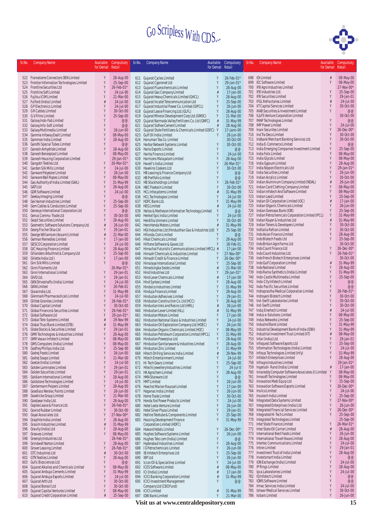

| Sr.No.     | <b>Company Name</b>                                                   | Available<br>for Demat | Compulsory<br>Retail    | Sr.No.     | <b>Company Name</b>                                                                                 | Available<br>for Demat | Compulsory<br>Retail     | Sr.No.     | <b>Company Name</b>                                                                | Available<br>for Demat | Compulsory<br>Retail     |
|------------|-----------------------------------------------------------------------|------------------------|-------------------------|------------|-----------------------------------------------------------------------------------------------------|------------------------|--------------------------|------------|------------------------------------------------------------------------------------|------------------------|--------------------------|
|            |                                                                       |                        |                         |            |                                                                                                     |                        |                          |            |                                                                                    |                        |                          |
|            | 522 Framatome Connectors OEN Limited                                  | Y                      | 28-Aug-00               |            | 611 Gujarat Cycles Limited                                                                          | Y                      | 26-Feb-01*               |            | 698 IDI Limited                                                                    | #<br>γ                 | 08-May-00                |
| 523<br>524 | Frontier Information Technologies Limited<br>Frontline Securities Ltd | Y<br>Y                 | 25-Sep-00<br>26-Feb-01* | 612        | Gujarat Cypromet Ltd<br>613 Gujarat Fluorochemicals Limited                                         | Y<br>Y                 | 29-Jan-01*<br>28-Aug-00  | 699<br>700 | <b>IEC Software Limited</b><br>IFB Agro Industries Limited                         |                        | 08-May-00<br>27-Nov-00*  |
| 525        | Frontline Soft Limited                                                |                        | 24-Jul-00               |            | 614 Gujarat Gas Company Limited                                                                     |                        | 17-Jan-00                | 701        | IFB Industries Ltd.                                                                |                        | 25-Sep-00                |
| 526        | Fujitsu ICIM Limited                                                  |                        | 21-Mar-00               | 615        | Gujarat Heavy Chemicals Limited (GHCL)                                                              | Y                      | 28-Aug-00                |            | 702 IFB Securities Limited                                                         |                        | 29-Jan-01                |
| 527        | Fulford (India) Limited                                               |                        | 24-Jul-00               | 616        | Gujarat Incatel Telecommunication Ltd                                                               | Y                      | 25-Sep-00                | 703        | <b>IFGL Refractories Limited</b>                                                   | Y                      | 24-Jul-00                |
| 528<br>529 | <b>GPElectronics Limited</b><br><b>GR Cables Limited</b>              |                        | 24-Jul-00<br>30-Oct-00  |            | 617 Gujarat Industrial Power Co. Limited (GIPCL)<br>618 Gujarat Lease Financing Ltd.(GLFL)          | Y                      | 26-Jun-00<br>28-Aug-00   | 704<br>705 | IIT Capital Services Limited<br>IKAB Securities & Investment Limited               |                        | 30-Oct-00<br>@@          |
| 530        | G.V.Films Limited                                                     |                        | 25-Sep-00               | 619        | Gujarat Mineral Development Corp Ltd.(GMDC)                                                         | Y                      | 21-Mar-00                | 706        | IL&FS Venture Corporation Limited                                                  |                        | 30-Oct-00                |
| 531        | Galaxy Indo-Fab Limited                                               |                        | @@                      | 620        | Gujarat Narmada Valley Fertilizers Co. Ltd (GNFC)                                                   | #                      | 31-May-99                | 707        | <b>IMAP Technologies Limited</b>                                                   |                        | @@                       |
| 532        | Galaxy Info-Soft Limited                                              |                        | @@                      |            | 621 Gujarat Sidhee Cement Limited                                                                   |                        | 28-Aug-00                | 708        | <b>IMP Power Limited</b>                                                           |                        | 24-Jul-00                |
| 533<br>534 | Galaxy Multimedia Limited<br>Gamma Infoway Exalt Limited              |                        | 26-Jun-00<br>08-May-00  | 622        | Gujarat State Fertilizers & Chemicals Limited (GSFC)<br>623 Gulf Oil India Limited                  | Y<br>Y                 | 17-Jann-00<br>26-Jun-00  | 709<br>710 | Inani Securites Limited<br>Ind Tra Deco Limited                                    |                        | 26-Dec-00*<br>30-Oct-00  |
| 535        | Gammon India Limited                                                  |                        | 28-Aug-00               |            | 624 Hanuman Tea Co. Limited                                                                         |                        | 30-Oct-00                |            | 711 Indbank Merchant Banking Services Ltd.                                         | Y                      | 30-Oct-00                |
| 536        | Gandhi Special Tubes Limited                                          |                        | @@                      | 625        | Harbor Network Systems Limited                                                                      | Y                      | 30-Oct-00                | 712        | India E-Commerce Limited                                                           | Y                      | @@                       |
| 537        | Ganesh Anhydride Limited                                              |                        | 28-Aug-00               | 626        | Haria Exports Limited                                                                               | Y                      | @@                       | 713        | India Emerging Companies Investment Limited                                        |                        | 25-Sep-00                |
| 538<br>539 | Ganesh Benzoplast Limited<br>Ganesh Housing Corporation Limited       |                        | 08-May-00<br>29-Jan-01* | 627<br>628 | Harita Finance Limited<br>Harrisons Malayalam Limited                                               | Y<br>Y                 | 24-Jul-00<br>28-Aug-00   | 714<br>715 | India Foils Limited<br>India Glycols Limited                                       |                        | 08-May-00<br>08-May-00   |
| 540        | Gangotri Textiles Ltd                                                 |                        | 26-Mar-01*              | 629        | Havell's India Limited                                                                              |                        | 26-Mar-01*               | 716        | India Gypsum Limited                                                               |                        | 28-Aug-00                |
| 541        | Garden Silk Mills Limited                                             |                        | 24-Jul-00               | 630        | Hawkins Cookers Ltd                                                                                 |                        | 30-Oct-00                | 717        | India Nippon Electricals Ltd                                                       |                        | 29-Jan-01*               |
| 542        | Garware Polyester Limited                                             |                        | 26-Jun-00               | 631        | HB Leasing & Finance Company Ltd                                                                    | Y                      | @@                       | 718        | India Securities Limited                                                           | Y                      | 26-Jun-00                |
| 543<br>544 | Garware Wall Ropes Limited<br>Gas Authority of India Limited (GAIL)   |                        | 08-May-00<br>31-May-99  |            | 632 HB Portfolio Limited<br>633 HB Stockholdings Limited                                            | Y                      | @@<br>26-Feb-01'         | 719<br>720 | Indian Acrylics Limited<br>Indian Aluminium Company Limited (INDAL)                |                        | 30-Oct-00<br>26-Jun-00   |
| 545        | GATILtd                                                               |                        | 28-Aug-00               |            | 634 HBC Flextech Limited                                                                            |                        | 30-Oct-00                | 721        | Indian Card Clothing Company Limited                                               |                        | 08-May-00                |
| 546        | <b>GDR Software Limited</b>                                           |                        | 24-Jul-00               | 635        | <b>HCL Infosystems Limited</b>                                                                      |                        | 31-May-99                | 722        | Indian Infotech And Software Limited                                               |                        | 08-May-00                |
| 547        | Geekay Imaging Limited                                                |                        | @@                      |            | 636 HCL Technologies Limited                                                                        | Y                      | 24-Jul-00                | 723        | Indian Lead Limited                                                                |                        | 25-Sep-00                |
| 548<br>549 | Gei Hamon Industries Limited<br>Gem Cables & Conductors Limited       |                        | 25-Sep-00<br>25-Sep-00  |            | 637 HDFC Bank Ltd.<br>638 HEG Limited                                                               |                        | 31-May-99<br>24-Jul-00   | 724<br>725 | Indian Oil Corporation Limited (IOC)<br>Indian Organic Chemicals Limited           |                        | 17-Jan-00<br>26-Jun-00   |
| 550        | Genesys International Corporation Ltd                                 | Y                      | @@                      | 639        | Helios & Matheson Information Technology Limited                                                    | Y                      | @@                       | 726        | Indian Overseas Bank (IOB)                                                         | Y                      | 25-Sep-00                |
| 551        | Genus Commu-Trade Ltd                                                 | Y                      | 30-Oct-00               | 640        | Henkel Spic India Limited                                                                           | Y                      | 24-Jul-00                | 727        | Indian Petrochemicals Corporation Limited (IPCL)                                   | Y                      | 31-May-99                |
| 552        | Geojit Securities Limited                                             |                        | 28-Aug-00               | 641        | Herdillia Unimers Limited                                                                           | Y                      | 30-Oct-00                | 728        | Indian Rayon & Industries Ltd                                                      |                        | 31-May-99                |
| 553<br>554 | Geometric Software Solutions Company Ltd.<br>Georg Fischer Disa Ltd   | #                      | 26-Jun-00<br>29-Jan-01  |            | 642 Hero Honda Motors Limited                                                                       |                        | 31-May-99<br>25-Sep-00   | 729<br>730 | Indian Toners & Developers Limited<br>Inditalia Refcon Limited                     |                        | 30-Oct-00<br>30-Oct-00   |
| 555        | George Williamson (Assam) Limited                                     | #                      | 21-Mar-00               |            | 643 HGI Industries Ltd (Hindusthan Gas & Industries Ltd) Y<br>644 Hifunda.Com Limited               |                        | @@                       | 731        | Indo Asian Finance Limited                                                         |                        | 28-Aug-00                |
| 556        | German Remedies Limited                                               | Y                      | 17-Jan-00               |            | 645 Hikal Chemicals Limited                                                                         | Y                      | 28-Aug-00                | 732        | Indo Biotech Foods Ltd                                                             |                        | 25-Sep-00                |
| 557        | <b>GESCO Corporation Limited</b>                                      |                        | 24-Jul-00               |            | 646 Hilltone Software & Gases Ltd                                                                   | Y                      | 26-Feb-01                | 733        | Indo Britain Agro Farms Ltd                                                        |                        | 30-Oct-00                |
| 558<br>559 | GIC Housing Finance Limited<br>Gillanders Arbuthnot & Company Ltd     |                        | 28-Aug-00<br>25-Sep-00  |            | 647 Himachal Futuristic Communications Limited (HFCL)<br>648 Himadri Chemicals & Industries Limited | #<br>Y                 | 17-Jan-00<br>27-Nov-00*  | 734<br>735 | Indo Count Finance Ltd<br>Indo Count Industries Ltd.                               | Y<br>Y                 | 26-Dec-00*<br>26-Feb-01* |
| 560        | Gillette India Ltd)                                                   |                        | 17-Jan-00               | 649        | Himadri Credit & Finance Limited                                                                    |                        | 26-Dec-00*               | 736        | Indo French Biotech Enterprises Limited                                            |                        | 30-Oct-00                |
| 561        | Gini Silk Mills Limited                                               | Y                      | @@                      | 650        | Himalaya International Limited                                                                      | Y                      | 25-Sep-00                | 737        | Indo Gulf Corporation Limited                                                      | #                      | 31-May-99                |
| 562        | Ginni Filaments Ltd                                                   |                        | 26-Mar-01*              | 651        | Himatsingka Seide Limited                                                                           | #                      | 21-Mar-00                | 738        | Indo National Limited                                                              | Y                      | 28-Aug-00                |
| 563<br>564 | Ginni International Limited<br>GIVO Ltd.                              |                        | 29-Jan-01<br>29-Jan-01  | 653        | 652 Hind Industries Ltd<br>Hind Lever Chemicals Limited                                             |                        | 29-Jan-01*<br>17-Jan-00  | 739<br>740 | Indo Rama Synthetics (India) Limited<br>Indo-Castle Multimedia Limited             | Y                      | 31-May-99<br>25-Sep-00   |
| 565        | GKN Driveshafts (India) Limited                                       | Y                      | 24-Jul-00               | 654        | Hind Syntex Limited                                                                                 |                        | 28-Aug-00                | 741        | Indo-City Infotech Limited                                                         |                        | @@                       |
| 566        | <b>GKW Limited</b>                                                    | Y                      | 26-Feb-01               | 655        | Hindalco Industries Limited                                                                         |                        | 31-May-99                | 742        | Indo-Pacific Securities Limited                                                    |                        | @@                       |
| 567        | Glaxo India Ltd.                                                      |                        | 31-May-99               |            | 656 Hinduja Finance Limited                                                                         |                        | 28-Aug-00                | 743        | Indraprastha Medical Corporation Limited                                           |                        | 26-Feb-01*               |
| 568<br>569 | Glenmark Pharmaceuticals Limited<br><b>Glittek Granites Limited</b>   |                        | 24-Jul-00<br>26-Feb-01* | 657<br>658 | Hindustan Adhesives Limited                                                                         | Y                      | 29-Jan-01                | 744<br>745 | Indrayani Biotech Limited<br>Ind-Swift Laboratories Limited                        |                        | 30-Oct-00<br>30-Oct-00   |
| 570        | <b>Global Capital Limited</b>                                         | Y                      | 30-Oct-00               | 659        | Hindustan Construction Co. Ltd (HCC)<br>Hindustan Inks and Resins Ltd (HIRL)                        | #                      | 28-Aug-00<br>26-Jun-00   | 746        | Ind-Swift Limited                                                                  | γ                      | 30-Oct-00                |
| 571        | Global Finance & Securities Limited                                   |                        | 26-Feb-01*              | 660        | Hindustan Lever Limited (HLL)                                                                       |                        | 31-May-99                | 747        | Induj Enertech Limited                                                             |                        | 24-Jul-00                |
| 572        | Global Software Ltd                                                   |                        | 29-Jan-01*              | 661        | Hindustan Motors Limited                                                                            | Y                      | 17-Jan-00                | 748        | Indus e-Solutions Limited                                                          |                        | 08-May-00                |
| 573<br>574 | Global Tele-Systems Limited<br>Global Trust Bank Limited (GTB)        |                        | 29-Nov-99<br>31-May-99  | 662<br>663 | Hindustan National Glass & Industries Limited<br>Hindustan Oil Exploration Company Ltd (HOEC)       | Y<br>Y                 | 24-Jul-00<br>26-Jun-00   | 749<br>750 | Indus Networks Limited<br>IndusInd Bank Limited                                    |                        | 25-Sep-00<br>31-May-99   |
| 575        | Globe Stocks & Securities Limited                                     |                        | 29-Jan-01               | 664        | Hindustan Organic Chemicals Limited (HOC)                                                           | Y                      | 08-May-00                | 751        | Industrial Development Bank of India (IDBI)                                        |                        | 31-May-99                |
|            | 576 GMR Technologies & Industries Limited                             |                        | 28-Aug-00               |            | 665 Hindustan Petroleum Corporation Limited (HPCL)                                                  | Y                      | 31-May-99                |            | 752 Industrial Investment Trust Limited (IIT)                                      | #                      | 08-May-00                |
| 577        | <b>GMR Vasavi Inforech Limited</b>                                    |                        | 08-May-00               | 666        | Hindustan Powerplus Ltd.                                                                            | Y                      | 28-Aug-00                | 753        | Infar (India) Ltd                                                                  |                        | 29-Jan-01                |
| 578<br>579 | GMS Computers (India) Limited<br>Godfrey Phillips India Ltd.          | Y                      | 08-May-00<br>25-Sep-00  |            | 667 Hindustan Sanitaryware & Industries Limited<br>668 Hindustan Zinc Limited                       | Y<br>Y                 | 28-Aug-00<br>31-May-99   |            | 754 Infoquest Software Exports Ltd<br>755 Information Technologies (India) Limited | Y<br>Y                 | 25-Sep-00<br>24-Jul-00   |
| 580        | Godrej Foods Limited                                                  |                        | 26-Jun-00               |            | 669 Hitech Drilling Services India Limited                                                          | #                      | 29-Nov-99                | 756        | Infosys Technologies Limited (Infy)                                                | Y                      | 31-May-99                |
| 581        | Godrej Soaps Limited                                                  |                        | 21-Mar-00               |            | 670 Hitech Entertainment Limited                                                                    | Y                      | 24-Jul-00                | 757        | Infotech Enterprises Limited                                                       | Y                      | 28-Aug-00                |
| 582        | Goetze (India) Limited                                                |                        | $24$ -Jul-00            |            | 671 Hi-Tech Gears Limited                                                                           | Y<br>Y                 | 25-Sep-00                | 758<br>759 | Infragro Industries Limited<br>Ingersoll-Rand (India) Limited                      | #                      | 29-Jan-01*<br>17-Jan-00  |
| 583<br>584 | Golden Laminates Limited<br><b>Golden Securities Limited</b>          | Y                      | 29-Jan-01<br>29-Jan-01  |            | 672 Hitechi Jewellery Industries Limited<br>673 HK Agrochem Limited                                 | Y                      | $24$ -Jul-0<br>28-Aug-00 | 760        | Innareddy Computer Software Associates (I) Limited                                 | Y                      | 08-May-00                |
| 585        | Goldiam International Limited                                         | Y                      | 28-Aug-00               |            | 674 HMA Starware Ltd                                                                                | Y                      | @@                       | 761        | Innosoft Technologies Limited                                                      | Y                      | 08-May-00                |
| 586        | Goldstone Technologies Limited                                        | Y                      | 24-Jul-00               |            | 675 HMT Limited                                                                                     | Y                      | 26-Jun-00                | 762        | Innovation Medi Equip Ltd                                                          | Y                      | 25-Sep-00                |
| 587<br>588 | Gontermann Peipers Limited<br>Goodlass Nerolac Paints Limited         | Y                      | 28-Aug-00<br>26-Jun-00  |            | 676 Hoechst Marion Roussel Limited<br>677 Hoganas India Limited                                     | Y<br>Y                 | 17-Jan-00                | 763<br>764 | Innovation Software Exports Limited<br>Insilco Limited                             | Y                      | 26-Dec-00*<br>24-Jul-00  |
| 589        | Goodricke Group Limited                                               | Y                      | 21-Mar-00               |            | 678 Home Trade Limited                                                                              | Y                      | 26-Jun-00<br>30-Oct-00   | 765        | Insutech India Limited                                                             |                        | 25-Sep-00                |
| 590        | Goodyear India Ltd.                                                   | Y                      | 28-Aug-00               |            | 679 Honda Siel Power Products Limited                                                               | Υ                      | 24-Jul-00                | 766        | Integrated Data Systems Limited                                                    | Y                      | 27-Nov-00*               |
| 591        | Goplee Lease & Finance Ltd.                                           |                        | 26-Feb-01*              |            | 680 Hotel Leela Venture Limited                                                                     | Y                      | 26-Jun-00                | 767        | Integrated Enterprises (India) Ltd                                                 | γ                      | 26-Jun-00                |
| 592        | Govind Rubber Limited                                                 | Y<br>Y                 | 30-Oct-00<br>27-Nov-00* |            | 681 Hotel Silver Plaza Limited                                                                      | Y<br>Y                 | 29-Jan-01<br>25-Sep-00   | 768<br>769 | Integrated Financial Services Limited<br>Integrated Hi-Tech Limited                | Y<br>Y                 | 26-Dec-00*<br>25-Sep-00  |
| 593<br>594 | Goyal Associates Ltd.<br>Graphite India Limited                       |                        | 28-Aug-00               |            | 682 Hotline Teletube & Components Limited<br>683 Housing Development Finance                        | Y                      | 31-May-99                | 770        | Integrated Technologies Limited                                                    |                        | 25-Sep-00                |
| 595        | Grasim Industries Limited                                             |                        | 31-May-99               |            | Corporation Limited (HDFC)                                                                          |                        |                          |            | 771 Inter State Finance Limited                                                    | Υ                      | 26-Mar-01*               |
| 596        | Gravity (India) Ltd                                                   |                        | 28-Aug-00               |            | 684 Howard Hotels Limited                                                                           | Y                      | 26-Dec-00*               |            | 772 Inter State Oil Carrier Limited                                                | #                      | 28-Aug-00                |
| 597<br>598 | Greaves Limited<br>Greenply Industries Ltd                            | Y                      | 08-May-00<br>26-Feb-01* |            | 685 Hughes Software Systems Limited<br>686 Hughes Tele.com (India) Limited                          | Y<br>Y                 | 26-Jun-00<br>@@          | 773        | International Best Foods Limited<br>774 International Travel House Limited         | Y<br>Y                 | 26-Jun-00<br>28-Aug-00   |
| 599        | <b>Grindwell Norton Limited</b>                                       | Y                      | 28-Aug-00               | 687        | Hyderabad Industries Limited                                                                        | Y                      | 28-Aug-00                |            | 775 Intertec Communications Limited                                                | Y                      | 24-Jul-00                |
| 600        | Grover Leasing Limited                                                |                        | 26-Feb-01*              |            | 688 I G Petrochemicals Limited                                                                      | Y                      | 26-Jun-00                |            | 776 Intron Limited                                                                 |                        | 29-Jan-01                |
| 601        | GTC Industries Ltd                                                    | #                      | 30-Oct-00               | 689        | IB Infotech Enterprises Ltd                                                                         | Y                      | 25-Sep-00                |            | 777 Investment Trust of India Limited                                              | Y                      | 28-Aug-00                |
| 602<br>603 | <b>GTN Textiles Limited</b><br>Gufic Biosciences Ltd                  | Y<br>Y                 | 28-Aug-00<br>@@         | 691        | 690 IBP Ltd<br>Iccon Oil & Specialities Limited                                                     |                        | 26-Jun-00<br>24-Jul-00   | 779        | 778 Investsmart India Limited<br>ION Exchange (India) Limited                      |                        | @@<br>24-Jul-00          |
| 604        | Gujarat Alkalies and Chemicals Limited                                | Y                      | 08-May-00               |            | 692 ICES Software Limited                                                                           | #                      | 08-May-00                |            | 780 IP Rings Limited                                                               |                        | 28-Aug-00                |
| 605        | Gujarat Ambuja Cements Limited                                        | Y                      | 31-May-99               |            | 693 ICI (India) Limited                                                                             | #                      | 17-Jan-00                |            | 781 Ipca Laboratories Limited                                                      | Y                      | 24-Jul-00                |
| 606        | Gujarat Ambuja Exports Limited                                        | Y                      | 24-Jul-00               |            | 694 ICICI Banking Corporation Limited                                                               | #                      | 31-May-99                |            | 782 IQ Infotech Limited                                                            |                        | @@                       |
| 607<br>608 | Gujarat Arth Ltd<br>Gujarat Borosil Ltd                               | Y<br>Y                 | 30-Oct-00<br>30-Oct-00  |            | 695 ICICI Investment Management<br>Company Ltd (CBO Fund)                                           | Y                      | @@                       | 783        | <b>IQMS Software Limited</b><br>784 Irmac Services India Limited                   | γ<br>Y                 | @@<br>24-Jul-00          |
| 609        | Gujarat Capital Ventures Limited                                      | Y                      | 08-May-00               |            | 696 ICICI Limited                                                                                   | #                      | 31-May-99                | 785        | Ishwar Medical Services Limited                                                    | Y                      | 30-Oct-00                |
|            | 610 Gujarat Credit Corporation Limited                                | #                      | 25-Sep-00               |            | 697 IDBI Bank Limited                                                                               | Y                      | 21-Mar-00                |            | 786 Isibars Limited                                                                | Y                      | 26-Jun-00                |
|            |                                                                       |                        |                         |            | Visit us at www.centraldepository.com                                                               |                        |                          |            |                                                                                    |                        | 15                       |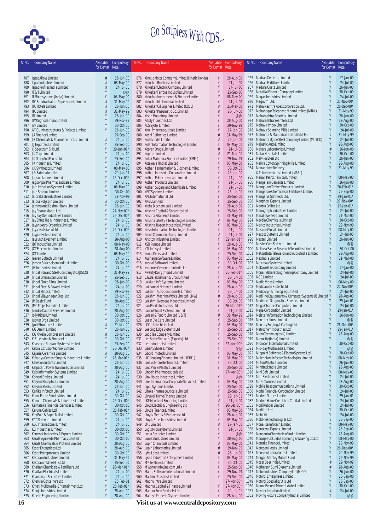

|    | Sr.No.     | <b>Company Name</b>                                                    | for Demat Retail | Available Compulsory    | Sr.No. | <b>Company Name</b>                                                                     | for Demat Retail   | Available Compulsory      | Sr.No.       | <b>Company Name</b>                                                                         | Available<br>for Demat Retail | Compulsory              |
|----|------------|------------------------------------------------------------------------|------------------|-------------------------|--------|-----------------------------------------------------------------------------------------|--------------------|---------------------------|--------------|---------------------------------------------------------------------------------------------|-------------------------------|-------------------------|
|    | 787        | Ispat Alloys Limited                                                   | #                | 26-Jun-00               |        | 876 Kinetic Motor Company Limited (Kinetic Honda)                                       | Y                  | 28-Aug-00                 |              | 965 Madras Cements Limited                                                                  | Y                             | 17-Jan-00               |
|    | 788        | Ispat Industries Limited                                               | #                | 08-May-00               |        | 877 Kirloskar Brothers Limited                                                          | Y                  | 24-Jul-00                 |              | 966 Madras Fertilizers Limited                                                              | Y                             | 24-Jul-00               |
|    | 789        | Ispat Profiles India Limited                                           |                  | 24-Jul-00               |        | 878 Kirloskar Electric Company Limited                                                  | Y                  | 24-Jul-00                 |              | 967 Madura Coats Limited                                                                    | Y                             | 26-Jun-00               |
|    | 791        | 790 IT & T Limited<br>IT Microsystems (India) Limited                  | Y                | @@<br>08-May-00         |        | 879 Kirloskar Ferrous Industries Limited<br>880 Kirloskar Investments & Finance Limited | Y<br>Y             | 25-Sep-00<br>08-May-00    | 969          | 968 Mafatlal Finance Company Limited<br>Magan Industries Limited                            | Y<br>Y                        | 30-Oct-00<br>24-Jul-00  |
|    |            | 792 ITC Bhadrachalam Paperboards Limited                               | #                | 31-May-99               |        | 881 Kirloskar Multimedia Limited                                                        |                    | 24-Jul-00                 |              | 970 Magnum Ltd.                                                                             | Y                             | 27-Nov-00*              |
|    | 793        | <b>ITC Hotels Limited</b>                                              |                  | 26-Jun-00               |        | 882 Kirloskar Oil Engines Limited (KOEL)                                                | #                  | 21-Mar-00                 | 971          | Maha Rashtra Apex Corporation Ltd.                                                          | Y                             | 26-Dec-00*              |
|    |            | 794 ITC Limited                                                        |                  | 31-May-99               |        | 883 Kirloskar Pneumatic Co. Limited                                                     | #<br>Y             | 26-Jun-00                 |              | 972 Mahanagar Telephone Nigam Limited (MTNL)                                                | Y<br>Y                        | 31-May-99               |
|    |            | 795 ITI Limited<br>796 ITW Signode India Limited                       |                  | 26-Jun-00<br>29-Nov-99  |        | 884 Kisan Mouldings Limited<br>885 Kitply Industries Ltd.                               | Y                  | @@<br>28-Aug-00           | 973          | Maharashtra Scooters Limited<br>974 Maharashtra Seamless Ltd.                               |                               | 26-Jun-00<br>28-Aug-00  |
|    |            | 797 IVP Limited                                                        |                  | 30-Oct-00               |        | 886 KLG Systel Limited                                                                  |                    | 29-Nov-99                 |              | 975 Mahavir Impex Limited                                                                   |                               | 30-Oct-00               |
|    |            | 798 IVRCL Infrastructures & Projects Limited                           | Y                | 26-Jun-00               |        | 887 Knoll Pharmaceuticals Limited                                                       | Y                  | 17-Jan-00                 |              | 976 Mahavir Spinning Mills Limited                                                          | Y                             | 24-Jul-00               |
|    | 799<br>800 | JAFinance Limited<br>JB Chemicals & Pharmaceuticals Limited            | #                | 25-Sep-00<br>24-Jul-00  |        | 888 Kochi Refineries Limited<br>889 Kodak India Limited                                 | #                  | 31-May-99<br>26-Jun-00    |              | 977 Mahindra & Mahindra Limited (M & M)<br>978 Mahindra Ugine Steel Company Limited (MUSCO) | #                             | 31-May-99<br>24-Jul-00  |
|    | 801        | JJ Exporters Limited                                                   | Y                | 25-Sep-00               |        | 890 Kolar Information Technologies Limited                                              | Y                  | 08-May-00                 |              | 979 Majestic Auto Limited                                                                   |                               | 28-Aug-00               |
|    |            | 802 JJ Spectrum Silk Ltd.                                              | Y                | 29-Jan-01*              |        | 891 Kopran Drugs Limited                                                                | #                  | 24-Jul-00                 |              | 980 Makers Laboratories Limited                                                             |                               | 26-Jun-00               |
|    |            | 803 JK Corp Limited<br>804 JK Dairy And Foods Ltd                      | Y<br>Y           | 24-Jul-00<br>25-Sep-00  |        | 892 Kopran Limited<br>893 Kotak Mahindra Finance Limited (KMFL)                         | #<br>Y             | 21-Mar-00<br>29-Nov-99    |              | 981 Malar Hospitals Limited<br>982 Malvika Steel Ltd                                        |                               | 30-Oct-00<br>26-Jun-00  |
|    |            | 805 JK Industries Limited                                              |                  | 24-Jul-00               |        | 894 Kotawala (India) Limited                                                            | Y                  | 08-May-00                 |              | 983 Malwa Cotton Spinning Mills Limited                                                     | Y                             | 28-Aug-00               |
|    |            | 806 J.K. Synthetics Limited                                            | Y                | 08-May-00               |        | 895 Kothari Fermentation & Biochem Limited                                              | Y                  | 30-Oct-00                 |              | 984 Managalore Refinery                                                                     |                               | 31-May-99               |
|    |            | 807 J.R.Fabricators Ltd.                                               | Y<br>Y           | 29-Jan-01               |        | 896 Kothari Industrial Corporation Limited                                              | Y<br>γ             | 26-Jun-00                 |              | & Petrochemicals Limited (MRPL)                                                             |                               |                         |
|    | 808<br>809 | Jagson Airlines Limited<br>Jagsonpal Pharmaceuticals Limited           | Y                | 26-Dec-00*<br>24-Jul-00 |        | 897 Kothari Petrochemicals Limited<br>898 Kothari Products Limited                      | Y                  | 24-Jul-00<br>24-Jul-00    |              | 985 Manali Petrochemical Limited<br>986 Mangalam Cements Limited                            | Y                             | 08-May-00<br>26-Jun-00  |
|    | 810        | Jain Irrigation Systems Limited                                        | Y                | 08-May-00               | 899    | Kothari Sugars and Chemicals Limited                                                    | Y                  | 24-Jul-00                 | 987          | Mangalam Timber Products Limited                                                            | Y                             | 26-Feb-01*              |
|    | 811        | Jain Studios Limited                                                   | Y                | 30-Oct-00               |        | 900 KPIT Systems Limited                                                                | Y                  | 26-Jun-00                 | 988          | Mangalore Chemicals & Fertilizers Limited                                                   | Y                             | 25-Sep-00               |
|    | 812<br>813 | Jaiprakash Industries Limited<br>Jaipur Polyspin Limited               | Y<br>#           | 29-Nov-99<br>30-Oct-00  |        | 901 KPL International Ltd<br>902 KRBL Limited                                           | Y                  | 25-Sep-00<br>25-Sep-00    | 989          | Mangalya Soft-Tech Ltd.<br>990 Manphool Exports Limited                                     | Y<br>Y                        | 29-Jan-01<br>27-Nov-00* |
|    |            | 814 Jammu and Kashmir Bank Limited                                     | Y                | 26-Jun-00               |        | 903 Krebs Biochemicals Limited                                                          | Y                  | 28-Aug-00                 |              | 991 Mantra Online Ltd.                                                                      | Y                             | 29-Jan-01               |
|    | 815        | Jay Bharat Maruti Ltd                                                  | Y                | 27-Nov-00*              |        | 904 Krishna Capital & Securities Ltd.                                                   | Y                  | 25-Sep-00                 |              | 992 Manugraph Industries Limited                                                            | Y                             | 24-Jul-00               |
|    |            | 816 Jay Kay Dee Industries Limited                                     | Y<br>Y           | 26-Dec-00*              |        | 905 Krishna Filaments Limited                                                           | Y                  | 31-May-99                 |              | 993 Maral Overseas Limited                                                                  | Y                             | 21-Mar-00               |
|    | 818        | 817 Jay Shree Tea & Industries Limited<br>Jayant Agro-Organics Limited | Y                | 24-Jul-00<br>24-Jul-00  |        | 906 Krishna Lifestyle Technologies Limited.<br>907 Krishna Texport Industries Limited   | #<br>Y             | 08-May-00<br>08-May-00    |              | 994 Mardia Chemicals Limited<br>995 Marico Industries Limited                               | Y                             | 30-Oct-00<br>29-Nov-99  |
|    | 819        | Jayaswals Neco Ltd.                                                    | Y                | 26-Dec-00*              |        | 908 Krisn Information Technologies Limited                                              |                    | 24-Jul-00                 |              | 996 Mascon Global Limited                                                                   | Y                             | 08-May-00               |
|    | 820        | Jaypee Hotels Limited                                                  |                  | 24-Jul-00               |        | 909 Krone Communications Limited                                                        | #                  | 24-Jul-00                 |              | 997 Mascot Systems Limited                                                                  |                               | 24-Jul-00               |
|    | 821<br>822 | Jaysynth Dyechem Limited<br>JBF Industries Limited                     | Y<br>Y           | 28-Aug-00<br>08-May-00  |        | 910 Krypton Industries Limited<br>911 KSB Pumps Limited                                 | Y<br>Y             | 29-Jan-01*<br>28-Aug-00   |              | 998 Mastek Limited<br>999 Master.Com Software Limited                                       | Y<br>Y                        | 26-Jun-00<br>@@         |
|    |            | 823 JCT Electronics Limited                                            |                  | 28-Aug-00               |        | 912 KTL Infosys Limited                                                                 |                    | 08-May-00                 | 1000         | Mathew Easow Research Securities Limited                                                    | Y                             | 30-Oct-00               |
|    |            | 824 JCT Limited                                                        |                  | 08-May-00               |        | 913 Kunal Overseas Limited                                                              |                    | 25-Sep-00                 | 1001         | Matsushita Television and Audio India Limited                                               | Y                             | 28-Aug-00               |
|    | 825        | Jeevan Softech Limited                                                 | Y                | 24-Jul-00<br>30-Oct-00  |        | 914 Kushagra Software Limited<br>915 Kushal Software Limited                            | Y                  | 08-May-00                 | 1003         | 1002 Max India Limited                                                                      | Y<br>Y                        | 21-Mar-00<br>@@         |
|    | 826<br>827 | Jenson & Nicholson (India) Limited<br>JIK Industries Limited           | Y                | 24-Jul-00               |        | 916 Kvaerner Cementation India Ltd.                                                     | Y                  | 30-Oct-00<br>28-Aug-00    | 1004         | Maximaa Systems Limited<br>McDowell & Company Limited                                       | Y                             | 17-Jan-00               |
|    | 828        | Jindal Iron and Steel Company Ltd. (JISCO)                             | Y                | 31-May-99               |        | 917 Kwality Dairy (India) Limited                                                       | Y                  | 26-Feb-01*                | 1005         | Mcnally Bharat Engineering Company Limited                                                  | Y                             | 24-Jul-00               |
|    | 829        | Jindal Online.com Limited                                              | Y                | 25-Sep-00               |        | 918 L.G.Balakrishnan & Bros Limited                                                     | Y                  | 26-Jun-00                 |              | 1006 MCS Limited                                                                            |                               | 24-Jul-00               |
|    | 830<br>831 | Jindal Photo Films Limited<br>Jindal Steel & Power Limited             | Y                | 26-Jun-00<br>24-Jul-00  |        | 919 La Multi Info Systems Limited<br>920 Lakhanpal National Limited                     | Y<br>Y             | 08-May-00<br>28-Aug-00    |              | 1007 Media Video Limited<br>1008 Medicamen Biotech Ltd                                      | Y<br>Y                        | 08-May-00<br>27-Nov-00* |
|    | 832        | Jindal Strips Limited                                                  |                  | 29-Nov-99               |        | 921 Lakshmi Auto Components Limited                                                     | Y                  | $26$ -Jun-00              | 1009         | Medicorp Technologies Limited                                                               | Y                             | 24-Jul-00               |
|    | 833        | Jindal Vijayanagar Steel Ltd                                           | Y                | 26-Jun-00               |        | 922 Lakshmi Machine Works Limited (LMW)                                                 | #                  | 28-Aug-00                 |              | 1010 Mediline Equipments & Computer Systems (I) Limited Y                                   |                               | 28-Aug-00               |
|    | 834<br>835 | JM Basic Fund                                                          | Y                | 28-Aug-00<br>24-Jul-00  |        | 923 Lakshmi Overseas Industries Limited<br>924 Lan Eseda Industries Ltd                 | Y<br>Y             | 30-0ct-00                 | 1011         | Medinova Diagnostics Services Limited<br>1012 Mega Channel Computers Limited                | Y<br>Y                        | 29-Jan-01<br>24-Jul-00  |
|    | 836        | JMC Projects (India) Limited<br>Joindre Capital Services Limited       |                  | 28-Aug-00               |        | 925 Lanco Global Systems Limited                                                        | Y                  | 26-Mar-01*<br>24-Jul-00   |              | 1013 Mega Corporation Limited                                                               |                               | 29-Jan-01*              |
|    | 837        | Jolly Rides Limited                                                    | Y                | 30-Oct-00               |        | 926 Larsen & Toubro Limited (L & T)                                                     | #                  | 31-May-99                 |              | 1014 Melstar Information Technologies Limited                                               | Y                             | 26-Jun-00               |
|    | 838        | Jupiter Orga Limited                                                   | Y                | 30-Oct-00               |        | 927 Laser Eye Care Limited                                                              | Y                  | $25-Sep-00$               |              | 1015 Mercator Lines Limited                                                                 | Y                             | @@<br>26-Dec-00*        |
|    | 839        | Jyoti Structures Limited<br>840 KG Denim Limited                       |                  | 21-Mar-00<br>26-Jun-00  |        | 928 LCC Infotech Limited<br>929 Leading Edge Systems Ltd                                | $\frac{1}{t}$<br>Y | 08-May-00<br>25-Sep-00    |              | 1016 Mercury Forging & Casting Ltd<br>1017 Metrochem Industries Ltd                         |                               | 29-Jan-01'              |
|    | 841        | K G Khosla Compressors Limited                                         | #                | 26-Jun-00               |        | 930 Ledo Tea Company Limited                                                            | Y                  | 25-Sep-00                 |              | 1018 Micro Technologies (I) Limited                                                         | Y                             | 28-Aug-00               |
|    |            | 842 K.Z. Leasing & Finance Ltd                                         | Y                | 30-Oct-00               |        | 931 Lee & Nee Software (Exports) Ltd                                                    | Y                  | $25-Sep-00$               |              | 1019 Microcity (India) Limited                                                              | Y                             | @@                      |
|    | 843<br>844 | Kaashyap Radiant Systems Limited<br>Kabra Extrusiontechnik Limited     |                  | 25-Sep-00<br>26-Dec-00* |        | 932 Leo Industrials Limited<br>933 Liberty Shoes Limited                                | Y                  | 27-Nov-00*<br>@@          |              | 1020 Microcon International Limited<br>1021 Mid-day Multimedia Limited                      | Y                             | 30-Oct-00<br>@@         |
|    | 845        | Kajaria Ceramics Limited                                               | #                | 28-Aug-00               |        | 934 Libord Infotech Limited                                                             | Y                  | 08-May-00                 | 1022         | Midpoint Software & Electro Systems Ltd                                                     | Y                             | 30-Oct-00               |
|    | 846        | Kakatiya Cement Sugar & Industries Limited                             | Y                | 26-Mar-01*              |        | 935 LIC Housing Finance Limited (LICHFL)                                                | Y                  | 31-May-99                 | 1023         | Millennium Infocom Technologies Limited                                                     | Y                             | 08-May-00               |
|    | 847<br>848 | Kale Consultants Limited<br>Kalpataru Power Transmission Limited       | Y<br>Y           | 26-Jun-00<br>28-Aug-00  |        | 936 Linaks Microelectronics Limited<br>937 Linc Pen & Plastics Limited                  | Y<br>Y             | 30-Oct-00<br>25-Sep-00    | 1024         | Milton Plastics Limited<br>1025 Mindteck India Limited                                      | Y<br>Y                        | 26-Jun-00<br>28-Aug-00  |
|    | 849        | Kals Information Systems Limited                                       | Y                | 24-Jul-00               |        | 938 Lincoln Pharmaceuticals Ltd                                                         |                    | 27-Nov-00*                |              | 1026 Mini Soft Limited                                                                      | Y                             | 08-May-00               |
|    | 850        | Kalyani Brakes Limited                                                 | Y                | 24-Jul-00               |        | 939 Link House Industries Limited                                                       | Y                  | @@                        | 1027         | Mirc Electronics Limited                                                                    | Y                             | 24-Jul-00               |
|    | 851        | Kalyani Sharp India Limited                                            | Y<br>Y           | 28-Aug-00               |        | 940 Link International Corporate Services Limited                                       | Y<br>Y             | 08-May-00                 | 1028         | Mirza Tanners Limited                                                                       | Y                             | 28-Aug-00               |
|    | 853        | 852 Kalyani Steels Limited<br>Kanika Infotech Limited                  | Y                | 26-Jun-00<br>24-Jul-00  |        | 941 Lippi Systems Limited<br>942 Litaka Pharmaceuticals Limited                         | Y                  | 25-Sep-00<br>25-Sep-00    | 1029<br>1030 | Mobile Telecommunications Limited<br>Model Financial Corporation Limited                    | Y                             | 30-Oct-00<br>24-Jul-00  |
|    |            | 854 Kanoi Paper & Industries Limited                                   | Y                | 30-Oct-00               |        | 943 Livewell Home Finance Limited                                                       | Y                  | 29-Jan-01                 | 1031         | Modern Dairies Limited                                                                      | Y                             | 29-Jan-01               |
|    | 855        | Kanoria Chemicals & Industries Limited                                 | Y                | 26-Dec-00*              |        | 944 LKP Merchant Financing Limited                                                      | #                  | 24-Jul-00                 | 1032         | Modern Home Credit And Capital Limited                                                      | Y                             | 24-Jul-00               |
|    | 856<br>857 | Karnataka Financial Services Limited<br>Karuna Cables Ltd              | Y<br>Y           | 30-Oct-00<br>26-Feb-01* |        | 945 Lloyd Electric & Engineering Ltd<br>946 Lloyds Finance Limited                      | Y<br>Y             | 26-Dec-00*<br>08-May-00   |              | 1033 Modi Rubber Limited<br>1034 Modiluft Ltd.                                              | Y<br>Y                        | 24-Jul-00<br>30-Oct-00  |
|    | 858        | Kay Pulp & Paper Mills Limited                                         | Y                | 30-Oct-00               |        | 947 Lloyds Metals & Engineers Ltd.                                                      |                    | 28-Aug-00                 | 1035         | Moh Ltd                                                                                     |                               | 24-Jul-00               |
|    | 859        | <b>KCC Software Limited</b>                                            |                  | 24-Jul-00               |        | 948 Lloyds Steel Industries Limited                                                     | Y                  | 08-May-00                 |              | 1036 Mold-Tek Technologies Ltd                                                              |                               | 25-Sep-00               |
|    | 860<br>861 | <b>KEC International Limited</b><br><b>KEI Industries Limited</b>      | Y<br>Y           | 24-Jul-00<br>30-Oct-00  |        | 949 LML Limited<br>950 Logix Microsystems Limited                                       | #<br>Y             | $17$ -Jan-00<br>24-Jul-00 | 1037<br>1038 | Monalisa Infotech Limited<br>Monotona Exports Limited                                       | Y<br>Y                        | 08-May-00<br>25-Sep-00  |
|    | 862        | Kemrock Industries & Exports Limited                                   | Y                | 30-Oct-00               |        | 951 Lohia Securites Limited                                                             | Y                  | @@                        | 1039         | Monsanto Chemicals of India Limited                                                         |                               | 28-Aug-00               |
|    | 863        | Kerala Ayurveda Pharmacy Limited                                       | Y                | 30-Oct-00               |        | 952 Lumax Industries Limited                                                            | Y                  | 28-Aug-00                 | 1040         | Morarjee Gokuldas Spinning & Weaving Co.Ltd.                                                |                               | 08-May-00               |
|    | 864        | Kerala Chemicals & Proteins Limited                                    | Y                | 28-Aug-00               |        | 953 Lupin Chemicals Limited                                                             | #                  | 08-May-00                 | 1041         | Morarka Finance Limited                                                                     | Y                             | 29-Nov-99               |
|    | 865<br>866 | Kesar Enterprises Ltd<br>Kesar Petroproducts Limited                   | Y                | 28-Aug-00<br>30-Oct-00  |        | 954 Lupin Laboratories Limited<br>955 Lyka Labs Limited                                 | #<br>#             | 29-Nov-99<br>26-Jun-00    | 1042<br>1043 | Morepen Hotels Limited<br>Morepen Laboratories Limited                                      | Y                             | 26-Dec-00*<br>29-Nov-99 |
|    | 867        | Kesoram Industries Limited                                             |                  | 31-May-99               |        | 956 Lyons Industrial Enterprises Limited                                                | Y                  | 08-May-00                 | 1044         | Morgan Stanley Mutual Fund                                                                  |                               | 29-Nov-99               |
|    | 868        | Kesoram Textile Mills Ltd                                              | Y                | 25-Sep-00               |        | 957 MP Telelinks Limited                                                                | Y                  | 30-Oct-00                 |              | 1045 Moser Baer India Limited                                                               |                               | 29-Nov-99               |
|    | 869<br>870 | Khaitan Chemicals & Fertilizers Ltd<br>Khaitan Electricals Limited     | Y                | 26-Mar-01*<br>24-Jul-00 |        | 958 MWomenInfoLine.com Ltd. (<br>959 Maars Software International Limited               | Y<br>Y             | 25-Sep-00<br>29-Nov-99    | 1046<br>1047 | Motherson Sumi Systems Limited<br>Motor Industries Company Ltd (MICO)                       |                               | 28-Aug-00<br>26-Jun-00  |
|    | 871        | Khandwala Securities Limited                                           | Y                | 24-Jul-00               |        | 960 Machino Plastics Limited                                                            | Y                  | 25-Sep-00                 | 1048         | Motorol Enterprises Limited.                                                                |                               | 25-Sep-00               |
|    | 872        | Khemka Containers Ltd                                                  | Y                | 26-Feb-01               |        | 961 Madhu Intra Limited                                                                 |                    | 27-Nov-00*                | 1049         | Motorol Speciality Oils Ltd                                                                 |                               | 25-Sep-00               |
|    | 873        | Khyati Mulitmedia-Entertainment Ltd.                                   | Y                | 26-Feb-01*              |        | 962 Madhur Capital & Finance Limited                                                    | Y<br>Y             | 27-Nov-00*                | 1050         | Mount Everest Mineral Water Limited                                                         | Y                             | 30-Oct-00               |
|    | 874<br>875 | Kiduja Industries Limited<br>Kinetic Engineering Limited               | Y<br>Y           | 28-Aug-00<br>28-Aug-00  |        | 963 Madhur Food Products Ltd.<br>964 Madhya Pradesh Glychem Limited                     | Y                  | 29-Jan-01<br>28-Aug-00    | 1051         | Movilex Irrigation limited<br>1052 Moving Picture Company (India) Limited                   | Y                             | 24-Jul-00<br>@@         |
| 16 |            |                                                                        |                  |                         |        | Visit us at www.centraldepository.com                                                   |                    |                           |              |                                                                                             |                               |                         |
|    |            |                                                                        |                  |                         |        |                                                                                         |                    |                           |              |                                                                                             |                               |                         |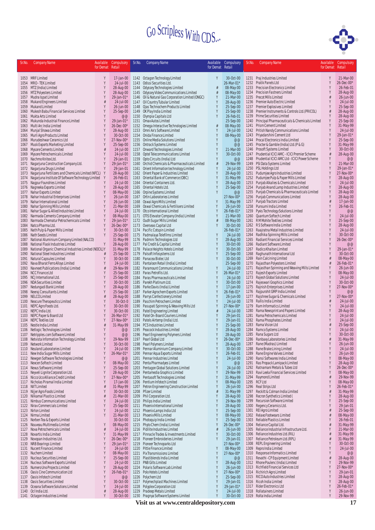

| Sr.No.       | <b>Company Name</b>                                                      | Available | Compulsory                    | Sr.No.       | <b>Company Name</b>                                                        |                  | Available Compulsory    | Sr.No.       | <b>Company Name</b>                                                           | Available | Compulsory              |
|--------------|--------------------------------------------------------------------------|-----------|-------------------------------|--------------|----------------------------------------------------------------------------|------------------|-------------------------|--------------|-------------------------------------------------------------------------------|-----------|-------------------------|
|              |                                                                          | for Demat | Retail                        |              |                                                                            | for Demat Retail |                         |              |                                                                               | for Demat | Retail                  |
|              |                                                                          |           |                               |              |                                                                            |                  |                         |              |                                                                               |           |                         |
|              | 1053 MRF Limited<br>1054 MRO - TEK Limited                               | Y         | $17$ -Jan-00                  | 1143         | 1142 Octagon Technology Limited<br>Odissi Securities Ltd.                  | Υ                | 30-Oct-00<br>26-Mar-01* |              | 1231 Praj Industries Limited                                                  | Y<br>Y    | 21-Mar-00               |
|              | 1055 MTZ (India) Limited                                                 | Y         | 24-Jul-00<br>28-Aug-00        | 1144         | Odyssey Technologies Limited                                               | #                | 08-May-00               | 1233         | 1232 Pratik Panels Ltd<br><b>Precision Electronics Limited</b>                | Y         | 26-Dec-00*<br>26-Feb-01 |
|              | 1056 MTZ Polyesters Limited                                              |           | 28-Aug-00                     |              | 1145 Odyssey Video Communications Limited                                  | ₫                | 08-May-00               | 1234         | Precision Fastners Limited                                                    |           | 28-Aug-00               |
| 1057         | Mudra Ispat Limited                                                      |           | 29-Jan-01*                    | 1146         | Oil & Natural Gas Corporation Limited (ONGC)                               | Y                | 21-Mar-00               |              | 1235 Precot Mills Limited                                                     |           | 26-Jun-00               |
| 1058         | Mukand Engineers Limited                                                 |           | 24-Jul-00                     |              | 1147 Oil Country Tubular Limited                                           |                  | 28-Aug-00               |              | 1236 Premier Auto Electric Limited                                            |           | 24-Jul-00               |
| 1059         | Mukand Limited                                                           |           | 26-Jun-00                     | 1148         | Ojas Technochem Products Limited                                           |                  | 25-Sep-00               |              | 1237 Premier Explosives Limited                                               | Y         | 25-Sep-00               |
| 1060         | Mukesh Babu Financial Services Limited<br>Mukta Arts Limited             |           | 25-Sep-00<br>@@               | 1150         | 1149 OK Play India Limited                                                 |                  | 25-Sep-00<br>26-Feb-01  | 1239         | 1238 Premier Instruments & Controls Ltd. (PRICOL)<br>Prime Securities Limited | #         | 28-Aug-00<br>28-Aug-00  |
| 1061         | 1062 Mukunda Industrial Finance Limited                                  |           | 29-Jan-01*                    |              | Olympia Capitals Ltd<br>1151 Omax Autos Limited                            |                  | 25-Sep-00               |              | 1240 Principal Pharmaceuticals & Chemicals Limited                            | Y         | 25-Sep-00               |
| 1063         | Multi Arc India Limited                                                  |           | 26-Dec-00*                    |              | 1152 Omega Interactive Technologies Limited                                | #                | 08-May-00               |              | 1241 Prism Cement Limited                                                     | Y         | 31-May-99               |
| 1064         | Munjal Showa Limited                                                     |           | 28-Aug-00                     |              | 1153 Omni Ax's Software Limited                                            |                  | 24-Jul-00               | 1242         | Pritish Nandy Communications Limited                                          | Y         | 24-Jul-00               |
| 1065         | Murli Agro Products Limited                                              |           | 30-Oct-00                     |              | 1154 Onida Finance Limited                                                 |                  | 08-May-00               | 1243         | Priyadarshini Cement Ltd                                                      | Y         | 29-Jan-01*              |
| 1066         | Murudeshwar Ceramics Ltd                                                 |           | 27-Nov-00*                    |              | 1155 Online Media Solutions Limited                                        |                  | @@                      |              | 1244 Procal Electronics India Limited                                         | Y         | 25-Sep-00               |
| 1067         | Musk Exports Marketing Limited                                           |           | 25-Sep-00                     |              | 1156 Ontrack Systems Limited                                               | Y                | @@<br>21-Mar-00         |              | 1245 Procter & Gamble (India) Ltd. (P & G)<br>1246 Prosoft Systems Limited    | Y         | 31-May-99<br>30-Oct-00  |
| 1068         | Mysore Cements Limited<br>1069 Mysore Petrochemicals Limited             |           | 24-Jul-00<br>24-Jul-00        | 1158         | 1157 Onward Technologies Limited<br>Optel Telecommunications Limited       | Y                | 30-Oct-00               | 1247         | Prudential ICICI AMC - ICICI Premier Scheme                                   |           | 28-Aug-00               |
| 1070         | Nachmo Knitex Ltd.                                                       |           | 29-Jan-01                     |              | 1159 Opto Circuits (India) Ltd                                             | Y                | @@                      |              | 1248 Prudential ICICI AMC Ltd - ICICI Power Scheme                            | Y         | @@                      |
| 1071         | Nagarjuna Construction Company Ltd.                                      | Y         | 29-Jan-01*                    |              | 1160 Orchid Chemicals & Pharmaceuticals Limited                            | #                | 29-Nov-99               | 1249         | PSI Data Systems Limited                                                      | Y         | 21-Mar-00               |
| 1072         | Nagarjuna Drugs Limited                                                  |           | 29-Jan-01                     |              | 1161 Orient Information technology Limited                                 | Y                | 24-Jul-00               |              | 1250 PSL Holdings Ltd                                                         |           | 29-Jan-01*              |
| 1073         | Nagarjuna Fertilizers and Chemicals Limited (NFCL)                       | Y         | 28-Aug-00                     |              | 1162 Orient Paper & Industries Limited                                     |                  | 28-Aug-00               | 1251         | Pudumjee Agro Industries Limited                                              | Y         | 27-Nov-00*              |
| 1074         | Nagarjuna Institute Of Software Technology Limited                       | Y         | 26-Feb-01                     |              | 1163 Oriental Bank of Commerce (OBC)                                       | Y                | 31-May-99               |              | 1252 Pudumjee Pulp & Paper Mills Limited                                      | Y         | 28-Aug-00               |
|              | 1075 Nagpur Foundries Limited                                            |           | 24-Jul-00                     |              | 1164 Oriental Containers Ltd.<br>1165 Oriental Hotels Ltd.                 |                  | 28-Aug-00               | 1253         | Punjab Alkalies & Chemicals Limited<br>Punjab Anand Lamp Industries Limited   | Y<br>Y    | 24-Jul-00               |
| 1076         | Nagreeka Exports Limited<br>1077 Nahar Exports Limited                   |           | 28-Aug-00<br>08-May-00        |              | 1166 Orpine Systems Limited                                                |                  | 25-Sep-00<br>@@         | 1254<br>1255 | Punjab Chemicals & Pharmaceuticals Limited                                    |           | 28-Aug-00<br>28-Aug-00  |
| 1078         | Nahar Industrial Enterprises Limited                                     |           | 26-Jun-00                     |              | 1167 Ortin Laboratories Limited                                            |                  | 27-Nov-00*              | 1256         | Punjab Communications Limited                                                 |           | 28-Aug-00               |
| 1079         | Nahar International Limited                                              | Y         | 26-Jun-00                     |              | 1168 Oswal Agro Mills Limited                                              |                  | 31-May-99               | 1257         | Punjab Tractors Limited                                                       |           | 17-Jan-00               |
| 1080         | Nahar Spinning Mills Limited                                             |           | 21-Mar-00                     | 1169         | Oswal Chemicals & Fertilisers Limited                                      |                  | 26-Jun-00               | 1258         | Punsumi India Limited                                                         |           | 26-Feb-01               |
| 1081         | Nahar Sugar & Allied Industries Limited                                  | Y         | 24-Jul-00                     |              | 1170 Otco International Limited                                            |                  | 26-Feb-01*              | 1259         | Pyxis Technology Solutions Limited                                            |           | @@                      |
| 1082         | Narmada Cements Company Limited                                          | Υ         | 08-May-00                     |              | 1171 OTIS Elevator Company (India) Limited                                 | Y                | 21-Mar-00               | 1260         | Quantum Softech Limited                                                       | Y         | 24-Jul-00               |
| 1083         | Narmada Chematur Petrochemicals Limited                                  | Y<br>γ    | 29-Jan-01*                    |              | 1172 Oudh Sugar Mills Limited                                              | ₫<br>Y           | 08-May-00               |              | 1261 RMMohite Textiles Limited<br>1262 RS Software India Limited              | Y         | 25-Sep-00               |
| 1084<br>1085 | Natco Pharma Ltd.<br>Nath Pulp & Paper Mills Limited                     | Y         | $26$ -Dec-00 $*$<br>30-Oct-00 |              | 1173 Overseas Capital Ltd<br>1174 Pacific Cotspin Limited                  |                  | 30-Oct-00<br>26-Feb-01* | 1263         | Raajratna Metal Industries Limited                                            |           | 28-Aug-00<br>24-Jul-00  |
| 1086         | Nath Seeds Limited                                                       | Y         | 25-Sep-00                     |              | 1175 Padmalaya Telefilms Limited                                           | γ                | 24-Jul-00               | 1264         | Radhika Spinning Mills Limited                                                |           | 30-Oct-00               |
| 1087         | National Aluminium Company Limited (NALCO)                               |           | 31-May-99                     |              | 1176 Padmini Technologies Ltd                                              | Y                | 28-Aug-00               | 1265         | Radiant Financial Services Limited                                            | Y         | 26-Dec-00*              |
| 1088         | National Flask Industries Limited                                        |           | 28-Aug-00                     |              | 1177 Pal Credit & Capital Limited                                          | Y                | 30-Oct-00               | 1266         | Radiant Software Limited                                                      |           | @@                      |
| 1089         | National Organic Chemical Industries Limited (NOCIL) Y                   |           | 31-May-99                     |              | 1178 Palace Heights Hotels Limited                                         | γ                | 30-Oct-00               | 1267         | Radico Khaitan Limited                                                        |           | 29-Jan-01*              |
| 1090         | National Steel Industries Limited                                        | #         | 25-Sep-00                     |              | 1179 Palsoft Infosystems Ltd                                               | γ                | 25-Sep-00               |              | 1268 Raghunath International Ltd                                              |           | 30-Oct-00               |
| 1091         | Natural Capsules Limited                                                 | γ         | 30-Oct-00                     | 1180         | Panacea Biotec Ltd                                                         | γ                | 30-Oct-00               | 1269         | Rain Calcining Limited                                                        |           | 08-May-00               |
| 1092<br>1093 | Nava Bharat Ferro Alloys Limited<br>Navneet Publications (India) Limited |           | 24-Jul-00<br>29-Nov-99        | 1181         | Pantaloon Retail (India) Limited<br>1182 Paramount Communications Limited  | Υ                | 25-Sep-00<br>24-Jul-00  | 1270<br>1271 | Rajasthan Polyesters Limited<br>Rajasthan Spinning and Weaving Mills Limited  | Y         | 26-Feb-01*<br>26-Jun-00 |
|              | 1094 NCC Finance Ltd                                                     |           | 25-Sep-00                     |              | 1183 Paras Petrofils Ltd.                                                  |                  | 26-Mar-01*              | 1272         | Rajesh Exports Limited                                                        | Y         | 08-May-00               |
|              | 1095 NCJ International Ltd.                                              |           | 25-Sep-00                     |              | 1184 Paras Pharmaceuticals Limited                                         |                  | 24-Jul-00               | 1273         | Rajesh Global Solutions Limited                                               | Y         | 24-Jul-00               |
| 1096         | NDA Securities Limited                                                   |           | 30-Oct-00                     |              | 1185 Parekh Platinum Ltd.                                                  |                  | 30-Oct-00               | 1274         | Rajeswari Graphics Limited                                                    | Y         | 30-Oct-00               |
| 1097         | Nedungadi Bank Limited                                                   |           | 28-Aug-00                     |              | 1186 Parke Davis (India) Limited                                           |                  | 17-Jan-00               | 1275         | Rajnish Enterprises Limited                                                   | Y         | 27-Nov-00*              |
| 1098         | Neeraj Consultants Limited                                               |           | 25-Sep-00                     |              | 1187 Parker Agrochem Exports Limited                                       | Y                | 26-Feb-01*              | 1276         | Rajpurohit GMP India Limited                                                  | Y         | @@                      |
| 1099         | NELCO Limited                                                            |           | 28-Aug-00<br>30-Oct-0         | 1188<br>1189 | Parrys Confectionery Limited<br>Paschim Petrochem Limited                  |                  | 26-Jun-00<br>24-Jul-00  |              | 1277 Rajshree Sugar & Chemicals Limited<br>1278 Rallis India Limited          |           | 27-Nov-00*<br>24-Jul-00 |
| 1100         | Neocure Therapeutics Limited<br>1101 NEPC Agro Foods Ltd.                |           | 30-Oct-00                     | 1190         | Pasupati Spinning & Weaving Mills Ltd                                      | Y                | 27-Nov-00*              |              | 1279 Ram Informatics Limited                                                  |           | 24-Jul-00               |
|              | 1102 NEPC India Ltd.                                                     | Y         | 30-Oct-00                     | 1191         | Patel Engineering Limited                                                  | #                | 24-Jul-00               | 1280         | Rama Newsprint and Papers Limited                                             | Y         | 28-Aug-00               |
|              | 1103 NEPC Paper & Board Ltd                                              |           | 26-Mar-01*                    |              | 1192 Patel On-Board Couriers Limited                                       |                  | 29-Jan-01               | 1281         | Rama Petrochemicals Limited                                                   | Y         | 24-Jul-00               |
|              | 1104 NEPC Textiles Ltd                                                   |           | 27-Nov-00*                    | 1193         | Patels Airtemp (India) Ltd.                                                |                  | 29-Jan-01               | 1282         | Rama Phosphates Limited                                                       |           | 24-Jul-00               |
|              | 1105 Nestle India Limited                                                | Ĥ         | 31-May-99                     |              | 1194 PCS Industries Limited                                                |                  | 25-Sep-00               |              | 1283 Rama Vision Ltd                                                          |           | 25-Sep-00               |
| 1106         | Netlogic Technologies Limited<br>1107 Netripples.com Software Limited    |           | @@<br>@@                      |              | 1195 Peacock Industries Limited<br>1196 Pearl Engineering Polymers Limited |                  | 28-Aug-00<br>28-Aug-00  |              | 1284 Ramco Systems Limited<br>1285 Rana Sugars Ltd                            |           | 24-Jul-00<br>30-Oct-00  |
|              | 1108 Netvista Information Technology Limited                             |           | 29-Nov-99                     |              | 1197 Pearl Global Ltd                                                      |                  | 26-Dec-00*              |              | 1286 Ranbaxy Laboratories Limited                                             |           | 31-May-99               |
|              | 1109 Network Limited                                                     |           | 30-Oct-00                     |              | 1198 Pearl Polymers Limited                                                |                  | 28-Aug-00               |              | 1287 Rane (Madras) Limited                                                    | Y         | 26-Jun-00               |
| 1110         | Neuland Laboratories Limited                                             | Y         | 24-Jul-00                     | 1199         | Pennar Aluminium Company Limited                                           | Y                | 30-Oct-00               | 1288         | Rane Brake Lining Limited                                                     | Y         | 24-Jul-00               |
| 1111         | New India Sugar Mills Limited                                            |           | 26-Mar-01'                    | 1200         | Pennar Aqua Exports Limited                                                | Y                | 26-Feb-01               | 1289         | Rane Engine Valves Limited                                                    | Y         | 26-Jun-00               |
|              | 1112 Newgen Software Technologies Limited                                | Y         | @@                            | 1201         | Pennar Industries Limited                                                  | Y                | 24-Jul-00               | 1290         | Ransi Softwares India Limited                                                 | Y         | 08-May-00               |
|              | 1113 Nexcen Softech Limited                                              | γ<br>γ    | 08-May-00                     | 1202         | Penta Pharmadyes Limited                                                   | Y<br>Y           | @@                      | 1291         | Ras Propack Lamipack Limited<br>Ratnamani Metals & Tubes Ltd                  | Y<br>Y    | 28-Aug-00               |
| 1115         | 1114 Nexus Software Limited<br>Neyveli Lignite Corporation Ltd.          |           | 25-Sep-00<br>28-Aug-00        | 1203<br>1204 | Pentagon Global Solutions Limited<br>Pentamedia Graphics Limited           | γ                | 24-Jul-00<br>29-Nov-99  | 1292<br>1293 | Ravi Leela Financial Services Limited                                         |           | 26-Dec-00*<br>08-May-00 |
|              | 1116 Nicco Uco Alliance Credit Limited                                   |           | 27-Nov-00*                    | 1205         | Pentasoft Technologies Limited                                             | γ                | 31-May-99               | 1294         | Raymond Limited                                                               |           | 29-Nov-99               |
| 1117         | Nicholas Piramal India Limited                                           |           | 17-Jan-00                     | 1206         | Pentium Infotech Limited                                                   |                  | 08-May-00               | 1295         | <b>RCF Ltd</b>                                                                | Y         | 08-May-00               |
| 1118         | <b>NIIT Limited</b>                                                      | #         | 31-May-99                     | 1207         | Petron Engineering Construction Limited                                    | Y                | 26-Jun-00               | 1296         | Real Strips Ltd                                                               | Y         | 26-Feb-01*              |
| 1119         | Nijjer Agro Foods Limited                                                |           | 30-Oct-00                     | 1208         | <b>Pfizer Limited</b>                                                      |                  | 31-May-99               | 1297         | Reckitt & Colman India Limited                                                |           | 31-May-99               |
|              | 1120 Nilkamal Plastics Limited                                           | #         | 21-Mar-00                     | 1209         | Phil Corporation Ltd.                                                      |                  | 28-Aug-00               | 1298         | Recron Synthetics Limited (                                                   |           | 28-Aug-00               |
| 1122         | 1121 Nimbus Communications Limited<br>Nirav Commercials Limited          | Y<br>Υ    | 24-Jul-00                     |              | 1210 Philips India Limited<br>1211 Phoenix International Limited           | γ<br>Y           | 29-Nov-99<br>28-Aug-00  | 1299<br>1300 | Recursion Software Limited<br>Regency Ceramics Ltd.                           | Y<br>Y    | 25-Sep-00<br>29-Jan-01  |
| 1123         | Nirlon Limited                                                           | γ         | 25-Sep-00<br>24-Jul-00        |              | 1212 Phoenix Lamps India Ltd                                               |                  | 25-Sep-00               | 1301         | REI Agro Limited                                                              |           | 25-Sep-00               |
|              | 1124 Nirma Limited                                                       | γ         | 21-Mar-00                     |              | 1213 Phoenix Mills Limited                                                 |                  | 08-May-00               | 1302         | Relaxo Footwears Limited                                                      |           | 08-May-00               |
|              | 1125 Norben Tea & Exports Limited                                        |           | 30-Oct-00                     |              | 1214 Photoquip India Limited                                               | γ                | 25-Sep-00               | 1303         | Reliable Plastics Limited                                                     |           | 26-Feb-01               |
| 1126         | Nouveau Multimedia Limited                                               |           | 08-May-00                     |              | 1215 Phyto Chem (India) Limited                                            | Y                | 26-Dec-00*              | 1304         | Reliance Capital Ltd.                                                         |           | 31-May-99               |
| 1127         | Nova Petrochemicals Limited                                              | #         | 24-Jul-00                     | 1216         | Pidilite Industries Limited                                                | ₫                | 26-Jun-00               | 1305         | Reliance Industrial Infrastructure Ltd.                                       |           | 21-Mar-00               |
| 1128         | Novartis India Limited                                                   | γ<br>Υ    | 31-May-99                     |              | 1217 Pinnacle Trades & Investments Limited                                 | Y<br>Y           | 30-Oct-00               | 1306         | Reliance Industries Ltd.(RIL)                                                 |           | 31-May-99               |
| 1129<br>1130 | Novopan Industries Ltd.<br>NRB Bearings Limited                          |           | 26-Dec-00*<br>29-Jan-01*      |              | 1218 Pioneer Embroideries Limited<br>1219 Pioneer Technoparks Ltd          |                  | 29-Jan-01<br>27-Nov-00* | 1307<br>1308 | Reliance Petroleum Ltd. (RPL)<br><b>REPL Engineering Limited</b>              | Y         | 31-May-99<br>30-Oct-00  |
| 1131         | Nucent Finance Limited                                                   |           | 24-Jul-00                     | 1220         | Pittie Finance Limited                                                     | Y                | 08-May-00               | 1309         | Repro India Limited                                                           | Y         | 24-Jul-00               |
| 1132         | Nuchem Limited                                                           |           | 08-May-00                     |              | 1221 Pix Transmissions Limited                                             | Y                | 27-Nov-00*              | 1310         | Response Informatics Limited                                                  | Y         | @@                      |
|              | 1133 Nucleus Securities Limited                                          | γ         | 25-Sep-00                     |              | 1222 Plastiblends India Limited                                            | Y                | @@                      | 1311         | Revathi - CP Equipment Limited                                                |           | 28-Aug-00               |
| 1134         | Nucleus Software Exports Limited                                         |           | 24-Jul-00                     |              | 1223 PNB Gilts Limited                                                     | Y                | 28-Aug-00               | 1312         | Rhone Poulenc (India) Limited                                                 | Y         | 29-Nov-99               |
| 1135         | Numero Uno Projects Limited                                              | Y         | 28-Aug-00                     | 1224         | Polaris Software Lab Limited                                               | γ                | 26-Jun-00               | 1313         | Richfield Financial Services Ltd                                              | Y<br>Y    | 27-Nov-00*              |
| 1136<br>1137 | Oasis Cine Communication Ltd<br>Oasis Infotech Limited                   | Y         | 26-Feb-01*<br>$@@$            | 1226         | 1225 Polo Hotels Limited<br>Polychem Ltd                                   | γ                | 27-Nov-00*<br>25-Sep-00 |              | 1314 Richirich Agro Limited<br>1315 RICO Auto Industries Limited              | Y         | 29-Jan-01<br>28-Aug-00  |
| 1138         | Oasis Securities Limited                                                 |           | 30-Oct-00                     | 1227         | Polymechplast Machines Limited                                             |                  | 29-Jan-01               |              | 1316 Ricoh India Limited                                                      | Y         | 28-Aug-00               |
| 1139         | Oceana Software Solutions Limited                                        | Y         | 24-Jul-00                     | 1228         | Polyplex Corporation Ltd                                                   |                  | 29-Jan-01*              | 1317         | <b>Rider Electronics Ltd</b>                                                  | Y         | 26-Feb-01*              |
|              | 1140 Ocl India Ltd.                                                      | #         | 28-Aug-00                     | 1229         | Pradeep Metals Limited                                                     |                  | 24-Jul-00               |              | 1318 Rollatainers Limited                                                     | Y         | 26-Jun-00               |
|              | 1141 Octagon Industries Limited                                          | Y         | 30-Oct-00                     | 1230         | Pragnya Software Systems Limited                                           |                  | 30-Oct-00               |              | 1319 Rolta India Limited                                                      | Y         | 29-Nov-99               |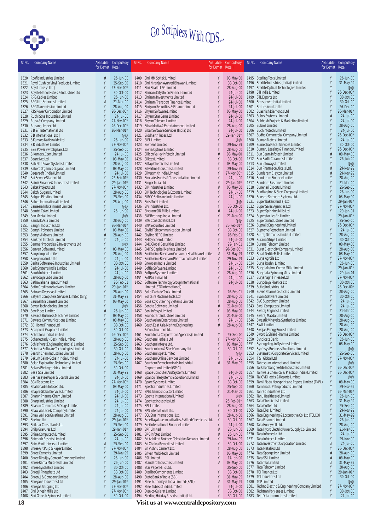

| Sr.No.       | <b>Company Name</b>                                                        | Available<br>for Demat | Compulsory<br>Retail         | Sr.No.       | <b>Company Name</b>                                                                     | Available<br>for Demat | Compulsory<br>Retail    | Sr.No.       | <b>Company Name</b>                                              | Available<br>for Demat | Compulsory<br>Retail    |
|--------------|----------------------------------------------------------------------------|------------------------|------------------------------|--------------|-----------------------------------------------------------------------------------------|------------------------|-------------------------|--------------|------------------------------------------------------------------|------------------------|-------------------------|
|              | 1320 Roofit Industries Limited                                             | #                      | 26-Jun-00                    |              | 1409 Shri MM Softek Limited                                                             | Y                      | 08-May-00               |              | 1495 Sterling Tools Limited                                      |                        | 26-Jun-00               |
| 1321         | Royal Cushion Vinyl Products Limited                                       | Y                      | 25-Sep-00                    | 1410         | Shri Niranjan Ayurved Bhawan Limited                                                    | Y                      | 30-Oct-00               | 1496         | Sterlite Industries (India) Limited                              |                        | 31-May-99               |
|              | 1322 Royal Infosys Ltd (                                                   |                        | 27-Nov-00*                   | 1411         | Shri Shakti LPG Limited                                                                 | Y                      | 28-Aug-00               | 1497         | Sterlite Optical Technologies Limited                            | Y                      | @@                      |
|              | 1323 Royale Manor Hotels & Industries Ltd                                  | Y                      | 30-Oct-00                    | 1412         | Shriram City Union Finance Limited                                                      | Y                      | 24-Jul-00               | 1498         | STI India Limited                                                | Y                      | 26-Dec-00*              |
|              | 1324 RPG Cables Limited                                                    |                        | 26-Jun-00                    | 1413         | Shriram Investments Limited                                                             | Y<br>Y                 | $24$ -Jul-00            | 1499<br>1500 | <b>STL Exports Ltd</b>                                           |                        | 30-Oct-00<br>30-Oct-00  |
| 1325         | RPG Life Sciences Limited<br>1326 RPG Transmission Limited                 |                        | 21-Mar-00<br>28-Aug-00       | 1414<br>1415 | Shriram Transport Finance Limited<br>Shriyam Securities & Finance Limited               | Y                      | 24-Jul-00<br>24-Jul-00  | 1501         | Stresscrete India Limited<br>Strides Arcolab Ltd                 |                        | 26-Dec-00               |
|              | 1327 RTS Power Corporation Limited                                         |                        | $26 - Dec -00*$              | 1416         | Shyam Software Limited                                                                  | Y                      | 08-May-00               | 1502         | Suashish Diamonds Ltd                                            | Y                      | 26-Mar-01'              |
|              | 1328 Ruchi Soya Industries Limited                                         |                        | 24-Jul-00                    | 1417         | Shyam Star Gems Limited                                                                 | Y                      | 24-Jul-00               | 1503         | Subex Systems Limited                                            |                        | 24-Jul-00               |
| 1329         | Rupa & Company Limited                                                     |                        | 27-Nov-00*                   | 1418         | Shyam Telecom Limited                                                                   |                        | 24-Jul-00               | 1504         | Subhash Projects & Marketing limited                             |                        | 24-Jul-00               |
|              | 1330 Rupangi Impex Ltd                                                     |                        | 26-Dec-00*                   | 1419         | Sibar Media & Entertainment Limited                                                     | Y                      | 28-Aug-00               | 1505         | Subros Limited                                                   | Y                      | 28-Aug-00               |
| 1331         | SB&T International Ltd<br>1332 SB International Ltd (                      | Y                      | 26-Mar-01*<br>@@             | 1420<br>1421 | Sibar Software Services (India) Ltd<br>Siddharth Tubes Ltd                              | Y<br>Y                 | 24-Jul-00<br>29-Jan-01* | 1506<br>1507 | Suchinfotech Limited<br>Sudha Commercial Company Limited         | Y<br>Y                 | 24-Jul-00<br>26-Dec-00* |
|              | 1333 S Kumars Nationwide Ltd                                               |                        | 26-Jun-00                    | 1422         | SIEL Limited                                                                            | γ                      | @@                      | 1508         | Suman Motels Limited                                             |                        | 24-Jul-00               |
|              | 1334 SR Industries Limited                                                 |                        | 27-Nov-00*                   |              | 1423 Siemens Limited                                                                    | Y                      | 29-Nov-99               | 1509         | Sumedha Fiscal Services Limited                                  | Y                      | 30-Oct-00               |
|              | 1335 S&S Power Switchgears Ltd                                             |                        | 25-Sep-00                    | 1424         | Sierra Optima Limited                                                                   | γ                      | 28-Aug-00               | 1510         | Sumeru Leasing & Finance Limited                                 | Y                      | 26-Dec-00*              |
|              | 1336 S.Kumars.Com Limited<br>1337 Saarc Net Ltd.                           |                        | 24-Jul-00                    | 1425         | Silicon Valley Infotech Limited                                                         |                        | 08-May-00<br>30-Oct-00  | 1511         | Sun Beam Infotech Limited<br>Sun Earth Ceramics Limited          |                        | 08-May-00<br>26-Jun-00  |
|              | 1338 Sab Nife Power Systems Limited                                        |                        | 08-May-00<br>28-Aug-00       | 1426         | Silktex Limited<br>1427 Siltap Chemicals Limited                                        | γ                      | 08-May-00               | 1512         | 1513 Sun Infoways Limited                                        |                        | @@                      |
| 1339         | Sabero Organics Gujarat Limited                                            |                        | 08-May-00                    | 1428         | Silverline Industries Limited                                                           | Y                      | 29-Nov-99               | 1514         | Sun Pharmaceuticals Ltd.                                         | #                      | 29-Nov-99               |
|              | 1340 Sagarsoft (India) Limited                                             |                        | 24-Jul-00                    | 1429         | Silversmith India Limited                                                               | Y                      | 27-Nov-00*              | 1515         | Sundaram Clayton Limited                                         |                        | 29-Nov-99               |
|              | 1341 Sai Service Station Ltd                                               |                        | 26-Feb-01*                   | 1430         | Sinclairs Hotels & Transportation Limited                                               | Y                      | 24-Jul-00               | 1516         | Sundaram Finance Limited                                         | Y                      | 28-Aug-00               |
|              | 1342 Sainik Finance & Industries Limited                                   |                        | 29-Jan-01*                   | 1431         | Singer India Ltd                                                                        | Y                      | 29-Jan-01*              | 1517         | Sundram Fasteners Limited                                        | Y<br>Y                 | 21-Mar-00               |
| 1343         | Saket Projects Ltd<br>1344 Sakthi Sugars Limited                           |                        | 27-Nov-00*<br>28-Aug-00      | 1432<br>1433 | SIP Industries Limited<br>SIP Technologies & Exports Limited                            | #<br>Y                 | 08-May-00<br>24-Jul-00  | 1518<br>1519 | Sunehari Exports Limited<br>Sunflag Iron & Steel Company Limited |                        | 25-Sep-00<br>26-Jun-00  |
|              | 1345 Salguti Plastics Limited                                              |                        | 25-Sep-00                    |              | 1434 SIRCO Software India Limited                                                       | γ                      | 24-Jul-00               | 1520         | Sunstar Software Systems Ltd.                                    | Y                      | 08-May-00               |
|              | 1346 Salora International Limited                                          |                        | 28-Aug-00                    |              | 1435 Siris Soft Limited                                                                 | Y                      | @@                      | 1521         | Super Bakers (India) Ltd                                         | Y                      | 29-Jan-01               |
| 1347         | Sameera Infotainment Limited                                               |                        | @@                           | 1436         | SIV Industries Ltd.                                                                     |                        | 30-Oct-00               | 1522         | Super Sales Agencies Ltd                                         | Y                      | 27-Nov-00*              |
|              | 1348 Samtel Color Limited                                                  |                        | 26-Jun-00                    | 1437         | Siyaram Silk Mills Limited                                                              | #                      | 24-Jul-00               | 1523         | Super Spinning Mills Ltd                                         | Y                      | 29-Jan-01               |
|              | 1349 San Media Limited<br>1350 Sandvik Asia Limited                        |                        | @@                           | 1438<br>1439 | SKF Bearings India Limited<br>SKG Consolidated Ltd (                                    | Y<br>Y                 | 21-Mar-00<br>@@         | 1524<br>1525 | Superstar Leafin Limited<br>Supertex Industries Limited          | Y                      | 29-Jan-01<br>25-Sep-00  |
| 1351         | Sanghi Industries Ltd                                                      |                        | 28-Aug-00<br>26-Mar-01*      | 1440         | <b>SKP Securities Limited</b>                                                           |                        | 26-Feb-01*              | 1526         | Suprajit Engineering Limited                                     |                        | 26-Dec-00               |
| 1352         | Sanghi Polysters Limited                                                   |                        | 08-May-00                    | 1441         | Skylid Telecommunication Limited                                                        | Y                      | 30-Oct-00               | 1527         | Supreme Petrochem Limited                                        | Y                      | 24-Jul-00               |
|              | 1353 Sanghvi Movers Limited                                                |                        | 28-Aug-00                    | 1442         | Skyline NEPC Limited                                                                    | Y                      | 26-Feb-01               | 1528         | Su-raj Diamonds (India) Limited                                  | Y                      | 28-Aug-00               |
| 1354         | Sankhya Infotech Limited                                                   |                        | 24-Jul-00                    | 1443         | SM Dyechem Limited                                                                      | Y                      | 24-Jul-00               | 1529         | Surana Strips Limited                                            | Y                      | 30-Oct-00               |
|              | 1355 Sanmar Properties & Investments Ltd                                   |                        | @@                           | 1444         | SMC Global Securities Limited                                                           | Y<br>Y                 | 29-Jan-01               | 1530         | Surana Telecom Limited                                           | Y                      | 08-May-00               |
| 1356<br>1357 | Sanvan Software Limited<br>Sanyo Impex Limited                             |                        | 08-May-00<br>28-Aug-00       | 1445<br>1446 | <b>SMIFS Capital Markets Limited</b><br>Smithkline Beecham Consumer Healthcare Limited  | #                      | 26-Dec-00*<br>31-May-99 | 1531<br>1532 | Surat Electricity Company Limited<br>Surat Textile Mills Limited |                        | 28-Aug-00<br>08-May-00  |
| 1358         | Saregama India Ltd                                                         |                        | 24-Jul-00                    | 1447         | Smithkline Beecham Pharmaceuticals Limited                                              | #                      | 29-Nov-99               | 1533         | Surya Agroils Ltd                                                | Y                      | 27-Nov-00*              |
| 1359         | Sarita Software & Industries Limited                                       |                        | 30-Oct-00                    | 1448         | Snowcem India Limited                                                                   | Y                      | 24-Jul-00               | 1534         | Surya Roshni Limited                                             |                        | 26-Jun-00               |
| 1360         | Sark Systems India Limited                                                 |                        | 24-Jul-00                    | 1449         | Soffia Software Limited                                                                 | Y                      | 24-Jul-00               | 1535         | Suryalakshmi Cotton Mills Limited                                |                        | 29-Jan-01               |
| 1361         | Saroh Infotech Limited                                                     |                        | 24-Jul-00                    | 1450         | Softpro Systems Limited                                                                 | Y                      | 28-Aug-00               | 1536         | Suryalata Spinning Mills Limited                                 | Y                      | 29-Jan-01               |
| 1362<br>1363 | Sarvodaya Labs Limited<br>Sathavahana Ispat Limited                        |                        | 28-Aug-00<br>26-Feb-01       | 1451         | SoftSol India Ltd<br>1452 Software Technology Group International                       | Y<br>Y                 | 24-Jul-00<br>24-Jul-00  | 1537<br>1538 | Suryanagri Finlease Ltd<br>Suryodaya Plastics Ltd                |                        | 27-Nov-00*<br>30-Oct-00 |
| 1364         | Satin Creditcare Network Limited                                           |                        | 29-Jan-01*                   |              | Limited (STG International)                                                             |                        |                         | 1539         | Sutlej Industries Ltd                                            |                        | 26-Dec-00*              |
| 1365         | Satnam Overseas Limited                                                    |                        | 28-Aug-00                    |              | 1453 Solid Carbide Tools Limited                                                        | Y                      | 26-Feb-01               | 1540         | Suven Pharmaceuticals Limited                                    | Y                      | 28-Aug-00               |
| 1366         | Satyam Computers Services Limited (Sify)                                   | Y                      | 31-May-99                    | 1454         | Solitaire Machine Tools Ltd.                                                            | Y                      | 28-Aug-00               | 1541         | Svam Software Limited                                            | Y                      | 30-Oct-00               |
| 1367         | Saurashtra Cement Limited                                                  |                        | 08-May-00                    | 1455         | Sona Koyo Steering Systems Limited                                                      | Y                      | 28-Aug-00               | 1542         | SVC Superchem Limited                                            | Y                      | 24-Jul-00               |
| 1368<br>1369 | Saven Technologies Limited<br>Saw Pipes Limited                            |                        | @@<br>26-Jun-00              | 1456<br>1457 | Sonata Software Limited<br>Soni Infosys Limited                                         | $\frac{1}{2}$<br>Y     | 21-Mar-00<br>08-May-00  | 1543<br>1544 | Swal Computers Limited<br>Swaraj Engines Limited                 | Y<br>Y                 | 24-Jul-00<br>21-Mar-00  |
| 1370         | Sawaca Business Machines Limited                                           |                        | 08-May-00                    | 1458         | Soundcraft Industries Limited                                                           | Y                      | 21-Mar-00               | 1545         | Swaraj Mazda Limited                                             | Y                      | 28-Aug-00               |
| 1371         | Sawaca Communications Limited                                              |                        | 08-May-00                    | 1459         | South Asian Enterprises Limited                                                         | Y                      | 24-Jul-00               | 1546         | Swastik Vinayaka Synthetics Limited                              |                        | 28-Aug-00               |
|              | 1372 SBI Home Finance Ltd                                                  |                        | 30-Oct-00                    | 1460         | South East Asia Marine Engineering                                                      | #                      | 28-Aug-00               | 1547         | SWIL Limited                                                     |                        | 28-Aug-00               |
|              | 1373 Scanpoint Graphics Limited                                            |                        | 30-Oct-00                    |              | & Construction Ltd                                                                      | Y                      |                         | 1548         | Swojas Energy Foods Limited                                      | Υ<br>Y                 | 28-Aug-00               |
|              | 1374 Schablona India Limited<br>1375 Schenectady - Beck India Limited      |                        | $26 - Dec -00*$<br>28-Aug-00 |              | 1461 South India Corporation (Agencies) Limited<br>1462 Southern Herbals Ltd            | Y                      | 25-Sep-00<br>27-Nov-00* | 1549<br>1550 | Sword & Shield Pharma Limited<br>Syndicate Bank                  |                        | 26-Dec-00*<br>26-Jun-00 |
|              | 1376 Schlafhorst Engineering (India) Limited                               |                        | 25-Sep-00                    |              | 1463 Southern Infosys Ltd.                                                              |                        | 08-May-00               | 1551         | Synergy Log-in Systems Limited                                   |                        | 08-May-00               |
|              | 1377 Scintilla Software Technologies Limited                               |                        | 30-Oct-00                    | 1464         | Southern Iron & Steel Company Ltd                                                       | Y                      | 30-Oct-00               | 1552         | Synfosys Business Solutions Limited                              | Y                      | @@                      |
| 1378         | Search Chem Industries Limited                                             |                        | 28-Aug-00                    | 1465         | Southern Ispat Limited                                                                  | Y                      | @@                      | 1553         | Systematix Corporate Services Limited                            |                        | 25-Sep-00               |
| 1379         | Sekurit Saint-Gobain India Limited<br>Selan Exploration Technology Limited |                        | 24-Jul-00                    | 1466         | Southern Online Services Limited                                                        | Y<br>#                 | 24-Jul-00               | 1554<br>1555 | T & I Global Ltd<br>Tabassum International Limited               | Y                      | 27-Nov-00*<br>@@        |
| 1380<br>1381 | Selvas Photographics Limited                                               |                        | 25-Sep-00<br>30-Oct-00       |              | 1467 Southern Petrochemicals Industrial<br>Corporation Limited (SPIC)                   |                        | 31-May-99               | 1556         | Tai Chonbang Textile Industries Limited                          | Y                      | 26-Dec-00*              |
| 1382         | Sesa Goa Limited                                                           |                        | 31-May-99                    | 1468         | Space Computer And Systems Limited                                                      |                        | 24-Jul-00               | 1557         | Tainwala Chemical & Plastics (India) Limited                     | Y                      | 26-Dec-00*              |
| 1383         | Seshasayee Paper & Boards Limited                                          |                        | 24-Jul-00                    | 1469         | Spanco Telesystems & Solutions Limited                                                  | Y                      | 24-Jul-00               | 1558         | Taj GVK Hotels & Resorts Limited                                 | Y                      | @@                      |
| 1384         | SGN Telecoms Ltd                                                           |                        | 27-Nov-00*                   | 1470         | Sparc Systems Limited                                                                   | Y                      | 30-Oct-00               | 1559         | Tamil Nadu Newsprint and Papers Limited (TNPL)                   | Y                      | 08-May-00               |
| 1385         | Shalibhadra Infosec Ltd.<br>1386 Shapre Global Services Limited            |                        | 08-May-00<br>24-Jul-00       | 1471         | Spectra Industries Limited<br>1472 SPEL Semiconductor Limited                           | Y<br>Y                 | 25-Sep-00<br>21-Mar-00  | 1560<br>1561 | Tamilnadu Petroproducts Limited<br>Tanfac Industries Ltd         | Y<br>Y                 | 29-Nov-99<br>26-Mar-01  |
| 1387         | Sharon Pharma Chem Limited                                                 |                        | 24-Jul-00                    | 1473         | Spenta International Limited                                                            | Y                      | @@                      | 1562         | Tanu Healthcare Limited                                          | Y                      | 26-Jun-00               |
|              | 1388 Sharp Industries Limited                                              |                        | 24-Jul-00                    | 1474         | Spentex Industries Ltd                                                                  |                        | 26-Feb-01*              | 1563         | <b>Tata Chemicals Limited</b>                                    | Y                      | 31-May-99               |
| 1389         | Shasun Chemicals & Drugs Limited                                           |                        | 24-Jul-00                    |              | 1475 SPL Limited                                                                        | Y                      | 28-Aug-00               | 1564         | Tata Coffee Ltd                                                  | Y                      | 25-Sep-00               |
| 1390         | Shaw Wallace & Company Limited                                             |                        | 24-Jul-00                    |              | 1476 SPS International Ltd.                                                             | Y                      | 30-Oct-00               | 1565         | Tata Elxsi Limited                                               | Y                      | 29-Nov-99               |
| 1391         | Shaw Wallace Gelatines Limited                                             |                        | 28-Aug-00                    | 1477         | SQL Star International Ltd.                                                             | Y                      | 28-Aug-00               | 1566         | Tata Engineering & Locomotive Co. Ltd (TELCO)                    | Y                      | 31-May-99               |
| 1393         | 1392 Shetron Ltd<br>Shikhar Consultants Ltd                                |                        | 29-Jan-01*<br>25-Sep-00      | 1478<br>1479 | Sree Rayalaseema Alkalies & Allied Chemicals Ltd.<br>Srei International Finance Limited | Y<br>Y                 | 30-Oct-00<br>24-Jul-00  | 1567<br>1568 | Tata Finance Limited<br>Tata Honeywell Ltd.                      | Y<br>Y                 | 26-Jun-00<br>28-Aug-00  |
|              | 1394 Shilp Gravures Ltd                                                    |                        | 29-Jan-01*                   | 1480         | <b>SRF Limited</b>                                                                      | #                      | 26-Jun-00               | 1569         | Tata Hydro Electric Power Supply Co. Limited                     | Y                      | 21-Mar-00               |
| 1395         | Shine Computech Limited                                                    |                        | 25-Sep-00                    | 1481         | SRG Infotec Limited                                                                     | #                      | 26-Jun-00               | 1570         | Tata Infomedia Ltd                                               |                        | 24-Jul-00               |
|              | 1396 Shivgarh Resorts Limited                                              |                        | 24-Jul-00                    | 1482         | Sri Adhikari Brothers Television Network Limited                                        | Y                      | 29-Nov-99               | 1571         | Tata Infotech Limited                                            |                        | 29-Nov-99               |
|              | 1397 Shiv-Vani Universal Limited                                           | #                      | 25-Sep-00                    | 1483         | Sri Chakra Remedies Limited                                                             | Y                      | 30-Oct-00               | 1572         | Tata Investment Corporation Limited                              | #                      | 24-Jul-00               |
| 1399         | 1398 Shree Ajit Pulp & Paper Limited<br>Shree Cements Limited              | Y                      | 27-Nov-00*<br>29-Nov-99      | 1484<br>1485 | Sri Vishnu Cement Ltd<br>Sriven Multi-tech Limited                                      | Y<br>Y                 | 28-Aug-00<br>08-May-00  | 1573<br>1574 | Tata Metaliks Ltd<br>Tata Sponge Iron Limited                    |                        | 26-Dec-00*<br>28-Aug-00 |
|              | 1400 Shree Digvijay Cement Company Limited                                 | Y                      | 26-Jun-00                    | 1486         | <b>SSI Limited</b>                                                                      | Y                      | $17$ -Jan-00            | 1575         | Tata SSL Limited                                                 |                        | 08-May-00               |
| 1401         | Shree Rama Multi-Tech Limited                                              | Y                      | 26-Jun-00                    | 1487         | Standard Industries Limited                                                             | #                      | 08-May-00               | 1576         | Tata Tea Limited                                                 |                        | 31-May-99               |
|              | 1402 Shree Synthetics Limited                                              |                        | 30-Oct-00                    | 1488         | Star Paper Mills Ltd.                                                                   |                        | 25-Sep-00               | 1577         | Tata Telecom Limited                                             |                        | 28-Aug-00               |
|              | 1403 Shreeji Phosphate Ltd                                                 |                        | 30-Oct-00                    | 1489         | Starlite Components Limited                                                             | Y                      | 30-Oct-00               | 1578         | <b>TCI Finance Ltd</b>                                           | Y                      | 29-Jan-01               |
|              | 1404 Shrenuj & Company Limited                                             | Y                      | 28-Aug-00                    | 1490         | State Bank of India (SBI)                                                               | Y                      | 31-May-99               | 1579         | TCI Industries Ltd.<br><b>TCP Limited</b>                        | Y<br>Y                 | 30-Oct-00<br>@@         |
| 1405<br>1406 | Shreyans Industries Ltd<br>Shreyas Shipping Ltd                            |                        | 29-Jan-01*<br>27-Nov-00*     | 1491<br>1492 | Steel Authority of India Limited (SAIL)<br>Steel Tubes of India Limited                 | #<br>Y                 | 31-May-99<br>24-Jul-00  | 1580<br>1581 | Techno Electric & Engineering Company Limited                    | Y                      | 27-Nov-00*              |
| 1407         | Shri Dinesh Mills Ltd                                                      |                        | $27 - Nov-00*$               | 1493         | Steelco Gujarat Limited                                                                 | Y                      | 30-Oct-00               | 1582         | <b>Techtran Polylenses Limited</b>                               | Y                      | 30-Oct-00               |
|              | 1408 Shri Ganesh Spinners Limited                                          |                        | 30-Oct-00                    |              | 1494 Sterling Holiday Resorts (India) Ltd.                                              | Y                      | 30-Oct-00               | 1583         | Tele Data Informatics Limited                                    | Y                      | 24-Jul-00               |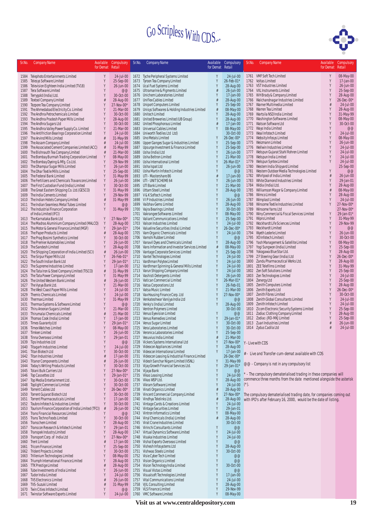

| Sr.No.       | <b>Company Name</b>                                                                         | Available<br>for Demat | Compulsory<br>Retail         | Sr.No.       | <b>Company Name</b>                                                                  | Available<br>for Demat | Compulsory<br>Retail             | Sr.No.       | <b>Company Name</b>                                                      | Available<br>for Demat | Compulsory<br>Retail    |
|--------------|---------------------------------------------------------------------------------------------|------------------------|------------------------------|--------------|--------------------------------------------------------------------------------------|------------------------|----------------------------------|--------------|--------------------------------------------------------------------------|------------------------|-------------------------|
| 1584         | Telephoto Entertainments Limited                                                            | Υ                      | 24-Jul-00                    |              | 1672 Tyche Peripheral Systems Limited                                                |                        | $24$ -Jul-00                     |              | 1761 VMF Soft Tech Limited                                               | Y                      | 08-May-00               |
| 1585         | <b>Telesys Software Limited</b>                                                             | γ<br>Y                 | 25-Sep-00                    | 1673         | Tyroon Tea Company Limited                                                           | N                      | 26-Feb-01*                       |              | 1762 Voltas Limited                                                      | Y                      | 17-Jan-00               |
| 1586<br>1587 | Television Eighteen India Limited (TV18)<br>Tera Software Limited                           |                        | 26-Jun-00<br>@@              |              | 1674 Ucal Fuel Systems Limited<br>1675 Ultramarine & Pigments Limited                |                        | 28-Aug-00<br>26-Jun-00           |              | 1763 VST Industries Limited<br>1764 VXL Instruments Limited              | Y<br>Y                 | 26-Jun-00<br>25-Sep-00  |
| 1588         | Terrygold (India) Ltd.                                                                      |                        | 30-Oct-00                    |              | 1676 Unichem Laboratories Limited                                                    |                        | 17-Jan-00                        | 1765         | WH Brady & Company Limited                                               | Y                      | 28-Aug-00               |
| 1589<br>1590 | <b>Textool Company Limited</b><br>Tezpore Tea Company Limited                               |                        | 28-Aug-00<br>27-Nov-00*      |              | 1677 Uniflex Cables Limited<br>1678 Uniport Computers Limited                        |                        | 28-Aug-00<br>25-Sep-00           | 1766         | Walchandnagar Industries Limited<br>1767 Warner Multimedia Limited       | Y                      | 26-Dec-00*<br>24-Jul-00 |
| 1591         | The Ahmedabad Electricity Co. Limited                                                       | Y                      | 21-Mar-00                    | 1679         | Unisys Softwares & Holding Industries Limited                                        | #                      | 08-May-00                        |              | 1768 Warren Tea Limited                                                  | Y                      | 28-Aug-00               |
| 1592         | The Andhra Petrochemicals Limited                                                           |                        | 30-Oct-00                    | 1680         | Unitech Limited                                                                      |                        | 28-Aug-00                        | 1769         | Wartsila NSD India Limited                                               |                        | 31-May-99               |
| 1593<br>1594 | The Andhra Pradesh Paper Mills Limited<br>The Andhra Sugars Ltd                             | Y<br>Y                 | 28-Aug-00<br>30-Oct-00       | 1681         | United Breweries Limited (UB Group)<br>1682 United Phosphorous Limited               |                        | 28-Aug-00<br>17-Jan-00           | 1770         | Washington Softwares Limited<br>1771 Watson Software Ltd                 | Y<br>Y                 | 08-May-00<br>30-Oct-00  |
| 1595         | The Andhra Valley Power Supply Co. Limited                                                  | Y                      | 21-Mar-00                    | 1683         | Universal Cables Limited                                                             |                        | 08-May-00                        |              | 1772 Ways India Limited                                                  | Y                      | @@                      |
| 1596         | The Antifriction Bearings Corporation Limited                                               |                        | 24-Jul-00                    |              | 1684 Uniworth Textiles Ltd Ltd)                                                      |                        | 30-Oct-00                        |              | 1773 Weal Infotech Limited                                               |                        | 24-Jul-00               |
| 1597<br>1598 | The Arvind Mills Limited<br>The Assam Company Limited                                       | #                      | 31-May-99<br>24-Jul-00       | 1685<br>1686 | Uno Metals Limited<br>Upper Ganges Sugar & Industries Limited                        | Y                      | $26 - Dec -00*$<br>25-Sep-00     | 1774         | Websity Infosys Limited<br>1775 Weizmann Limited                         | Y<br>Y                 | 08-May-00<br>26-Jun-00  |
| 1599         | The Associated Cement Companies Limited (ACC)                                               | #                      | 31-May-99                    | 1687         | Upsurge Investment & Finance Limited                                                 | Y                      | 25-Sep-00                        |              | 1776 Wellwin Industries Limited                                          | Y                      | 24-Jul-00               |
| 1600         | The Bishnauth Tea Company Limited                                                           | Y                      | 21-Mar-00                    | 1688         | Usha (India) Ltd                                                                     |                        | 26-Jun-00                        | 1777         | Welspun Gujarat Stahl Rohren Limited                                     | Y<br>Y                 | 24-Jul-00<br>24-Jul-00  |
| 1601<br>1602 | The Bombay Burmah Trading Corporation Limited<br>The Bombay Dyeing & Mfg. Co.Ltd.           |                        | 08-May-00<br>29-Nov-99       | 1689<br>1690 | Usha Beltron Limited<br>Usha International Limited                                   |                        | 21-Mar-00<br>26-Mar-01*          | 1778<br>1779 | Welspun India Limited<br>Welspun Syntex Limited                          | Y                      | 24-Jul-00               |
| 1603         | The Dhampur Sugar Mills Limited                                                             | Υ                      | 26-Jun-00                    | 1691         | Usha Ispat Ltd                                                                       | ١                      | 26-Jun-00                        | 1780         | Western India Shipyard Limited                                           |                        | 25-Sep-00               |
| 1604<br>1605 | The Dhar Textile Mills Limited<br>The Federal Bank Limited                                  | Υ                      | 25-Sep-00<br>31-May-99       |              | 1692 Usha Martin Infotech Limited<br>1693 UTI - Mastershare 86                       |                        | @@<br>17-Jan-00                  | 1781<br>1782 | Western Outdoor Media Technologies Limited<br>Whirlpool of India Limited | Y                      | @@<br>26-Jun-00         |
| 1606         | The Fertilizers and Chemicals Travancore Limited                                            | Y                      | 26-Jun-00                    |              | 1694 UTI - UNIT SCHEME 64                                                            | Y                      | 26-Jun-00                        | 1783         | White Diamond Industries Limited                                         | Y                      | 29-Jan-01               |
| 1607         | The First Custodian Fund (India) Limited                                                    | Y                      | 30-Oct-00                    |              | 1695 UTI Bank Limited                                                                | Y                      | 21-Mar-00                        | 1784         | Widia (India) Ltd.                                                       |                        | 28-Aug-00               |
| 1608<br>1609 | The Great Eastern Shipping Co. Ltd. (GESCO)<br>The India Cements Limited                    | Y                      | 31-May-99<br>29-Nov-99       |              | 1696 Uttam Steel Limited<br>1697 V& K Softech Limited                                |                        | 28-Aug-00<br>@@                  | 1785<br>1786 | Williamson Magor & Company Limited<br>Wimco Limited                      |                        | 08-May-00<br>28-Aug-00  |
|              | 1610 The Indian Hotels Company Limited                                                      | #                      | 31-May-99                    |              | 1698 VIP Industries Limited                                                          | Υ                      | 26-Jun-00                        | 1787         | Wimplast Limited                                                         | Y                      | 24-Jul-00               |
|              | 1611 The Indian Seamless Metal Tubes Limited                                                | Y                      | @@                           | 1699         | Vaibhav Gems Limited                                                                 | Y                      | 28-Aug-00                        | 1788         | Winsome Textile Industries Limited                                       | Y                      | 27-Nov-00*              |
|              | 1612 The Industrial Finance Corporation<br>of India Limited (IFCI)                          |                        | 31-May-99                    | 1700<br>1701 | Vajra Bearings Limited<br>Vakrangee Softwares Limited                                |                        | 30-Oct-00<br>08-May-00           | 1789<br>1790 | Winsome Yarns Ltd<br>Winy Commercial & Fiscal Services Limited           | Y                      | 27-Nov-00<br>29-Jan-01  |
|              | 1613 The Karnataka Bank Ltd                                                                 | Υ                      | 27-Nov-00*                   | 1702         | Valiant Communications Limited                                                       |                        | 25-Sep-00                        | 1791         | Wipro Limited                                                            | Y                      | 31-May-99               |
|              | 1614 The Madras Aluminium Company Limited (MALCO)                                           | Y                      | 28-Aug-00                    | 1703         | Valson Industries Limited                                                            |                        | 24-Jul-00                        |              | 1792 Wockhardt Life Sciences Limited<br>1793 Wockhardt Limited           | Y<br>Y                 | 29-Nov-99<br>@@         |
| 1615         | The Motor & General Finance Limited (MGF)<br>1616 The Paper Products Limited                | Y<br>#                 | 29-Jan-01*<br>28-Aug-00      | 1704         | Valueline Securities (India) Limited<br>1705 Vam Organic Chemicals Limited           | Y                      | 26-Dec-00*<br>24-Jul-00          | 1794         | Wyeth Lederle Limited                                                    | Y                      | 26-Jun-00               |
|              | 1617 The Prag Bosimi Synthetics Limited                                                     | Y                      | 30-Oct-00                    | 1706         | Vamshi Rubber Limited                                                                |                        | @@                               | 1795         | XO Infotech Limited (                                                    | Y                      | 30-Oct-00               |
| 1619         | 1618 The Premier Automobiles Limited<br>The Sandesh Limited                                 |                        | 26-Jun-00<br>28-Aug-00       | 1707<br>1708 | Vanavil Dyes and Chemicals Limited<br>Vans Information and Investor Services Limited | Y                      | 28-Aug-00<br>08-May-00           | 1796<br>1797 | Yash Management & Satellite Limited<br>Yogi Sungwon (India) Limited      | Y<br>Y                 | 08-May-00<br>25-Sep-00  |
| 1620         | The Shipping Corporation of India Limited (SCI)                                             | ₫                      | 26-Jun-00                    | 1709         | Vantage Corporate Services Limited                                                   |                        | 25-Sep-00                        | 1798         | Yokogawa Blue Star Ltd.                                                  | Y                      | 28-Aug-00               |
| 1621         | The Sirpur Paper Mills Ltd                                                                  |                        | 26-Feb-01*                   |              | 1710 Vantel Technologies Limited                                                     | Y                      | 24-Jul-00                        |              | 1799 ZF Steering Gear (India) Ltd                                        | Y                      | 26-Dec-00*              |
| 1622<br>1623 | The South Indian Bank Ltd<br>The Supreme Industries Limited                                 | Υ                      | 29-Jan-01*<br>17-Jan-00      |              | 1711 Vardhman Polytex Limited<br>1712 Vardhman Spinning & General Mills Limited      | Y<br>Y                 | 24-Jul-00<br>24-Jul-00           | 1800         | Zandu Pharmaceutical Works Ltd.<br>1801 ZEE Telefilms Limited            | Y                      | 28-Aug-00<br>31-May-99  |
| 1624         | The Tata Iron & Steel Company Limited (TISCO)                                               | #                      | 31-May-99                    |              | 1713 Varun Shipping Company Limited                                                  | Y                      | 24-Jul-00                        |              | 1802 Zen Soft Solutions Limited                                          | Y                      | 25-Sep-00               |
| 1625         | The Tata Power Company Limited                                                              | Y                      | 31-May-99                    |              | 1714 Vashisti Detergents Limited                                                     | Y                      | 26-Jun-00                        | 1803         | Zen Technologies Limited                                                 | Y                      | 24-Jul-00               |
| 1626<br>1627 | The United Western Bank Limited<br>The Vysya Bank Ltd.                                      | A                      | 26-Jun-00<br>21-Mar-00       |              | 1715 Vatican Commercial Limited<br>1716 Vatsa Corporations Ltd                       | Y                      | 26-Mar-01*<br>26-Feb-01          | 1805         | 1804 Zenergy Ltd<br>Zenith Computers Limited                             | Y                      | 25-Sep-00<br>28-Aug-00  |
| 1628         | The West Coast Paper Mills Limited                                                          |                        | 24-Jul-00                    |              | 1717 Vatsa Music Limited                                                             |                        | 21-Mar-00                        |              | 1806 Zenith Exports Ltd                                                  | Y                      | 26-Dec-00*              |
| 1629         | Themis Chemicals Limited                                                                    | Y                      | 24-Jul-00                    | 1718         | Vax Housing Finance Corp. Ltd                                                        | Y                      | 27-Nov-00*                       |              | 1807 Zenith Fibres Limited                                               | Y<br>Y                 | 30-Oct-00               |
| 1630<br>1631 | Thermax Limited<br>Thermax Systems & Software Limited                                       | Υ                      | 31-May-99<br>@@              | 1719<br>1720 | Venkateshwar Vanijya India Ltd<br>Venky's (India) Limited                            |                        | @@<br>28-Aug-00                  | 1809         | 1808 Zenith Global Consultants Limited<br>Zenith Infotech Limited        | Y                      | 24-Jul-00<br>24-Jul-00  |
| 1632         | Thiru Arooran Sugars Limited                                                                |                        | 21-Mar-00                    | 1721         | Ventron Polymers Limited                                                             |                        | 30-Oct-00                        | 1810         | Zicom Electronic Security Systems Limited                                | Y                      | 25-Sep-00               |
| 1633<br>1634 | Thirumalai Chemicals Limited<br>Thomas Cook (India) Limited                                 | #<br>Y                 | 21-Mar-00<br>17-Jan-00       | 1722<br>1723 | Venus Eyevision Limited<br>Venus Remedies Limited                                    | Y                      | @@<br>29-Jan-01*                 | 1811         | Zodiac Clothing Company Limited<br>1812 Zodiac-JRD-MKJ Limited           | Y<br>Y                 | 28-Aug-00<br>25-Sep-00  |
| 1635         | Times Guaranty Ltd                                                                          |                        | 29-Jan-01*                   | 1724         | Venus Sugar Limited                                                                  |                        | 30-Oct-00                        |              | 1813 Zuari Industries Limited                                            |                        | 26-Jun-00               |
| 1636         | <b>Timex Watches Limited</b>                                                                |                        | 08-May-00                    |              | 1725 Vera Laboratories Limited                                                       |                        | 30-Oct-00                        |              | 1814 Zydus Cadila Ltd                                                    |                        | 24-Jul-00               |
| 1637         | <b>Timken Limited</b><br>1638 Tinna Overseas Limited                                        | Y                      | 26-Jun-00<br>29-Jan-01       |              | 1726 Veronica Laboratories Limited<br>1727 Vesuvius India Limited                    |                        | 25-Sep-00<br>21-Mar-00           |              |                                                                          |                        |                         |
|              | 1639 Tips Industries Ltd                                                                    |                        | @@                           |              | 1728 Vickers Systems International Ltd                                               |                        | $27$ -Nov-00* $Y$ -Live with CDS |              |                                                                          |                        |                         |
| 1640         | Titagarh Industries Limited                                                                 | Υ                      | 24-Jul-00                    |              | 1729 Videocon Appliances Limited                                                     | Y<br>Y                 | 28-Aug-00                        |              |                                                                          |                        |                         |
| 1641<br>1642 | Titan Biotech Ltd<br><b>Titan Industries Limited</b>                                        | #                      | 30-Oct-00<br>$17$ -Jan-00    | 1730<br>1731 | Videocon International Limited<br>Videocon Leasing & Industrial Finance Limited      |                        | 17-Jan-00<br>26-Dec-00*          |              | # - Live and Transfer-cum-demat available with CDS                       |                        |                         |
| 1643         | <b>Titanor Components Limited</b>                                                           | #                      | 26-Jun-00                    | 1732         | Videsh Sanchar Nigam Limited (VSNL)                                                  | Υ                      | 31-May-99                        |              | @@ - Company is not in any compulsory list                               |                        |                         |
| 1644<br>1645 | Today's Writing Products Limited<br>Tolani Bulk Carriers Ltd                                | Y<br>Y                 | 30-Oct-00<br>27-Nov-00*      | 1733         | Vijay Growth Financial Services Ltd.<br>1734 Vijaya Bank                             | ١                      | 29-Jan-01*<br>@@                 |              |                                                                          |                        |                         |
| 1646         | Top Cassettes Ltd                                                                           | Y                      | 29-Jan-01*                   |              | 1735 Vikas Leasing Limited                                                           |                        | 24-Jul-00                        |              | - The compulsory dematerialised trading in these companies will          |                        |                         |
| 1647         | Top Media Entertainment Ltd.                                                                | Y                      | 30-Oct-00                    |              | 1736 Vikas WSP Ltd.                                                                  |                        | 28-Aug-00                        |              | commence three months from the date mentioned alongside the asterisk     |                        |                         |
| 1648<br>1649 | <b>Toplight Commercial Limited</b><br><b>Torrent Cables Ltd</b>                             | Υ<br>Y                 | 30-Oct-00<br>$26 - Dec -00*$ |              | 1737 Vikram Software Limited<br>1738 Vinati Organics Limited                         |                        | 24-Jul-00<br>28-Aug-00           | $(\star)$    |                                                                          |                        |                         |
| 1650         | Torrent Gujarat Biotech Ltd                                                                 | Y                      | 30-Oct-00                    | 1739         | Vincent Commercial Company Limited                                                   |                        | $27 - Nov-00*$                   |              | The compulsory dematerialised trading date, for companies coming out     |                        |                         |
| 1651         | <b>Torrent Pharmaceuticals Limited</b>                                                      | Y<br>Y                 | 17-Jan-00                    |              | 1740 Vindhya Telelinks Ltd.                                                          |                        | 28-Aug-00                        |              | with IPO's after February 16, 2000, would be the date of listing.        |                        |                         |
| 1652<br>1653 | Toubro Infotech & Industries Limited<br>Tourism Finance Corporation of India Limited (TFCI) | #                      | 30-Oct-00<br>26-Jun-00       |              | 1741 Vintage Cards & Creations Limited<br>1742 Vintage Securities Limited            |                        | 24-Jul-00<br>29-Jan-01           |              |                                                                          |                        |                         |
| 1654         | <b>Trans Financial Resources Limited</b>                                                    |                        | $@@$                         | 1743         | Vintron Informatics Limited                                                          |                        | 08-May-00                        |              |                                                                          |                        |                         |
| 1655         | Trans Techno Foods Limited<br>Transchem Limited                                             | Υ                      | 30-Oct-00<br>28-Aug-00       |              | 1744 Vinyl Chemicals (India) Limited<br>1745 Virat Crane Industries Limited          |                        | 28-Aug-00<br>30-Oct-00           |              |                                                                          |                        |                         |
| 1656<br>1657 | Transcon Research & Infotech Limited                                                        |                        | 29-Jan-01                    |              | 1746 Virinchi Consultants Limited                                                    |                        | @@                               |              |                                                                          |                        |                         |
| 1658         | Transpek Industry Limited                                                                   |                        | 28-Aug-00                    |              | 1747 Virtual Dynamics Software Limited                                               | Y                      | 24-Jul-00                        |              |                                                                          |                        |                         |
| 1659<br>1660 | Transport Corp. of India Ltd<br><b>Trent Limited</b>                                        | #                      | 27-Nov-00*<br>17-Jan-00      |              | 1748 Visaka Industries Limited<br>1749 Vishal Exports Overseas Limited               | Υ<br>Y                 | 24-Jul-00<br>@@                  |              |                                                                          |                        |                         |
| 1661         | Tricom Finance Limited                                                                      |                        | 25-Sep-00                    | 1750         | Vishesh Infosystems Ltd                                                              | Y                      | 28-Aug-00                        |              |                                                                          |                        |                         |
| 1662         | <b>Trident Projects Limited</b>                                                             | Υ                      | 30-Oct-00                    | 1751         | Vishwas Steels Limited                                                               |                        | 30-Oct-00                        |              |                                                                          |                        |                         |
| 1663<br>1664 | Trillenium Technologies Limited<br>Triumph International Finance Limited                    | Y                      | 08-May-00<br>28-Aug-00       |              | 1752 Visie Cyber Tech Limited<br>1753 Vision Organics Limited                        | Y<br>Y                 | @@<br>@@                         |              |                                                                          |                        |                         |
| 1665         | <b>TTK Prestige Limited</b>                                                                 |                        | 28-Aug-00                    | 1754         | Vision Technology India Limited                                                      | Y                      | 30-Oct-00                        |              |                                                                          |                        |                         |
| 1666         | Tube Investments of India Limited<br>Tudor India Limited                                    | Y                      | 26-Jun-00<br>24-Jul-00       | 1755         | Visual Vistas Limited<br>Visualsoft Technologies Limited                             | Y<br>Y                 | @@<br>17-Jan-00                  |              |                                                                          |                        |                         |
| 1667<br>1668 | <b>TVS Electronics Limited</b>                                                              | #                      | $26$ -Jun-00                 | 1756         | 1757 Vital Communications Limited                                                    | Y                      | 24-Jul-00                        |              |                                                                          |                        |                         |
| 1669         | <b>TVS-Suzuki Limited</b>                                                                   | A                      | 31-May-99                    |              | 1758 VJIL Consulting Limited                                                         |                        | 28-Aug-00                        |              |                                                                          |                        |                         |
| 1670<br>1671 | Twin Cities Infotech Limited<br>Twinstar Software Exports Limited                           | Υ                      | @@<br>24-Jul-00              |              | 1759 VLS Finance Limited<br>1760 VMC Software Limited                                |                        | 29-Nov-99<br>08-May-00           |              |                                                                          |                        |                         |
|              |                                                                                             |                        |                              |              |                                                                                      |                        |                                  |              |                                                                          |                        |                         |